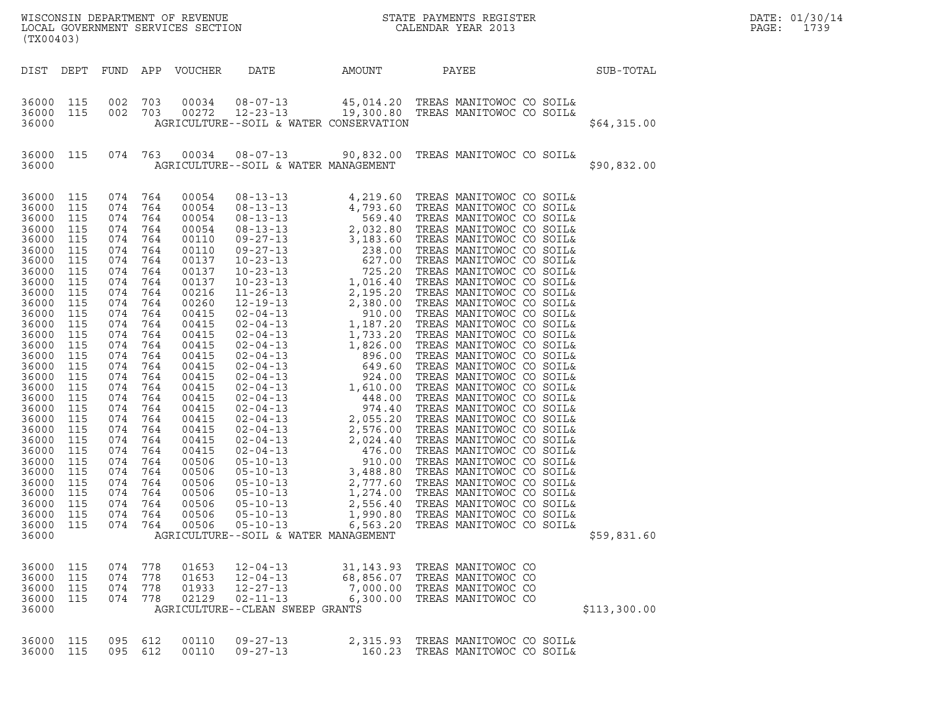| (TX00403)                                                                                                                                                                                                                                                                                                 |                                                                                                                                                                                                                       |                                                                                                                                                                                                                                                                                  |                                                                                                                                   | LOCAL GOVERNMENT SERVICES SECTION                                                                                                                                                                                                                                                            |                                                                                                         |                                                 |                                                                                      |              | DATE: 01/30/14<br>PAGE:<br>1739 |
|-----------------------------------------------------------------------------------------------------------------------------------------------------------------------------------------------------------------------------------------------------------------------------------------------------------|-----------------------------------------------------------------------------------------------------------------------------------------------------------------------------------------------------------------------|----------------------------------------------------------------------------------------------------------------------------------------------------------------------------------------------------------------------------------------------------------------------------------|-----------------------------------------------------------------------------------------------------------------------------------|----------------------------------------------------------------------------------------------------------------------------------------------------------------------------------------------------------------------------------------------------------------------------------------------|---------------------------------------------------------------------------------------------------------|-------------------------------------------------|--------------------------------------------------------------------------------------|--------------|---------------------------------|
|                                                                                                                                                                                                                                                                                                           |                                                                                                                                                                                                                       |                                                                                                                                                                                                                                                                                  |                                                                                                                                   | DIST DEPT FUND APP VOUCHER                                                                                                                                                                                                                                                                   | DATE                                                                                                    | AMOUNT                                          | PAYEE                                                                                | SUB-TOTAL    |                                 |
| 36000 115<br>36000 115<br>36000                                                                                                                                                                                                                                                                           |                                                                                                                                                                                                                       | 002 703<br>002 703                                                                                                                                                                                                                                                               |                                                                                                                                   | 00034<br>00272                                                                                                                                                                                                                                                                               | $08 - 07 - 13$<br>AGRICULTURE--SOIL & WATER CONSERVATION                                                |                                                 | 45,014.20 TREAS MANITOWOC CO SOIL&<br>12-23-13 19,300.80 TREAS MANITOWOC CO SOIL&    | \$64,315.00  |                                 |
| 36000 115<br>36000                                                                                                                                                                                                                                                                                        |                                                                                                                                                                                                                       |                                                                                                                                                                                                                                                                                  |                                                                                                                                   | 074 763 00034                                                                                                                                                                                                                                                                                | AGRICULTURE--SOIL & WATER MANAGEMENT                                                                    |                                                 | 08-07-13 90,832.00 TREAS MANITOWOC CO SOIL&                                          | \$90,832.00  |                                 |
| 36000 115<br>36000<br>36000<br>36000<br>36000<br>36000<br>36000<br>36000<br>36000<br>36000<br>36000<br>36000<br>36000<br>36000<br>36000<br>36000<br>36000<br>36000<br>36000<br>36000<br>36000<br>36000<br>36000<br>36000<br>36000<br>36000<br>36000<br>36000<br>36000<br>36000<br>36000<br>36000<br>36000 | 115<br>115<br>115<br>115<br>115<br>115<br>115<br>115<br>115<br>115<br>115<br>115<br>115<br>115<br>115<br>115<br>115<br>115<br>115<br>115<br>115<br>115<br>115<br>115<br>115<br>115<br>115<br>115<br>115<br>115<br>115 | 074 764<br>074 764<br>074 764<br>074 764<br>074<br>074 764<br>074 764<br>074 764<br>074<br>074 764<br>074<br>074<br>074<br>074<br>074<br>074<br>074<br>074<br>074<br>074<br>074<br>074<br>074<br>074<br>074<br>074<br>074 764<br>074 764<br>074 764<br>074 764<br>074<br>074 764 | 764<br>764<br>764<br>764<br>764<br>764<br>764<br>764<br>764<br>764<br>764<br>764<br>764<br>764<br>764<br>764<br>764<br>764<br>764 | 00054<br>00054<br>00054<br>00054<br>00110<br>00110<br>00137<br>00137<br>00137<br>00216<br>00260<br>00415<br>00415<br>00415<br>00415<br>00415<br>00415<br>00415<br>00415<br>00415<br>00415<br>00415<br>00415<br>00415<br>00415<br>00506<br>00506<br>00506<br>00506<br>00506<br>00506<br>00506 | $05 - 10 - 13$<br>$05 - 10 - 13$<br>$05 - 10 - 13$<br>AGRICULTURE--SOIL & WATER MANAGEMENT              | 2,556.40<br>1,990.80<br>6, 563.20               | TREAS MANITOWOC CO SOIL&<br>TREAS MANITOWOC CO SOIL&<br>TREAS MANITOWOC CO SOIL&     | \$59,831.60  |                                 |
| 36000<br>36000<br>36000<br>36000<br>36000                                                                                                                                                                                                                                                                 | 115<br>115<br>115<br>115                                                                                                                                                                                              | 074<br>074<br>074<br>074 778                                                                                                                                                                                                                                                     | 778<br>778<br>778                                                                                                                 | 01653<br>01653<br>01933<br>02129                                                                                                                                                                                                                                                             | $12 - 04 - 13$<br>$12 - 04 - 13$<br>$12 - 27 - 13$<br>$02 - 11 - 13$<br>AGRICULTURE--CLEAN SWEEP GRANTS | 31, 143.93<br>68,856.07<br>7,000.00<br>6,300.00 | TREAS MANITOWOC CO<br>TREAS MANITOWOC CO<br>TREAS MANITOWOC CO<br>TREAS MANITOWOC CO | \$113,300.00 |                                 |
| 36000<br>36000 115                                                                                                                                                                                                                                                                                        | 115                                                                                                                                                                                                                   | 095<br>095 612                                                                                                                                                                                                                                                                   | 612                                                                                                                               | 00110<br>00110                                                                                                                                                                                                                                                                               | $09 - 27 - 13$<br>$09 - 27 - 13$                                                                        | 2,315.93<br>160.23                              | TREAS MANITOWOC CO SOIL&<br>TREAS MANITOWOC CO SOIL&                                 |              |                                 |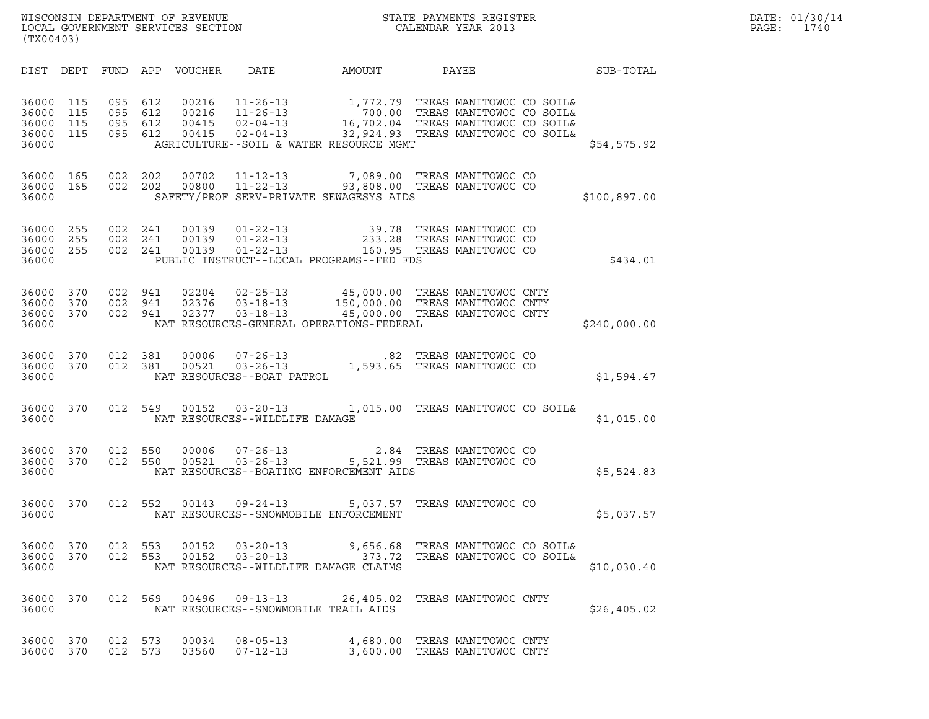|       | DATE: 01/30/14 |
|-------|----------------|
| PAGE: | 1740           |

| (TX00403)      |            |            |            | WISCONSIN DEPARTMENT OF REVENUE<br>LOCAL GOVERNMENT SERVICES SECTION |                                  |                    | STATE PAYMENTS REGISTER<br>CALENDAR YEAR 2013        |           | DATE: 01/30/14<br>PAGE:<br>1740 |  |
|----------------|------------|------------|------------|----------------------------------------------------------------------|----------------------------------|--------------------|------------------------------------------------------|-----------|---------------------------------|--|
| DIST           | DEPT       | FUND       | APP        | <b>VOUCHER</b>                                                       | DATE                             | AMOUNT             | PAYEE                                                | SUB-TOTAL |                                 |  |
| 36000<br>36000 | 115<br>115 | 095<br>095 | 612<br>612 | 00216<br>00216                                                       | $11 - 26 - 13$<br>$11 - 26 - 13$ | 1,772.79<br>700.00 | TREAS MANITOWOC CO SOIL&<br>TREAS MANITOWOC CO SOIL& |           |                                 |  |

| DIST                                      | DEPT                     | FUND                     | APP                      | <b>VOUCHER</b>                   | DATE                                               | AMOUNT                                                                                                                                                                                                                          | PAYEE                                             |                                                            | SUB-TOTAL    |
|-------------------------------------------|--------------------------|--------------------------|--------------------------|----------------------------------|----------------------------------------------------|---------------------------------------------------------------------------------------------------------------------------------------------------------------------------------------------------------------------------------|---------------------------------------------------|------------------------------------------------------------|--------------|
| 36000<br>36000<br>36000<br>36000<br>36000 | 115<br>115<br>115<br>115 | 095<br>095<br>095<br>095 | 612<br>612<br>612<br>612 | 00216<br>00216<br>00415<br>00415 |                                                    | 11-26-13 1,772.79 TREAS MANITOWOC CO SOIL&<br>11-26-13 700.00 TREAS MANITOWOC CO SOIL&<br>02-04-13 16,702.04 TREAS MANITOWOC CO SOIL&<br>02-04-13 32,924.93 TREAS MANITOWOC CO SOIL&<br>AGRICULTURE--SOIL & WATER RESOURCE MGMT |                                                   | 700.00 100.00 100.00<br>16,702.04 TREAS MANITOWOC CO SOIL& | \$54,575.92  |
| 36000<br>36000<br>36000                   | 165<br>165               | 002<br>002               | 202<br>202               | 00702<br>00800                   | $11 - 12 - 13$<br>$11 - 22 - 13$                   | 7,089.00<br>93,808.00 TREAS MANITOWOC CO<br>SAFETY/PROF SERV-PRIVATE SEWAGESYS AIDS                                                                                                                                             | TREAS MANITOWOC CO                                |                                                            | \$100,897.00 |
| 36000<br>36000<br>36000<br>36000          | 255<br>255<br>255        | 002<br>002<br>002        | 241<br>241<br>241        | 00139<br>00139<br>00139          |                                                    | 01-22-13 39.78 TREAS MANITOWOC CO<br>01-22-13 233.28 TREAS MANITOWOC CO<br>01-22-13 160.95 TREAS MANITOWOC CO<br>PUBLIC INSTRUCT--LOCAL PROGRAMS--FED FDS                                                                       |                                                   |                                                            | \$434.01     |
| 36000<br>36000<br>36000<br>36000          | 370<br>370<br>370        | 002<br>002<br>002        | 941<br>941<br>941        | 02204<br>02376<br>02377          | $02 - 25 - 13$<br>$03 - 18 - 13$<br>$03 - 18 - 13$ | 45,000.00<br>150,000.00 TREAS MANITOWOC CNTY<br>45,000.00 TREAS MANITOWOC CNTY<br>NAT RESOURCES-GENERAL OPERATIONS-FEDERAL                                                                                                      |                                                   | TREAS MANITOWOC CNTY                                       | \$240,000.00 |
| 36000<br>36000<br>36000                   | 370<br>370               | 012<br>012               | 381<br>381               | 00006<br>00521                   | NAT RESOURCES--BOAT PATROL                         | $07 - 26 - 13$ . 82<br>03-26-13 1,593.65<br>1,593.65                                                                                                                                                                            | TREAS MANITOWOC CO<br>TREAS MANITOWOC CO          |                                                            | \$1,594.47   |
| 36000<br>36000                            | 370                      | 012                      | 549                      | 00152                            | NAT RESOURCES--WILDLIFE DAMAGE                     | 03-20-13 1,015.00 TREAS MANITOWOC CO SOIL&                                                                                                                                                                                      |                                                   |                                                            | \$1,015.00   |
| 36000<br>36000<br>36000                   | 370<br>370               | 012<br>012               | 550<br>550               | 00006<br>00521                   | $07 - 26 - 13$<br>$03 - 26 - 13$                   | 2.84<br>NAT RESOURCES--BOATING ENFORCEMENT AIDS                                                                                                                                                                                 | TREAS MANITOWOC CO<br>5,521.99 TREAS MANITOWOC CO |                                                            | \$5,524.83   |
| 36000<br>36000                            | 370                      | 012                      | 552                      | 00143                            | $09 - 24 - 13$                                     | 5,037.57<br>NAT RESOURCES--SNOWMOBILE ENFORCEMENT                                                                                                                                                                               | TREAS MANITOWOC CO                                |                                                            | \$5,037.57   |
| 36000<br>36000<br>36000                   | 370<br>370               | 012<br>012               | 553<br>553               | 00152<br>00152                   | $03 - 20 - 13$<br>$03 - 20 - 13$                   | 9,656.68<br>373.72<br>NAT RESOURCES--WILDLIFE DAMAGE CLAIMS                                                                                                                                                                     |                                                   | TREAS MANITOWOC CO SOIL&<br>TREAS MANITOWOC CO SOIL&       | \$10,030.40  |
| 36000<br>36000                            | 370                      | 012                      | 569                      | 00496                            | $09 - 13 - 13$                                     | 26,405.02<br>NAT RESOURCES--SNOWMOBILE TRAIL AIDS                                                                                                                                                                               |                                                   | TREAS MANITOWOC CNTY                                       | \$26,405.02  |
| 36000<br>36000                            | 370<br>370               | 012<br>012               | 573<br>573               | 00034<br>03560                   | $08 - 05 - 13$<br>$07 - 12 - 13$                   | 4,680.00                                                                                                                                                                                                                        |                                                   | TREAS MANITOWOC CNTY<br>3,600.00 TREAS MANITOWOC CNTY      |              |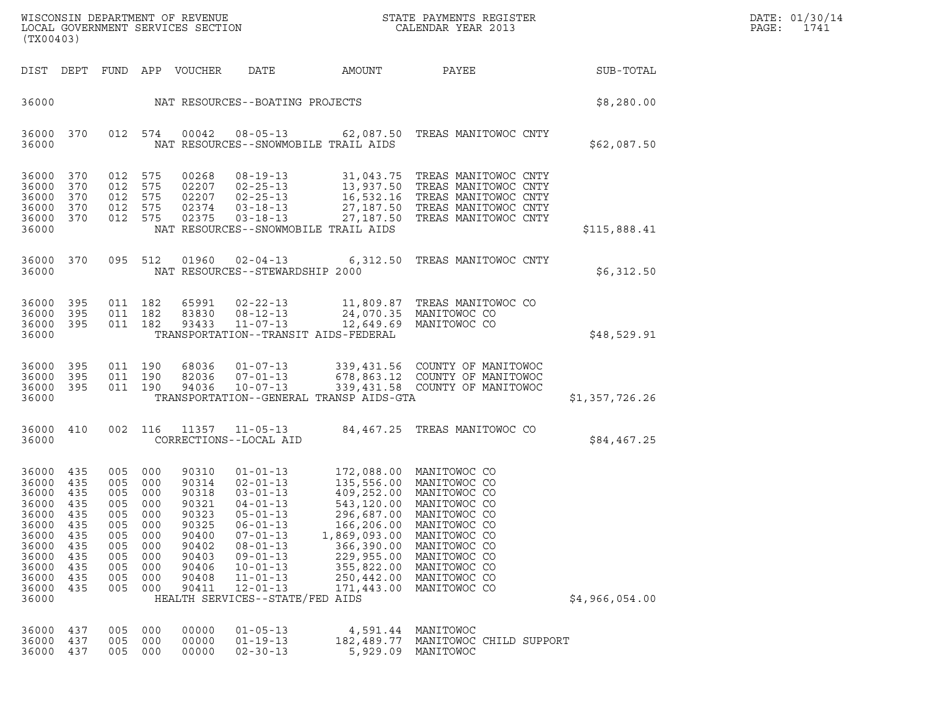|       | DATE: 01/30/14 |
|-------|----------------|
| PAGF: | 1741           |

| WISCONSIN DEPARTMENT OF REVENUE<br>LOCAL GOVERNMENT SERVICES SECTION<br>(TX00403)                                 |                                                                                  |                                                                                  |                                                                                  |                                                                                                          |                                                                                                                                                                                                                                                         |                                                                                                                              | STATE PAYMENTS REGISTER<br>CALENDAR YEAR 2013                                                                                                                                                                                 |                | DATE: 01/30/14<br>PAGE:<br>1741 |
|-------------------------------------------------------------------------------------------------------------------|----------------------------------------------------------------------------------|----------------------------------------------------------------------------------|----------------------------------------------------------------------------------|----------------------------------------------------------------------------------------------------------|---------------------------------------------------------------------------------------------------------------------------------------------------------------------------------------------------------------------------------------------------------|------------------------------------------------------------------------------------------------------------------------------|-------------------------------------------------------------------------------------------------------------------------------------------------------------------------------------------------------------------------------|----------------|---------------------------------|
|                                                                                                                   |                                                                                  |                                                                                  |                                                                                  | DIST DEPT FUND APP VOUCHER                                                                               | DATE                                                                                                                                                                                                                                                    | AMOUNT                                                                                                                       | PAYEE                                                                                                                                                                                                                         | SUB-TOTAL      |                                 |
| 36000                                                                                                             | NAT RESOURCES--BOATING PROJECTS                                                  |                                                                                  |                                                                                  |                                                                                                          |                                                                                                                                                                                                                                                         |                                                                                                                              |                                                                                                                                                                                                                               | \$8,280.00     |                                 |
| 36000<br>36000                                                                                                    | 370                                                                              | 012 574                                                                          |                                                                                  | 00042                                                                                                    | $08 - 05 - 13$<br>NAT RESOURCES--SNOWMOBILE TRAIL AIDS                                                                                                                                                                                                  |                                                                                                                              | 62,087.50 TREAS MANITOWOC CNTY                                                                                                                                                                                                | \$62,087.50    |                                 |
| 36000<br>36000<br>36000<br>36000<br>36000<br>36000                                                                | 370<br>370<br>370<br>370<br>370                                                  | 012<br>012<br>012<br>012<br>012 575                                              | 575<br>575<br>575<br>575                                                         | 00268<br>02207<br>02207<br>02374<br>02375                                                                | $08 - 19 - 13$<br>$02 - 25 - 13$<br>$02 - 25 - 13$<br>$03 - 18 - 13$<br>$03 - 18 - 13$<br>NAT RESOURCES--SNOWMOBILE TRAIL AIDS                                                                                                                          |                                                                                                                              | 31,043.75 TREAS MANITOWOC CNTY<br>13,937.50 TREAS MANITOWOC CNTY<br>16,532.16 TREAS MANITOWOC CNTY<br>27,187.50 TREAS MANITOWOC CNTY<br>27,187.50 TREAS MANITOWOC CNTY                                                        | \$115,888.41   |                                 |
| 36000 370<br>36000                                                                                                |                                                                                  | 095 512                                                                          |                                                                                  | 01960                                                                                                    | $02 - 04 - 13$<br>NAT RESOURCES--STEWARDSHIP 2000                                                                                                                                                                                                       |                                                                                                                              | 6,312.50 TREAS MANITOWOC CNTY                                                                                                                                                                                                 | \$6,312.50     |                                 |
| 36000<br>36000<br>36000 395<br>36000                                                                              | 395<br>395                                                                       | 011 182<br>011 182<br>011 182                                                    |                                                                                  | 65991<br>83830<br>93433                                                                                  | $02 - 22 - 13$<br>$08 - 12 - 13$<br>$11 - 07 - 13$<br>TRANSPORTATION--TRANSIT AIDS-FEDERAL                                                                                                                                                              |                                                                                                                              | 11,809.87 TREAS MANITOWOC CO<br>24,070.35 MANITOWOC CO<br>12,649.69 MANITOWOC CO                                                                                                                                              | \$48,529.91    |                                 |
| 36000<br>36000<br>36000<br>36000                                                                                  | 395<br>395<br>395                                                                | 011 190<br>011 190<br>011 190                                                    |                                                                                  | 68036<br>82036<br>94036                                                                                  | $01 - 07 - 13$<br>$07 - 01 - 13$<br>$10 - 07 - 13$<br>TRANSPORTATION--GENERAL TRANSP AIDS-GTA                                                                                                                                                           |                                                                                                                              | 339,431.56 COUNTY OF MANITOWOC<br>678,863.12 COUNTY OF MANITOWOC<br>339,431.58 COUNTY OF MANITOWOC                                                                                                                            | \$1,357,726.26 |                                 |
| 36000<br>36000                                                                                                    | 410                                                                              | 002 116                                                                          |                                                                                  | 11357                                                                                                    | $11 - 05 - 13$<br>CORRECTIONS--LOCAL AID                                                                                                                                                                                                                |                                                                                                                              | 84,467.25 TREAS MANITOWOC CO                                                                                                                                                                                                  | \$84,467.25    |                                 |
| 36000<br>36000<br>36000<br>36000<br>36000<br>36000<br>36000<br>36000<br>36000<br>36000<br>36000<br>36000<br>36000 | 435<br>435<br>435<br>435<br>435<br>435<br>435<br>435<br>435<br>435<br>435<br>435 | 005<br>005<br>005<br>005<br>005<br>005<br>005<br>005<br>005<br>005<br>005<br>005 | 000<br>000<br>000<br>000<br>000<br>000<br>000<br>000<br>000<br>000<br>000<br>000 | 90310<br>90314<br>90318<br>90321<br>90323<br>90325<br>90400<br>90402<br>90403<br>90406<br>90408<br>90411 | $01 - 01 - 13$<br>$02 - 01 - 13$<br>$03 - 01 - 13$<br>$04 - 01 - 13$<br>$05 - 01 - 13$<br>$06 - 01 - 13$<br>$07 - 01 - 13$<br>$08 - 01 - 13$<br>$09 - 01 - 13$<br>$10 - 01 - 13$<br>$11 - 01 - 13$<br>$12 - 01 - 13$<br>HEALTH SERVICES--STATE/FED AIDS | 543,120.00<br>296,687.00<br>166,206.00<br>1,869,093.00<br>366,390.00<br>229,955.00<br>355,822.00<br>250,442.00<br>171,443.00 | 172,088.00 MANITOWOC CO<br>135,556.00 MANITOWOC CO<br>409,252.00 MANITOWOC CO<br>MANITOWOC CO<br>MANITOWOC CO<br>MANITOWOC CO<br>MANITOWOC CO<br>MANITOWOC CO<br>MANITOWOC CO<br>MANITOWOC CO<br>MANITOWOC CO<br>MANITOWOC CO | \$4,966,054.00 |                                 |
| 36000<br>36000<br>36000                                                                                           | 437<br>437<br>437                                                                | 005<br>005<br>005                                                                | 000<br>000<br>000                                                                | 00000<br>00000<br>00000                                                                                  | $01 - 05 - 13$<br>$01 - 19 - 13$<br>$02 - 30 - 13$                                                                                                                                                                                                      | 4,591.44<br>182,489.77                                                                                                       | MANITOWOC<br>MANITOWOC CHILD SUPPORT<br>5,929.09 MANITOWOC                                                                                                                                                                    |                |                                 |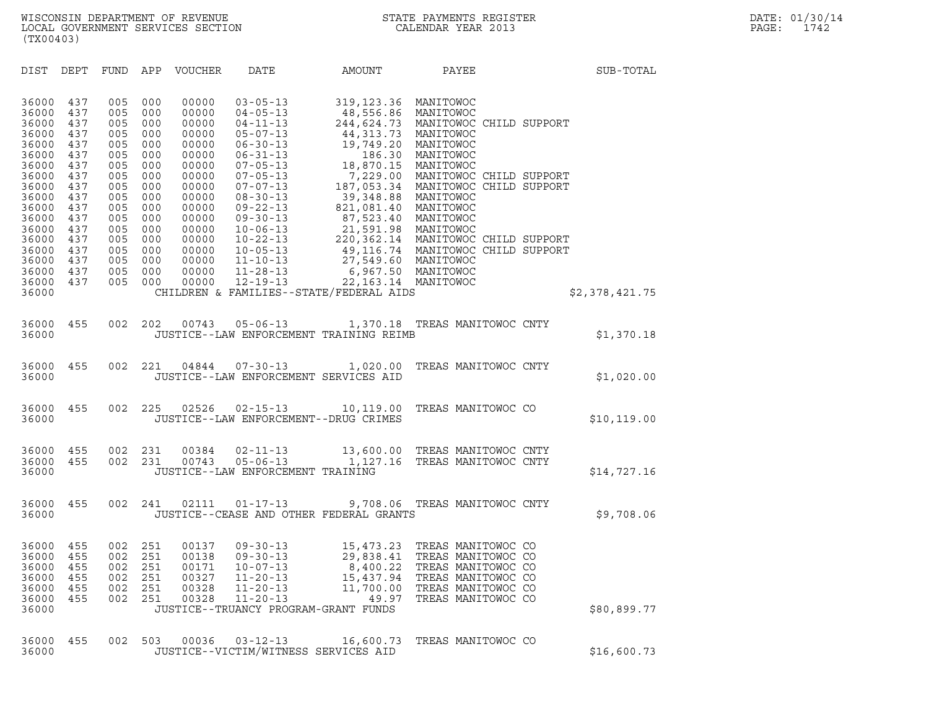| (TX00403)                                                   |                                               |                                               |                                               |                                                             |                                                                                                                                                  |                                                                                               |                                                                                                                                  |                |
|-------------------------------------------------------------|-----------------------------------------------|-----------------------------------------------|-----------------------------------------------|-------------------------------------------------------------|--------------------------------------------------------------------------------------------------------------------------------------------------|-----------------------------------------------------------------------------------------------|----------------------------------------------------------------------------------------------------------------------------------|----------------|
| DIST                                                        | DEPT                                          | FUND                                          | APP                                           | VOUCHER                                                     | DATE                                                                                                                                             | AMOUNT                                                                                        | PAYEE                                                                                                                            | SUB-TOTAL      |
| 36000<br>36000<br>36000<br>36000<br>36000<br>36000<br>36000 | 437<br>437<br>437<br>437<br>437<br>437<br>437 | 005<br>005<br>005<br>005<br>005<br>005<br>005 | 000<br>000<br>000<br>000<br>000<br>000<br>000 | 00000<br>00000<br>00000<br>00000<br>00000<br>00000<br>00000 | $03 - 05 - 13$<br>$04 - 05 - 13$<br>$04 - 11 - 13$<br>$05 - 07 - 13$<br>$06 - 30 - 13$<br>$06 - 31 - 13$<br>$07 - 05 - 13$                       | 319, 123.36<br>48,556.86 MANITOWOC<br>44,313.73 MANITOWOC<br>19,749.20<br>186.30<br>18,870.15 | MANITOWOC<br>244,624.73 MANITOWOC CHILD SUPPORT<br>MANITOWOC<br>MANITOWOC<br>MANITOWOC                                           |                |
| 36000<br>36000<br>36000<br>36000<br>36000<br>36000          | 437<br>437<br>437<br>437<br>437<br>437        | 005<br>005<br>005<br>005<br>005<br>005        | 000<br>000<br>000<br>000<br>000<br>000        | 00000<br>00000<br>00000<br>00000<br>00000<br>00000          | $07 - 05 - 13$<br>$07 - 07 - 13$<br>$08 - 30 - 13$<br>$09 - 22 - 13$<br>$09 - 30 - 13$<br>$10 - 06 - 13$                                         | 39,348.88 MANITOWOC<br>821,081.40<br>87,523.40 MANITOWOC<br>21,591.98 MANITOWOC               | 7,229.00 MANITOWOC CHILD SUPPORT<br>187,053.34 MANITOWOC CHILD SUPPORT<br>MANITOWOC                                              |                |
| 36000<br>36000<br>36000<br>36000<br>36000                   | 437<br>437<br>437<br>437<br>437               | 005<br>005<br>005<br>005<br>005               | 000<br>000<br>000<br>000<br>000               | 00000<br>00000<br>00000<br>00000<br>00000                   | $10 - 22 - 13$<br>$10 - 05 - 13$<br>$11 - 10 - 13$<br>$11 - 28 - 13$<br>$12 - 19 - 13$                                                           | 27,549.60 MANITOWOC<br>6,967.50 MANITOWOC<br>22, 163.14 MANITOWOC                             | 220,362.14 MANITOWOC CHILD SUPPORT<br>49,116.74 MANITOWOC CHILD SUPPORT                                                          |                |
| 36000                                                       |                                               |                                               |                                               |                                                             |                                                                                                                                                  | CHILDREN & FAMILIES--STATE/FEDERAL AIDS                                                       |                                                                                                                                  | \$2,378,421.75 |
| 36000<br>36000                                              | 455                                           | 002                                           | 202                                           | 00743                                                       | $05 - 06 - 13$                                                                                                                                   | JUSTICE--LAW ENFORCEMENT TRAINING REIMB                                                       | 1,370.18 TREAS MANITOWOC CNTY                                                                                                    | \$1,370.18     |
| 36000<br>36000                                              | 455                                           | 002                                           | 221                                           | 04844                                                       | $07 - 30 - 13$<br>JUSTICE--LAW ENFORCEMENT SERVICES AID                                                                                          | 1,020.00                                                                                      | TREAS MANITOWOC CNTY                                                                                                             | \$1,020.00     |
| 36000<br>36000                                              | 455                                           | 002                                           | 225                                           | 02526                                                       | $02 - 15 - 13$<br>JUSTICE--LAW ENFORCEMENT--DRUG CRIMES                                                                                          | 10,119.00                                                                                     | TREAS MANITOWOC CO                                                                                                               | \$10, 119.00   |
| 36000<br>36000<br>36000                                     | 455<br>455                                    | 002<br>002                                    | 231<br>231                                    | 00384<br>00743                                              | 02-11-13<br>$05 - 06 - 13$<br>JUSTICE--LAW ENFORCEMENT TRAINING                                                                                  | 1,127.16                                                                                      | 13,600.00 TREAS MANITOWOC CNTY<br>TREAS MANITOWOC CNTY                                                                           | \$14,727.16    |
| 36000<br>36000                                              | 455                                           | 002                                           | 241                                           | 02111                                                       | 01-17-13                                                                                                                                         | 9,708.06<br>JUSTICE--CEASE AND OTHER FEDERAL GRANTS                                           | TREAS MANITOWOC CNTY                                                                                                             | \$9,708.06     |
| 36000<br>36000<br>36000<br>36000<br>36000<br>36000<br>36000 | 455<br>455<br>455<br>455<br>455<br>455        | 002<br>002<br>002<br>002<br>002<br>002        | 251<br>251<br>251<br>251<br>251<br>251        | 00137<br>00138<br>00171<br>00327<br>00328<br>00328          | $09 - 30 - 13$<br>$09 - 30 - 13$<br>$10 - 07 - 13$<br>$11 - 20 - 13$<br>$11 - 20 - 13$<br>$11 - 20 - 13$<br>JUSTICE--TRUANCY PROGRAM-GRANT FUNDS | 15,473.23<br>29,838.41<br>8,400.22<br>15,437.94<br>11,700.00<br>49.97                         | TREAS MANITOWOC CO<br>TREAS MANITOWOC CO<br>TREAS MANITOWOC CO<br>TREAS MANITOWOC CO<br>TREAS MANITOWOC CO<br>TREAS MANITOWOC CO | \$80,899.77    |
| 36000<br>36000                                              | 455                                           | 002                                           | 503                                           | 00036                                                       | $03 - 12 - 13$<br>JUSTICE--VICTIM/WITNESS SERVICES AID                                                                                           | 16,600.73                                                                                     | TREAS MANITOWOC CO                                                                                                               | \$16,600.73    |
|                                                             |                                               |                                               |                                               |                                                             |                                                                                                                                                  |                                                                                               |                                                                                                                                  |                |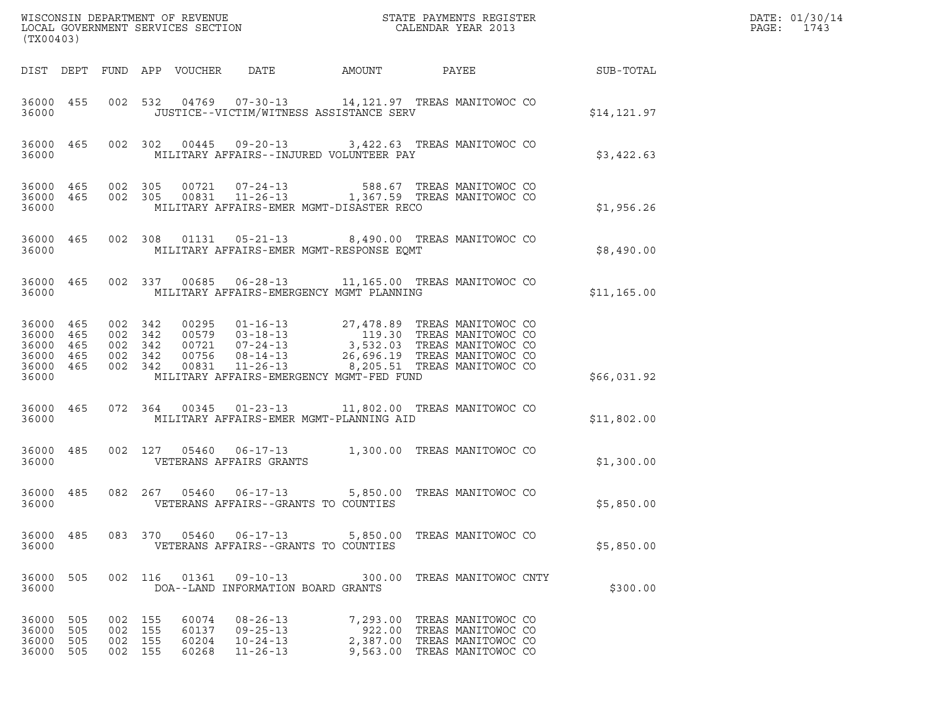| (TX00403)                                                          |                   |                                          |                    |                                  |                                                                | ${\tt WISCONSIM\ DEPARTMENT\ OF\ REVENUE}\qquad \qquad {\tt STATE\ PAYMENTS\ REGISTER} \\ {\tt LOCAL\ GOVERNMENT\ SERVICES\ SECTION}\qquad \qquad {\tt CALENDAR\ YEAR\ 2013}$                                                                                   |                                                                                                                        |                                                            | DATE: 01/30/14<br>$\mathtt{PAGE:}$<br>1743 |
|--------------------------------------------------------------------|-------------------|------------------------------------------|--------------------|----------------------------------|----------------------------------------------------------------|-----------------------------------------------------------------------------------------------------------------------------------------------------------------------------------------------------------------------------------------------------------------|------------------------------------------------------------------------------------------------------------------------|------------------------------------------------------------|--------------------------------------------|
|                                                                    |                   |                                          |                    |                                  |                                                                |                                                                                                                                                                                                                                                                 |                                                                                                                        | DIST DEPT FUND APP VOUCHER DATE AMOUNT PAYEE THE SUB-TOTAL |                                            |
| 36000                                                              |                   |                                          |                    |                                  |                                                                | 36000 455 002 532 04769 07-30-13 14,121.97 TREAS MANITOWOC CO<br>JUSTICE--VICTIM/WITNESS ASSISTANCE SERV                                                                                                                                                        |                                                                                                                        | \$14, 121.97                                               |                                            |
| 36000                                                              |                   |                                          |                    |                                  |                                                                | 36000 465 002 302 00445 09-20-13 3,422.63 TREAS MANITOWOC CO<br>MILITARY AFFAIRS--INJURED VOLUNTEER PAY                                                                                                                                                         |                                                                                                                        | \$3,422.63                                                 |                                            |
| 36000                                                              |                   |                                          |                    |                                  |                                                                | 36000 465 002 305 00721 07-24-13 588.67 TREAS MANITOWOC CO 36000 465 002 305 00831 11-26-13 1,367.59 TREAS MANITOWOC CO<br>MILITARY AFFAIRS-EMER MGMT-DISASTER RECO                                                                                             |                                                                                                                        | \$1,956.26                                                 |                                            |
| 36000                                                              |                   |                                          |                    |                                  |                                                                | 36000 465 002 308 01131 05-21-13 8,490.00 TREAS MANITOWOC CO<br>MILITARY AFFAIRS-EMER MGMT-RESPONSE EQMT                                                                                                                                                        |                                                                                                                        | \$8,490.00                                                 |                                            |
| 36000                                                              |                   |                                          |                    |                                  |                                                                | 36000 465 002 337 00685 06-28-13 11,165.00 TREAS MANITOWOC CO<br>MILITARY AFFAIRS-EMERGENCY MGMT PLANNING                                                                                                                                                       |                                                                                                                        | \$11,165.00                                                |                                            |
| 36000 465<br>36000 465<br>36000<br>36000 465<br>36000 465<br>36000 | 465               | 002 342<br>002 342<br>002 342            | 002 342<br>002 342 |                                  |                                                                | 00295  01-16-13  27,478.89  TREAS MANITOWOC CO<br>00579  03-18-13  119.30  TREAS MANITOWOC CO<br>00721  07-24-13  3,532.03  TREAS MANITOWOC CO<br>00756  08-14-13  26,696.19  TREAS MANITOWOC CO<br>00831  11-26-13<br>MILITARY AFFAIRS-EMERGENCY MGMT-FED FUND |                                                                                                                        | \$66,031.92                                                |                                            |
| 36000                                                              |                   |                                          |                    |                                  |                                                                | 36000 465 072 364 00345 01-23-13 11,802.00 TREAS MANITOWOC CO<br>MILITARY AFFAIRS-EMER MGMT-PLANNING AID                                                                                                                                                        |                                                                                                                        | \$11,802.00                                                |                                            |
|                                                                    |                   |                                          |                    |                                  | 36000 VETERANS AFFAIRS GRANTS                                  | 36000 485 002 127 05460 06-17-13 1,300.00 TREAS MANITOWOC CO                                                                                                                                                                                                    |                                                                                                                        | \$1,300.00                                                 |                                            |
| 36000                                                              |                   |                                          |                    |                                  |                                                                | 36000 485 082 267 05460 06-17-13 5,850.00 TREAS MANITOWOC CO<br>VETERANS AFFAIRS--GRANTS TO COUNTIES                                                                                                                                                            |                                                                                                                        | \$5,850.00                                                 |                                            |
| 36000 485<br>36000                                                 |                   |                                          |                    |                                  |                                                                | 083 370 05460 06-17-13 5,850.00 TREAS MANITOWOC CO<br>VETERANS AFFAIRS--GRANTS TO COUNTIES                                                                                                                                                                      |                                                                                                                        | \$5,850.00                                                 |                                            |
| 36000 505<br>36000                                                 |                   |                                          |                    |                                  | 002 116 01361 09-10-13<br>DOA--LAND INFORMATION BOARD GRANTS   |                                                                                                                                                                                                                                                                 | 300.00 TREAS MANITOWOC CNTY                                                                                            | \$300.00                                                   |                                            |
| 36000 505<br>36000<br>36000<br>36000                               | 505<br>505<br>505 | 002 155<br>002 155<br>002 155<br>002 155 |                    | 60074<br>60137<br>60204<br>60268 | 08-26-13<br>$09 - 25 - 13$<br>$10 - 24 - 13$<br>$11 - 26 - 13$ |                                                                                                                                                                                                                                                                 | 7,293.00 TREAS MANITOWOC CO<br>922.00 TREAS MANITOWOC CO<br>2,387.00 TREAS MANITOWOC CO<br>9,563.00 TREAS MANITOWOC CO |                                                            |                                            |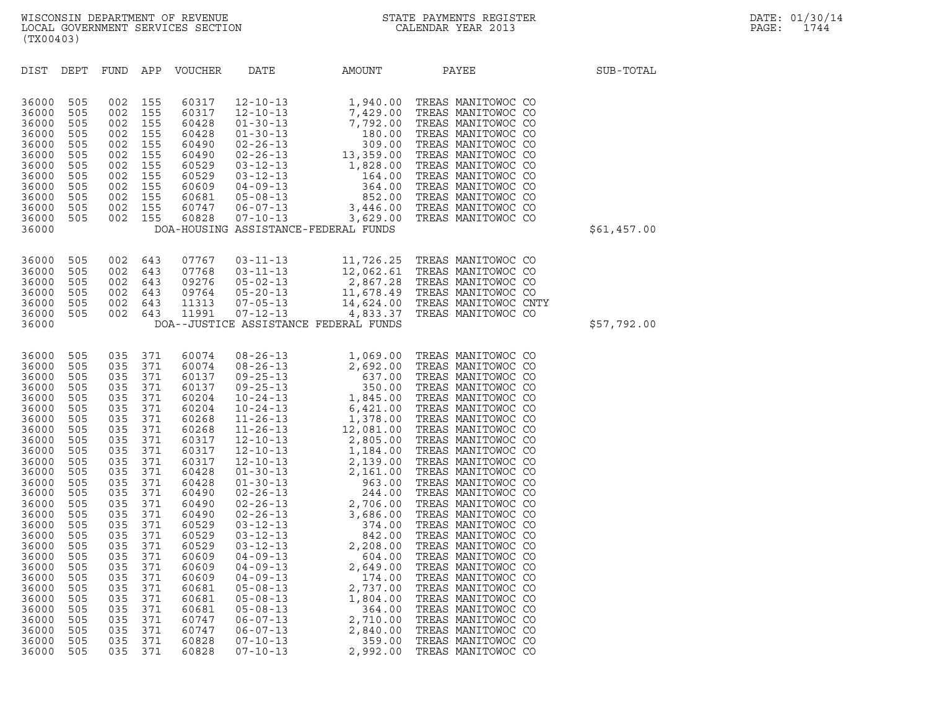| (TX00403)                                                                                                                                                                                                                                                         |                                                                                                                                                                                                         |                                                                                                                                                                                                         |                                                                                                                                                                                                         |                                                                                                                                                                                                                                                                   |                                                                                                                                                                                  |                                                                                                              |                                                                                                                                                                                                                                                                                                                                                 |             |
|-------------------------------------------------------------------------------------------------------------------------------------------------------------------------------------------------------------------------------------------------------------------|---------------------------------------------------------------------------------------------------------------------------------------------------------------------------------------------------------|---------------------------------------------------------------------------------------------------------------------------------------------------------------------------------------------------------|---------------------------------------------------------------------------------------------------------------------------------------------------------------------------------------------------------|-------------------------------------------------------------------------------------------------------------------------------------------------------------------------------------------------------------------------------------------------------------------|----------------------------------------------------------------------------------------------------------------------------------------------------------------------------------|--------------------------------------------------------------------------------------------------------------|-------------------------------------------------------------------------------------------------------------------------------------------------------------------------------------------------------------------------------------------------------------------------------------------------------------------------------------------------|-------------|
| DIST                                                                                                                                                                                                                                                              | DEPT                                                                                                                                                                                                    | <b>FUND</b>                                                                                                                                                                                             | APP                                                                                                                                                                                                     | <b>VOUCHER</b>                                                                                                                                                                                                                                                    | DATE                                                                                                                                                                             | AMOUNT                                                                                                       | PAYEE                                                                                                                                                                                                                                                                                                                                           | SUB-TOTAL   |
| 36000<br>36000<br>36000<br>36000<br>36000<br>36000<br>36000<br>36000<br>36000<br>36000<br>36000<br>36000<br>36000                                                                                                                                                 | 505<br>505<br>505<br>505<br>505<br>505<br>505<br>505<br>505<br>505<br>505<br>505                                                                                                                        | 002<br>002<br>002<br>002<br>002<br>002<br>002<br>002<br>002<br>002<br>002<br>002                                                                                                                        | 155<br>155<br>155<br>155<br>155<br>155<br>155<br>155<br>155<br>155<br>155<br>155                                                                                                                        | 60317<br>60317<br>60428<br>60428<br>60490<br>60490<br>60529<br>60529<br>60609<br>60681<br>60747<br>60828                                                                                                                                                          |                                                                                                                                                                                  | DOA-HOUSING ASSISTANCE-FEDERAL FUNDS                                                                         | $\begin{tabular}{lcccc} $12-10-13$ & $1,940.00$ & TREAS MANTTOWOC CC \\ $12-10-13$ & $7,429.00$ & TREAS MANTTOWOC CC \\ $01-30-13$ & $7,792.00$ & TREAS MANTTOWOC CO \\ $01-30-13$ & $180.00$ & TREAS MANTTOWOC CO \\ $02-26-13$ & $309.00$ & TREAS MANTTOWOC CO \\ $02-26-13$ & $13,359.00$ & TREAS MANTTOWOC CO \\ $03-12-13$ & $1,828.00$ &$ | \$61,457.00 |
| 36000<br>36000<br>36000<br>36000<br>36000<br>36000<br>36000                                                                                                                                                                                                       | 505<br>505<br>505<br>505<br>505<br>505                                                                                                                                                                  | 002<br>002<br>002<br>002<br>002<br>002                                                                                                                                                                  | 643<br>643<br>643<br>643<br>643<br>643                                                                                                                                                                  | 07767<br>07768<br>09276<br>09764<br>11313<br>11991                                                                                                                                                                                                                | $03 - 11 - 13$<br>$03 - 11 - 13$<br>$05 - 02 - 13$<br>$05 - 20 - 13$<br>$07 - 05 - 13$<br>$07 - 12 - 13$                                                                         | DOA--JUSTICE ASSISTANCE FEDERAL FUNDS                                                                        | 11,726.25 TREAS MANITOWOC CO<br>12,062.61 TREAS MANITOWOC CO<br>2,867.28 TREAS MANITOWOC CO<br>11,678.49 TREAS MANITOWOC CO<br>14,624.00 TREAS MANITOWOC CNTY<br>4,833.37 TREAS MANITOWOC CO                                                                                                                                                    | \$57,792.00 |
| 36000<br>36000<br>36000<br>36000<br>36000<br>36000<br>36000<br>36000<br>36000<br>36000<br>36000<br>36000<br>36000<br>36000<br>36000<br>36000<br>36000<br>36000<br>36000<br>36000<br>36000<br>36000<br>36000<br>36000<br>36000<br>36000<br>36000<br>36000<br>36000 | 505<br>505<br>505<br>505<br>505<br>505<br>505<br>505<br>505<br>505<br>505<br>505<br>505<br>505<br>505<br>505<br>505<br>505<br>505<br>505<br>505<br>505<br>505<br>505<br>505<br>505<br>505<br>505<br>505 | 035<br>035<br>035<br>035<br>035<br>035<br>035<br>035<br>035<br>035<br>035<br>035<br>035<br>035<br>035<br>035<br>035<br>035<br>035<br>035<br>035<br>035<br>035<br>035<br>035<br>035<br>035<br>035<br>035 | 371<br>371<br>371<br>371<br>371<br>371<br>371<br>371<br>371<br>371<br>371<br>371<br>371<br>371<br>371<br>371<br>371<br>371<br>371<br>371<br>371<br>371<br>371<br>371<br>371<br>371<br>371<br>371<br>371 | 60074<br>60074<br>60137<br>60137<br>60204<br>60204<br>60268<br>60268<br>60317<br>60317<br>60317<br>60428<br>60428<br>60490<br>60490<br>60490<br>60529<br>60529<br>60529<br>60609<br>60609<br>60609<br>60681<br>60681<br>60681<br>60747<br>60747<br>60828<br>60828 | $04 - 09 - 13$<br>$04 - 09 - 13$<br>$04 - 09 - 13$<br>$05 - 08 - 13$<br>$05 - 08 - 13$<br>$05 - 08 - 13$<br>$06 - 07 - 13$<br>$06 - 07 - 13$<br>$07 - 10 - 13$<br>$07 - 10 - 13$ | 604.00<br>2,649.00<br>174.00<br>2,737.00<br>1,804.00<br>364.00<br>2,710.00<br>2,840.00<br>359.00<br>2,992.00 | TREAS MANITOWOC CO<br>TREAS MANITOWOC CO<br>TREAS MANITOWOC CO<br>TREAS MANITOWOC CO<br>TREAS MANITOWOC CO<br>TREAS MANITOWOC CO<br>TREAS MANITOWOC CO<br>TREAS MANITOWOC CO<br>TREAS MANITOWOC CO<br>TREAS MANITOWOC CO                                                                                                                        |             |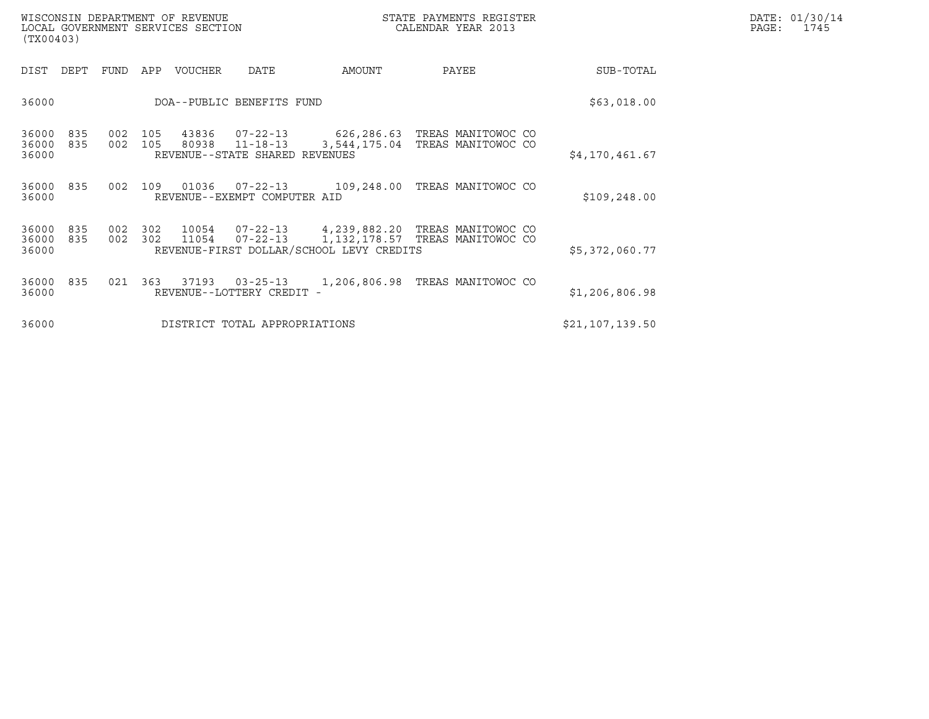| WISCONSIN DEPARTMENT OF REVENUE<br>LOCAL GOVERNMENT SERVICES SECTION<br>(TX00403) |         |         |       |                                |                                          | STATE PAYMENTS REGISTER<br>CALENDAR YEAR 2013                                                         |                 | DATE: 01/30/14<br>PAGE: 1745 |
|-----------------------------------------------------------------------------------|---------|---------|-------|--------------------------------|------------------------------------------|-------------------------------------------------------------------------------------------------------|-----------------|------------------------------|
| DIST DEPT FUND APP VOUCHER                                                        |         |         |       | DATE                           | AMOUNT                                   | PAYEE                                                                                                 | SUB-TOTAL       |                              |
| 36000                                                                             |         |         |       | DOA--PUBLIC BENEFITS FUND      |                                          |                                                                                                       | \$63,018.00     |                              |
| 36000<br>835<br>36000<br>835<br>36000                                             | 002 105 |         | 80938 | REVENUE--STATE SHARED REVENUES |                                          | 002  105  43836  07-22-13  626,286.63  TREAS MANITOWOC CO<br>11-18-13 3,544,175.04 TREAS MANITOWOC CO | \$4,170,461.67  |                              |
| 36000 835<br>36000                                                                |         |         |       | REVENUE--EXEMPT COMPUTER AID   |                                          | 002 109 01036 07-22-13 109,248.00 TREAS MANITOWOC CO                                                  | \$109, 248.00   |                              |
| 36000<br>835<br>36000<br>835<br>36000                                             | 002 302 | 002 302 | 11054 |                                | REVENUE-FIRST DOLLAR/SCHOOL LEVY CREDITS | 10054  07-22-13  4,239,882.20 TREAS MANITOWOC CO<br>07-22-13 1,132,178.57 TREAS MANITOWOC CO          | \$5,372,060.77  |                              |
| 36000 835<br>36000                                                                |         |         |       | REVENUE--LOTTERY CREDIT -      |                                          | 021  363  37193  03-25-13  1,206,806.98  TREAS MANITOWOC CO                                           | \$1,206,806.98  |                              |
| 36000                                                                             |         |         |       | DISTRICT TOTAL APPROPRIATIONS  |                                          |                                                                                                       | \$21,107,139.50 |                              |
|                                                                                   |         |         |       |                                |                                          |                                                                                                       |                 |                              |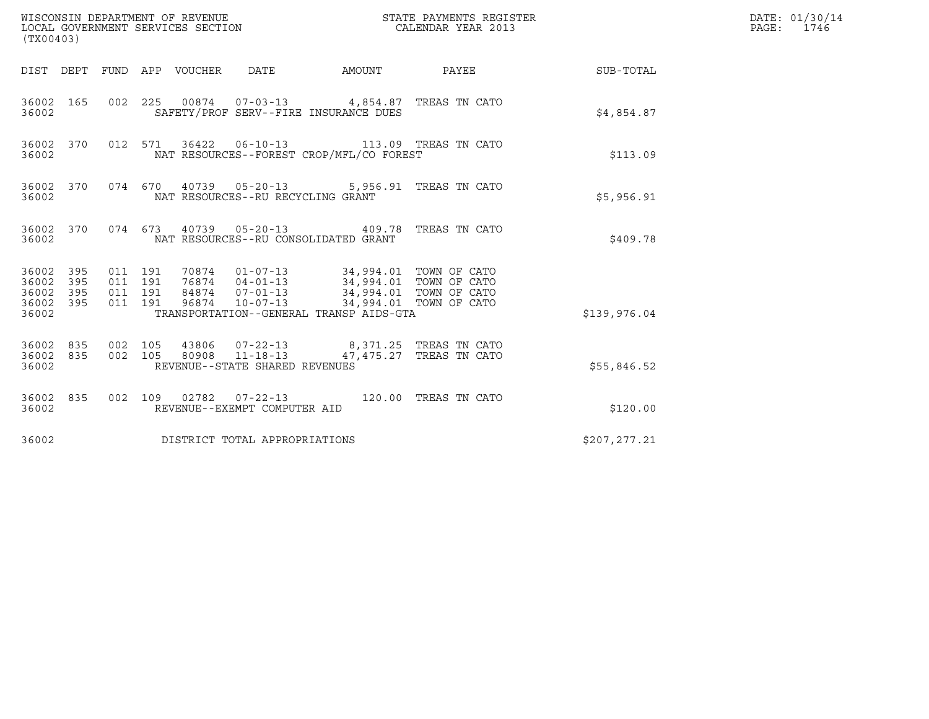| (TX00403)                                         |            |                                          |                                 | WISCONSIN DEPARTMENT OF REVENUE<br>LOCAL GOVERNMENT SERVICES SECTION                                                                                                                                                    |        | STATE PAYMENTS REGISTER<br>CALENDAR YEAR 2013                       |              | DATE: 01/30/14<br>PAGE: 1746 |
|---------------------------------------------------|------------|------------------------------------------|---------------------------------|-------------------------------------------------------------------------------------------------------------------------------------------------------------------------------------------------------------------------|--------|---------------------------------------------------------------------|--------------|------------------------------|
|                                                   |            |                                          | DIST DEPT FUND APP VOUCHER DATE |                                                                                                                                                                                                                         | AMOUNT | PAYEE                                                               | SUB-TOTAL    |                              |
| 36002                                             | 36002 165  |                                          |                                 | SAFETY/PROF SERV--FIRE INSURANCE DUES                                                                                                                                                                                   |        | 002 225 00874 07-03-13 4,854.87 TREAS TN CATO                       | \$4,854.87   |                              |
| 36002                                             | 36002 370  |                                          |                                 | 012 571 36422 06-10-13<br>NAT RESOURCES--FOREST CROP/MFL/CO FOREST                                                                                                                                                      |        | 113.09 TREAS TN CATO                                                | \$113.09     |                              |
| 36002                                             | 36002 370  |                                          |                                 | NAT RESOURCES--RU RECYCLING GRANT                                                                                                                                                                                       |        | 074 670 40739 05-20-13 5,956.91 TREAS TN CATO                       | \$5,956.91   |                              |
| 36002                                             | 36002 370  |                                          |                                 | NAT RESOURCES--RU CONSOLIDATED GRANT                                                                                                                                                                                    |        | 074  673  40739  05-20-13  409.78  TREAS TN CATO                    | \$409.78     |                              |
| 36002 395<br>36002<br>36002<br>36002 395<br>36002 | 395<br>395 | 011 191<br>011 191<br>011 191<br>011 191 |                                 | 70874  01-07-13  34,994.01  TOWN OF CATO<br>76874  04-01-13  34,994.01  TOWN OF CATO<br>84874  07-01-13  34,994.01  TOWN OF CATO<br>96874  10-07-13  34,994.01  TOWN OF CATO<br>TRANSPORTATION--GENERAL TRANSP AIDS-GTA |        |                                                                     | \$139,976.04 |                              |
| 36002 835<br>36002 835<br>36002                   |            | 002 105<br>002 105                       |                                 | 80908 11-18-13<br>REVENUE--STATE SHARED REVENUES                                                                                                                                                                        |        | 43806  07-22-13  8,371.25  TREAS TN CATO<br>47,475.27 TREAS TN CATO | \$55,846.52  |                              |
| 36002 835<br>36002                                |            |                                          |                                 | 002 109 02782 07-22-13<br>REVENUE--EXEMPT COMPUTER AID                                                                                                                                                                  |        | 120.00 TREAS TN CATO                                                | \$120.00     |                              |
| 36002                                             |            |                                          |                                 | DISTRICT TOTAL APPROPRIATIONS                                                                                                                                                                                           |        |                                                                     | \$207,277.21 |                              |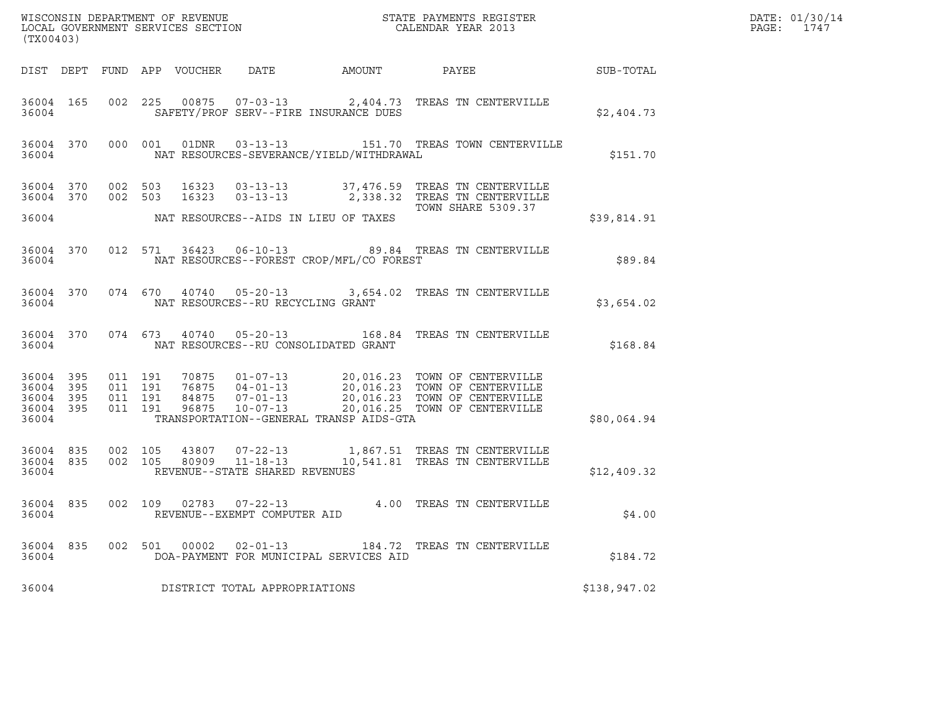| (TX00403)                                    |           |                                          |  |                                         |                                            |                                                                                                                                                                                                          |              | DATE: 01/30/14<br>$\mathtt{PAGE:}$<br>1747 |
|----------------------------------------------|-----------|------------------------------------------|--|-----------------------------------------|--------------------------------------------|----------------------------------------------------------------------------------------------------------------------------------------------------------------------------------------------------------|--------------|--------------------------------------------|
|                                              |           |                                          |  |                                         |                                            |                                                                                                                                                                                                          |              |                                            |
| 36004                                        |           |                                          |  |                                         | SAFETY/PROF SERV--FIRE INSURANCE DUES      | 36004 165 002 225 00875 07-03-13 2,404.73 TREAS TN CENTERVILLE                                                                                                                                           | \$2,404.73   |                                            |
|                                              | 36004     |                                          |  |                                         | NAT RESOURCES-SEVERANCE/YIELD/WITHDRAWAL   | 36004 370 000 001 01DNR 03-13-13 151.70 TREAS TOWN CENTERVILLE                                                                                                                                           | \$151.70     |                                            |
|                                              | 36004 370 | 002 503                                  |  |                                         |                                            | 36004 370 002 503 16323 03-13-13 37,476.59 TREAS TN CENTERVILLE<br>16323  03-13-13  2,338.32  TREAS TN CENTERVILLE                                                                                       |              |                                            |
|                                              |           |                                          |  |                                         | 36004 NAT RESOURCES--AIDS IN LIEU OF TAXES | TOWN SHARE 5309.37                                                                                                                                                                                       | \$39,814.91  |                                            |
| 36004                                        |           |                                          |  |                                         | NAT RESOURCES--FOREST CROP/MFL/CO FOREST   | 36004 370 012 571 36423 06-10-13 89.84 TREAS TN CENTERVILLE                                                                                                                                              | \$89.84      |                                            |
|                                              |           |                                          |  | 36004 NAT RESOURCES--RU RECYCLING GRANT |                                            | 36004 370 074 670 40740 05-20-13 3,654.02 TREAS TN CENTERVILLE                                                                                                                                           | \$3,654.02   |                                            |
|                                              |           |                                          |  |                                         | 36004 NAT RESOURCES--RU CONSOLIDATED GRANT | 36004 370 074 673 40740 05-20-13 168.84 TREAS TN CENTERVILLE                                                                                                                                             | \$168.84     |                                            |
| 36004 395<br>36004 395<br>36004 395<br>36004 | 36004 395 | 011 191<br>011 191<br>011 191<br>011 191 |  |                                         | TRANSPORTATION--GENERAL TRANSP AIDS-GTA    | 70875  01-07-13  20,016.23  TOWN OF CENTERVILLE<br>76875  04-01-13  20,016.23  TOWN OF CENTERVILLE<br>84875  07-01-13  20,016.23  TOWN OF CENTERVILLE<br>96875  10-07-13  20,016.25  TOWN OF CENTERVILLE | \$80,064.94  |                                            |
| 36004                                        | 36004 835 | 002 105<br>36004 835 002 105             |  | REVENUE--STATE SHARED REVENUES          |                                            |                                                                                                                                                                                                          | \$12,409.32  |                                            |
| 36004                                        |           |                                          |  | REVENUE--EXEMPT COMPUTER AID            |                                            | 36004 835 002 109 02783 07-22-13 4.00 TREAS TN CENTERVILLE                                                                                                                                               | \$4.00       |                                            |
| 36004 835<br>36004                           |           | 002 501                                  |  | 00002  02-01-13                         | DOA-PAYMENT FOR MUNICIPAL SERVICES AID     | 184.72 TREAS TN CENTERVILLE                                                                                                                                                                              | \$184.72     |                                            |
| 36004                                        |           |                                          |  | DISTRICT TOTAL APPROPRIATIONS           |                                            |                                                                                                                                                                                                          | \$138,947.02 |                                            |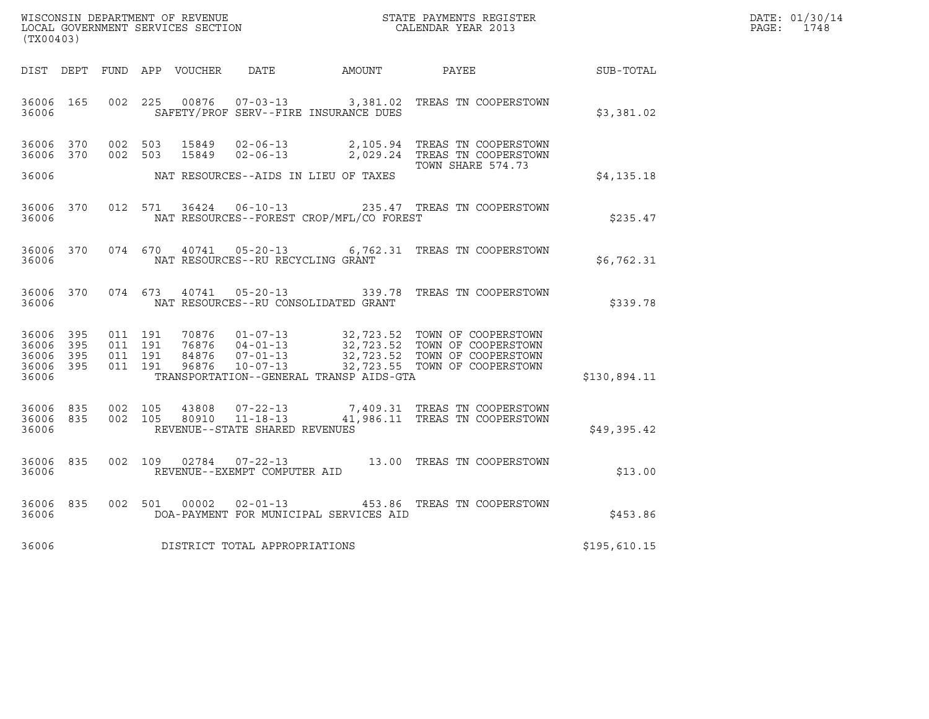| WISCONSIN DEPARTMENT OF REVENUE   | STATE PAYMENTS REGISTER | DATE: 01/30/14 |
|-----------------------------------|-------------------------|----------------|
| LOCAL GOVERNMENT SERVICES SECTION | CALENDAR YEAR 2013      | 1748<br>PAGE:  |

| (TX00403)                                    |     |  |               |                                     |                                          | WISCONSIN DEPARTMENT OF REVENUE<br>LOCAL GOVERNMENT SERVICES SECTION $\rm CALENDAR$ YEAR 2013                                                                                                                                                                                                                                      |              | DATE: 01/30/14<br>PAGE: 1748 |
|----------------------------------------------|-----|--|---------------|-------------------------------------|------------------------------------------|------------------------------------------------------------------------------------------------------------------------------------------------------------------------------------------------------------------------------------------------------------------------------------------------------------------------------------|--------------|------------------------------|
|                                              |     |  |               |                                     |                                          | DIST DEPT FUND APP VOUCHER DATE AMOUNT PAYEE SUB-TOTAL                                                                                                                                                                                                                                                                             |              |                              |
| 36006 165<br>36006                           |     |  |               |                                     | SAFETY/PROF SERV--FIRE INSURANCE DUES    | 002 225 00876 07-03-13 3,381.02 TREAS TN COOPERSTOWN                                                                                                                                                                                                                                                                               | \$3,381.02   |                              |
| 36006 370<br>36006 370                       |     |  |               |                                     |                                          | 002 503 15849 02-06-13 2,105.94 TREAS TN COOPERSTOWN<br>002 503 15849 02-06-13 2,029.24 TREAS TN COOPERSTOWN<br>TOWN SHARE 574.73                                                                                                                                                                                                  |              |                              |
| 36006                                        |     |  |               |                                     | NAT RESOURCES--AIDS IN LIEU OF TAXES     |                                                                                                                                                                                                                                                                                                                                    | \$4,135.18   |                              |
| 36006                                        |     |  |               |                                     | NAT RESOURCES--FOREST CROP/MFL/CO FOREST | 36006 370 012 571 36424 06-10-13 235.47 TREAS TN COOPERSTOWN                                                                                                                                                                                                                                                                       | \$235.47     |                              |
| 36006                                        |     |  |               | NAT RESOURCES--RU RECYCLING GRANT   |                                          | 36006 370 074 670 40741 05-20-13 6,762.31 TREAS TN COOPERSTOWN                                                                                                                                                                                                                                                                     | \$6,762.31   |                              |
| 36006 370<br>36006                           |     |  | 074 673 40741 |                                     | NAT RESOURCES--RU CONSOLIDATED GRANT     | 05-20-13 339.78 TREAS TN COOPERSTOWN                                                                                                                                                                                                                                                                                               | \$339.78     |                              |
| 36006 395<br>36006<br>36006 395<br>36006 395 | 395 |  |               |                                     |                                          | $\begin{array}{cccc} 011 & 191 & 70876 & 01-07-13 & 32,723.52 & \text{TOWN OF COOPERSTOWN} \\ 011 & 191 & 76876 & 04-01-13 & 32,723.52 & \text{TOWN OF COOPERSTOWN} \\ 011 & 191 & 84876 & 07-01-13 & 32,723.52 & \text{TOWN OF COOPERSTOWN} \\ 011 & 191 & 96876 & 10-07-13 & 32,723.55 & \text{TOWN OF COOPERSTOWN} \end{array}$ |              |                              |
| 36006                                        |     |  |               |                                     | TRANSPORTATION--GENERAL TRANSP AIDS-GTA  |                                                                                                                                                                                                                                                                                                                                    | \$130,894.11 |                              |
| 36006 835<br>36006 835<br>36006              |     |  |               | REVENUE--STATE SHARED REVENUES      |                                          | 002 105 43808 07-22-13 7,409.31 TREAS TN COOPERSTOWN<br>002 105 80910 11-18-13 41,986.11 TREAS TN COOPERSTOWN                                                                                                                                                                                                                      | \$49,395.42  |                              |
| 36006 835<br>36006                           |     |  |               | REVENUE--EXEMPT COMPUTER AID        |                                          | 002 109 02784 07-22-13 13.00 TREAS TN COOPERSTOWN                                                                                                                                                                                                                                                                                  | \$13.00      |                              |
| 36006 835<br>36006                           |     |  | 002 501 00002 |                                     | DOA-PAYMENT FOR MUNICIPAL SERVICES AID   | 02-01-13 453.86 TREAS TN COOPERSTOWN                                                                                                                                                                                                                                                                                               | \$453.86     |                              |
|                                              |     |  |               | 36006 DISTRICT TOTAL APPROPRIATIONS |                                          |                                                                                                                                                                                                                                                                                                                                    | \$195,610.15 |                              |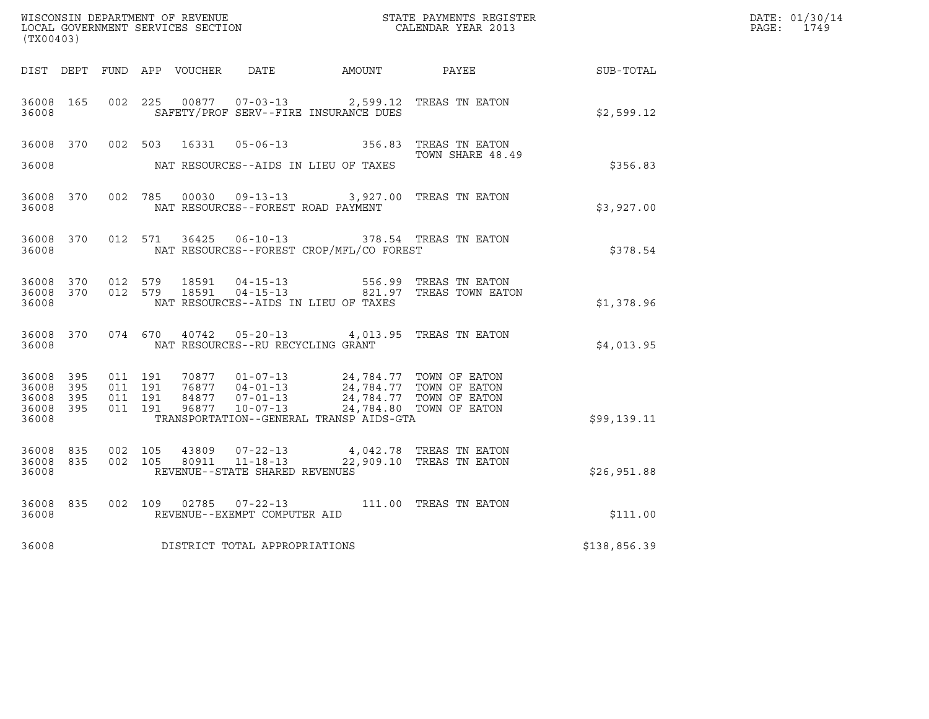| WISCONSIN DEPARTMENT OF REVENUE<br>LOCAL GOVERNMENT SERVICES SECTION<br>(TX00403) |                   |                                          |         |                            |                                                                 |                                                                                    | STATE PAYMENTS REGISTER<br>CALENDAR YEAR 2013                                 |              | DATE: 01/30/14<br>PAGE: 1749 |
|-----------------------------------------------------------------------------------|-------------------|------------------------------------------|---------|----------------------------|-----------------------------------------------------------------|------------------------------------------------------------------------------------|-------------------------------------------------------------------------------|--------------|------------------------------|
|                                                                                   |                   |                                          |         | DIST DEPT FUND APP VOUCHER | DATE                                                            | AMOUNT                                                                             | <b>PAYEE</b>                                                                  | SUB-TOTAL    |                              |
| 36008 165<br>36008                                                                |                   | 002 225                                  |         |                            |                                                                 | 00877  07-03-13  2,599.12  TREAS TN EATON<br>SAFETY/PROF SERV--FIRE INSURANCE DUES |                                                                               | \$2,599.12   |                              |
| 36008 370                                                                         |                   | 002 503                                  |         | 16331                      | $05 - 06 - 13$                                                  |                                                                                    | 356.83 TREAS TN EATON<br>TOWN SHARE 48.49                                     |              |                              |
| 36008                                                                             |                   |                                          |         |                            |                                                                 | NAT RESOURCES--AIDS IN LIEU OF TAXES                                               |                                                                               | \$356.83     |                              |
| 36008 370<br>36008                                                                |                   |                                          | 002 785 |                            | 00030 09-13-13                                                  | NAT RESOURCES--FOREST ROAD PAYMENT                                                 | 3,927.00 TREAS TN EATON                                                       | \$3,927.00   |                              |
| 36008 370<br>36008                                                                |                   | 012 571                                  |         |                            | 36425 06-10-13                                                  | NAT RESOURCES--FOREST CROP/MFL/CO FOREST                                           | 378.54 TREAS TN EATON                                                         | \$378.54     |                              |
| 36008 370<br>36008 370<br>36008                                                   |                   | 012 579<br>012 579                       |         | 18591<br>18591             | $04 - 15 - 13$                                                  | NAT RESOURCES--AIDS IN LIEU OF TAXES                                               | 556.99 TREAS TN EATON<br>04-15-13 821.97 TREAS TOWN EATON                     | \$1,378.96   |                              |
| 36008 370<br>36008                                                                |                   | 074 670                                  |         | 40742                      | NAT RESOURCES--RU RECYCLING GRANT                               | 05-20-13 4,013.95 TREAS TN EATON                                                   |                                                                               | \$4,013.95   |                              |
| 36008 395<br>36008<br>36008<br>36008<br>36008                                     | 395<br>395<br>395 | 011 191<br>011 191<br>011 191<br>011 191 |         | 84877<br>96877             | 70877  01-07-13<br>76877 04-01-13<br>$07 - 01 - 13$<br>10-07-13 | 24,784.77 TOWN OF EATON<br>TRANSPORTATION--GENERAL TRANSP AIDS-GTA                 | 24,784.77 TOWN OF EATON<br>24,784.77 TOWN OF EATON<br>24,784.80 TOWN OF EATON | \$99,139.11  |                              |
| 36008<br>36008<br>36008                                                           | 835<br>835        | 002 105<br>002 105                       |         | 43809<br>80911             | 07-22-13<br>$11 - 18 - 13$<br>REVENUE--STATE SHARED REVENUES    |                                                                                    | 4,042.78 TREAS TN EATON<br>22,909.10 TREAS TN EATON                           | \$26,951.88  |                              |
| 36008 835<br>36008                                                                |                   | 002 109                                  |         | 02785                      | $07 - 22 - 13$<br>REVENUE--EXEMPT COMPUTER AID                  |                                                                                    | 111.00 TREAS TN EATON                                                         | \$111.00     |                              |
| 36008                                                                             |                   |                                          |         |                            | DISTRICT TOTAL APPROPRIATIONS                                   |                                                                                    |                                                                               | \$138,856.39 |                              |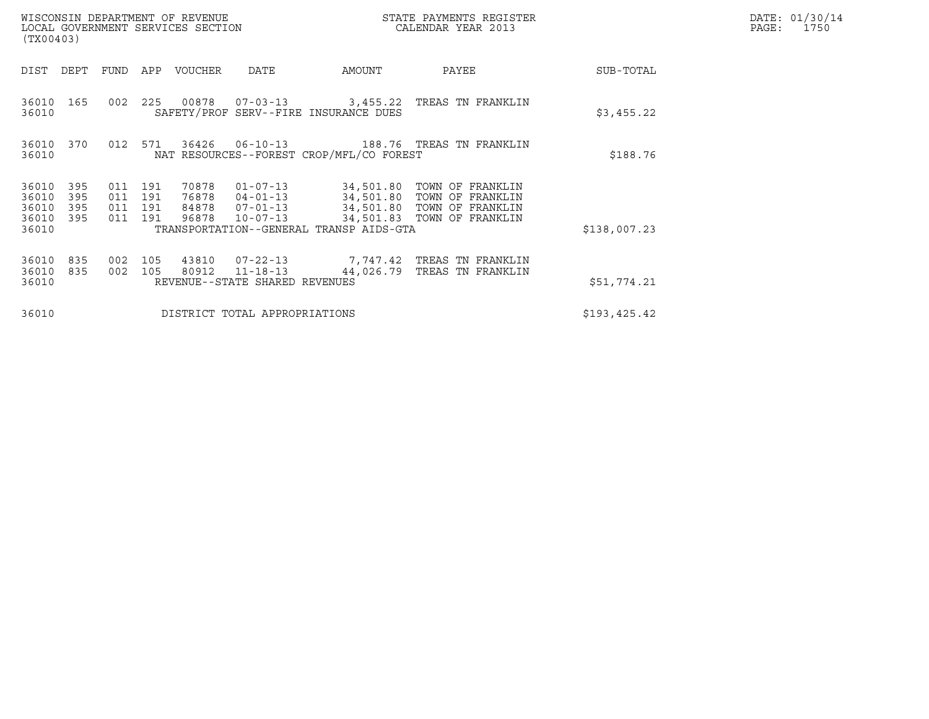| WISCONSIN DEPARTMENT OF REVENUE<br>LOCAL GOVERNMENT SERVICES SECTION<br>(TX00403)                                 |                                                                                                 | STATE PAYMENTS REGISTER<br>CALENDAR YEAR 2013 |                                                                                                                      | DATE: 01/30/14<br>$\mathtt{PAGE:}$<br>1750 |  |
|-------------------------------------------------------------------------------------------------------------------|-------------------------------------------------------------------------------------------------|-----------------------------------------------|----------------------------------------------------------------------------------------------------------------------|--------------------------------------------|--|
| FUND<br>APP<br>DIST<br>DEPT                                                                                       | DATE<br>VOUCHER                                                                                 | AMOUNT                                        | PAYEE                                                                                                                | SUB-TOTAL                                  |  |
| 002<br>225<br>36010 165<br>36010                                                                                  | 00878<br>07-03-13    3,455.22    TREAS TN FRANKLIN<br>SAFETY/PROF SERV--FIRE INSURANCE DUES     |                                               |                                                                                                                      | \$3,455.22                                 |  |
| 012<br>571<br>36010<br>370<br>36010                                                                               | 36426 06-10-13<br>NAT RESOURCES--FOREST CROP/MFL/CO FOREST                                      |                                               | 188.76   TREAS  TN  FRANKLIN                                                                                         | \$188.76                                   |  |
| 191<br>36010<br>395<br>011<br>36010<br>395<br>011<br>191<br>395<br>191<br>36010<br>011<br>395<br>011 191<br>36010 | 70878<br>$01 - 07 - 13$<br>76878 04-01-13<br>84878<br>$07 - 01 - 13$<br>96878<br>$10 - 07 - 13$ |                                               | 34,501.80 TOWN OF FRANKLIN<br>34,501.80 TOWN OF FRANKLIN<br>34,501.80 TOWN OF FRANKLIN<br>34,501.83 TOWN OF FRANKLIN |                                            |  |
| 36010                                                                                                             | TRANSPORTATION--GENERAL TRANSP AIDS-GTA                                                         |                                               |                                                                                                                      | \$138,007.23                               |  |
| 36010<br>835<br>002<br>105<br>36010<br>835<br>002<br>105<br>36010                                                 | 43810<br>$07 - 22 - 13$<br>80912<br>$11 - 18 - 13$<br>REVENUE--STATE SHARED REVENUES            |                                               | 7,747.42 TREAS TN FRANKLIN<br>44,026.79 TREAS TN FRANKLIN                                                            | \$51,774.21                                |  |
| 36010                                                                                                             | DISTRICT TOTAL APPROPRIATIONS                                                                   |                                               |                                                                                                                      | \$193,425.42                               |  |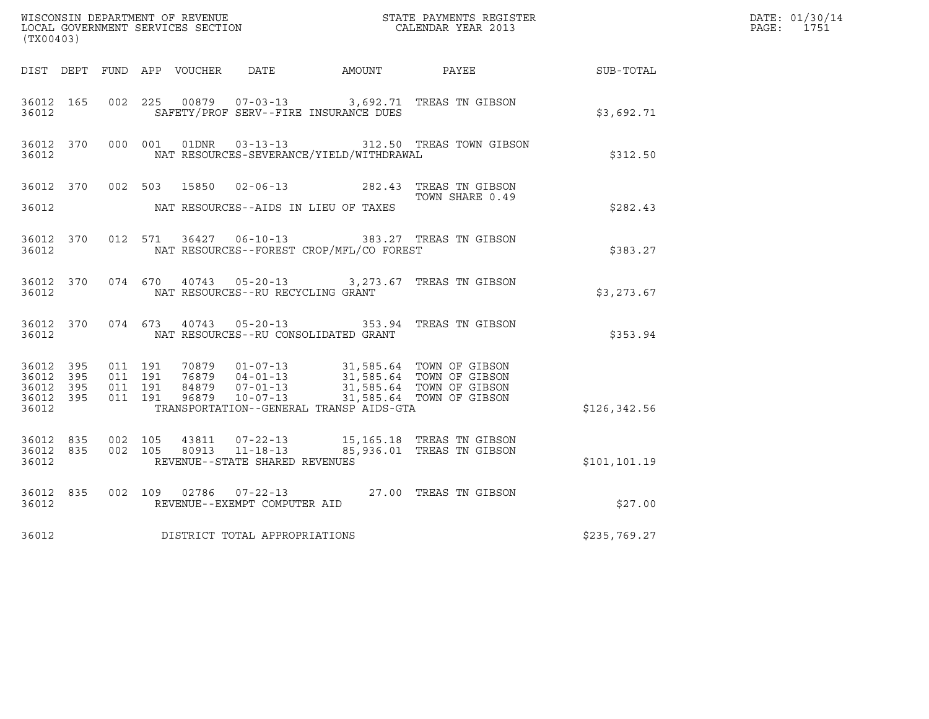| (TX00403)                                                 |  |                               |         |       |                                                        |                                              |                                                                                                                                                                    |                  | DATE: 01/30/14<br>PAGE: 1751 |
|-----------------------------------------------------------|--|-------------------------------|---------|-------|--------------------------------------------------------|----------------------------------------------|--------------------------------------------------------------------------------------------------------------------------------------------------------------------|------------------|------------------------------|
|                                                           |  |                               |         |       |                                                        | DIST DEPT FUND APP VOUCHER DATE AMOUNT PAYEE |                                                                                                                                                                    | <b>SUB-TOTAL</b> |                              |
| 36012 165<br>36012                                        |  | 002 225                       |         | 00879 |                                                        | SAFETY/PROF SERV--FIRE INSURANCE DUES        | 07-03-13 3,692.71 TREAS TN GIBSON                                                                                                                                  | \$3,692.71       |                              |
| 36012 370<br>36012                                        |  |                               | 000 001 |       |                                                        | NAT RESOURCES-SEVERANCE/YIELD/WITHDRAWAL     | 01DNR  03-13-13  312.50 TREAS TOWN GIBSON                                                                                                                          | \$312.50         |                              |
| 36012 370<br>36012                                        |  |                               | 002 503 | 15850 |                                                        | NAT RESOURCES--AIDS IN LIEU OF TAXES         | 02-06-13 282.43 TREAS TN GIBSON<br>TOWN SHARE 0.49                                                                                                                 | \$282.43         |                              |
| 36012 370<br>36012                                        |  |                               |         |       |                                                        | NAT RESOURCES--FOREST CROP/MFL/CO FOREST     | 012 571 36427 06-10-13 383.27 TREAS TN GIBSON                                                                                                                      | \$383.27         |                              |
| 36012 370<br>36012                                        |  |                               |         |       | NAT RESOURCES--RU RECYCLING GRANT                      |                                              | 074 670 40743 05-20-13 3,273.67 TREAS TN GIBSON                                                                                                                    | \$3,273.67       |                              |
| 36012 370<br>36012                                        |  |                               | 074 673 |       |                                                        | NAT RESOURCES--RU CONSOLIDATED GRANT         | 40743  05-20-13  353.94  TREAS TN GIBSON                                                                                                                           | \$353.94         |                              |
| 36012 395<br>36012 395<br>36012 395<br>36012 395<br>36012 |  | 011 191<br>011 191<br>011 191 | 011 191 |       | 96879 10-07-13                                         | TRANSPORTATION--GENERAL TRANSP AIDS-GTA      | 70879  01-07-13  31,585.64  TOWN OF GIBSON<br>76879  04-01-13  31,585.64  TOWN OF GIBSON<br>84879  07-01-13  31,585.64  TOWN OF GIBSON<br>31,585.64 TOWN OF GIBSON | \$126, 342.56    |                              |
| 36012 835<br>36012 835<br>36012                           |  | 002 105<br>002 105            |         | 43811 | 80913 11-18-13<br>REVENUE--STATE SHARED REVENUES       |                                              | 07-22-13 15,165.18 TREAS TN GIBSON<br>85,936.01 TREAS TN GIBSON                                                                                                    | \$101, 101.19    |                              |
| 36012 835<br>36012                                        |  |                               |         |       | 002 109 02786 07-22-13<br>REVENUE--EXEMPT COMPUTER AID |                                              | 27.00 TREAS TN GIBSON                                                                                                                                              | \$27.00          |                              |
| 36012                                                     |  |                               |         |       | DISTRICT TOTAL APPROPRIATIONS                          |                                              |                                                                                                                                                                    | \$235,769.27     |                              |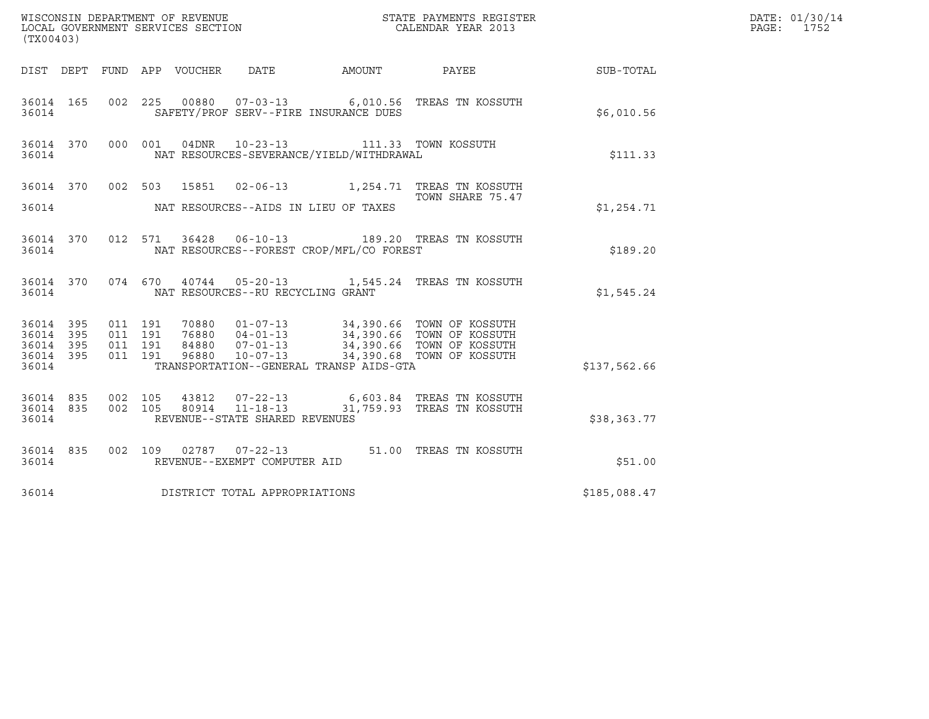| ${\tt WISCOONSIM\ DEPARTMENT\ OF\ REVENUE}\qquad \qquad {\tt STATE\ PAYMENTS\ REGISTER\ LOCAL\ GOVERNMENT\ SERVICES\ SECTION\qquad \qquad {\tt CALENDAR\ YEAR\ 2013}$<br>(TX00403) |                                                                                                                                                                                                                                     |                        | DATE: 01/30/14<br>PAGE: 1752 |  |
|------------------------------------------------------------------------------------------------------------------------------------------------------------------------------------|-------------------------------------------------------------------------------------------------------------------------------------------------------------------------------------------------------------------------------------|------------------------|------------------------------|--|
| DIST DEPT FUND APP VOUCHER DATE                                                                                                                                                    |                                                                                                                                                                                                                                     | AMOUNT PAYEE SUB-TOTAL |                              |  |
| 36014 165 002 225 00880 07-03-13 6,010.56 TREAS TN KOSSUTH<br>36014                                                                                                                | SAFETY/PROF SERV--FIRE INSURANCE DUES                                                                                                                                                                                               |                        | \$6,010.56                   |  |
| 36014 370 000 001 04DNR 10-23-13 111.33 TOWN KOSSUTH<br>36014                                                                                                                      | NAT RESOURCES-SEVERANCE/YIELD/WITHDRAWAL                                                                                                                                                                                            |                        | \$111.33                     |  |
| 36014 370 002 503 15851 02-06-13 1,254.71 TREAS TN KOSSUTH                                                                                                                         |                                                                                                                                                                                                                                     | TOWN SHARE 75.47       |                              |  |
| 36014<br>NAT RESOURCES--AIDS IN LIEU OF TAXES                                                                                                                                      |                                                                                                                                                                                                                                     |                        | \$1,254.71                   |  |
| 36014 370 012 571 36428 06-10-13 189.20 TREAS TN KOSSUTH<br>36014                                                                                                                  | NAT RESOURCES--FOREST CROP/MFL/CO FOREST                                                                                                                                                                                            |                        | \$189.20                     |  |
| 36014 370 074 670 40744 05-20-13 1,545.24 TREAS TN KOSSUTH<br>36014<br>NAT RESOURCES--RU RECYCLING GRANT                                                                           |                                                                                                                                                                                                                                     |                        | \$1,545.24                   |  |
| 36014 395<br>011 191<br>395<br>011 191<br>36014<br>011 191<br>36014 395<br>36014 395<br>011 191<br>36014                                                                           | 70880  01-07-13  34,390.66  TOWN OF KOSSUTH<br>76880  04-01-13  34,390.66  TOWN OF KOSSUTH<br>84880  07-01-13  34,390.66  TOWN OF KOSSUTH<br>96880  10-07-13  34,390.68  TOWN OF KOSSUTH<br>TRANSPORTATION--GENERAL TRANSP AIDS-GTA |                        | \$137,562.66                 |  |
| 002 105 43812 07-22-13 6,603.84 TREAS TN KOSSUTH<br>002 105 80914 11-18-13 31,759.93 TREAS TN KOSSUTH<br>36014 835 002 105<br>36014 835<br>REVENUE--STATE SHARED REVENUES<br>36014 |                                                                                                                                                                                                                                     |                        | \$38,363.77                  |  |
| 36014 835 002 109 02787 07-22-13 51.00 TREAS TN KOSSUTH<br>36014<br>REVENUE--EXEMPT COMPUTER AID                                                                                   |                                                                                                                                                                                                                                     |                        | \$51.00                      |  |
| DISTRICT TOTAL APPROPRIATIONS<br>36014                                                                                                                                             |                                                                                                                                                                                                                                     |                        | \$185,088.47                 |  |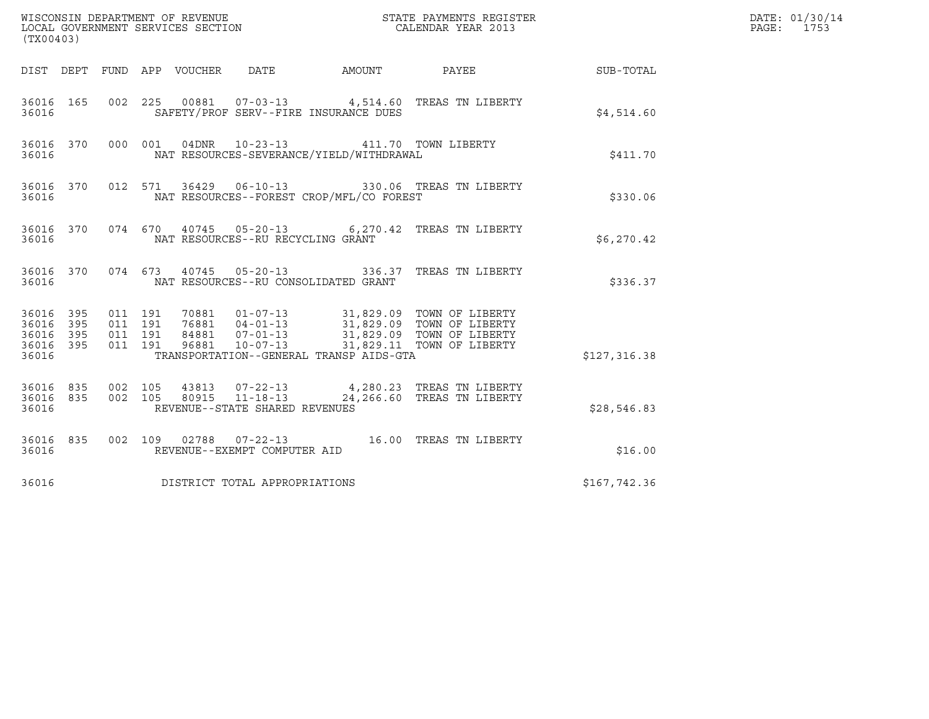| (TX00403)                                                       |                                                                                                                                                                                                                                                                                 |              | DATE: 01/30/14<br>PAGE: 1753 |
|-----------------------------------------------------------------|---------------------------------------------------------------------------------------------------------------------------------------------------------------------------------------------------------------------------------------------------------------------------------|--------------|------------------------------|
|                                                                 | DIST DEPT FUND APP VOUCHER DATE<br>AMOUNT PAYEE SUB-TOTAL                                                                                                                                                                                                                       |              |                              |
| 36016 165<br>36016                                              | 002  225  00881  07-03-13  4,514.60 TREAS TN LIBERTY<br>SAFETY/PROF SERV--FIRE INSURANCE DUES                                                                                                                                                                                   | \$4,514.60   |                              |
| 36016 370<br>36016                                              | 000 001 04DNR 10-23-13<br>411.70 TOWN LIBERTY<br>NAT RESOURCES-SEVERANCE/YIELD/WITHDRAWAL                                                                                                                                                                                       | \$411.70     |                              |
| 36016                                                           | 36016 370 012 571 36429 06-10-13 330.06 TREAS TN LIBERTY<br>NAT RESOURCES--FOREST CROP/MFL/CO FOREST                                                                                                                                                                            | \$330.06     |                              |
| 36016                                                           | 36016 370 074 670 40745 05-20-13 6,270.42 TREAS TN LIBERTY<br>NAT RESOURCES--RU RECYCLING GRANT                                                                                                                                                                                 | \$6,270.42   |                              |
| 36016                                                           | 36016 370 074 673 40745 05-20-13 336.37 TREAS TN LIBERTY<br>NAT RESOURCES--RU CONSOLIDATED GRANT                                                                                                                                                                                | \$336.37     |                              |
| 36016 395<br>395<br>36016<br>395<br>36016<br>36016 395<br>36016 | 011 191<br>70881  01-07-13  31,829.09  TOWN OF LIBERTY<br>76881  04-01-13  31,829.09  TOWN OF LIBERTY<br>84881  07-01-13  31,829.09  TOWN OF LIBERTY<br>96881  10-07-13  31,829.11  TOWN OF LIBERTY<br>011 191<br>011 191<br>011 191<br>TRANSPORTATION--GENERAL TRANSP AIDS-GTA | \$127,316.38 |                              |
| 36016 835 002 105<br>36016 835<br>36016                         | 43813  07-22-13  4,280.23  TREAS TN LIBERTY<br>80915  11-18-13  24,266.60  TREAS TN LIBERTY<br>002 105<br>REVENUE--STATE SHARED REVENUES                                                                                                                                        | \$28,546.83  |                              |
| 36016 835<br>36016                                              | 002 109 02788 07-22-13 16.00 TREAS TN LIBERTY<br>REVENUE--EXEMPT COMPUTER AID                                                                                                                                                                                                   | \$16.00      |                              |
| 36016                                                           | DISTRICT TOTAL APPROPRIATIONS                                                                                                                                                                                                                                                   | \$167,742.36 |                              |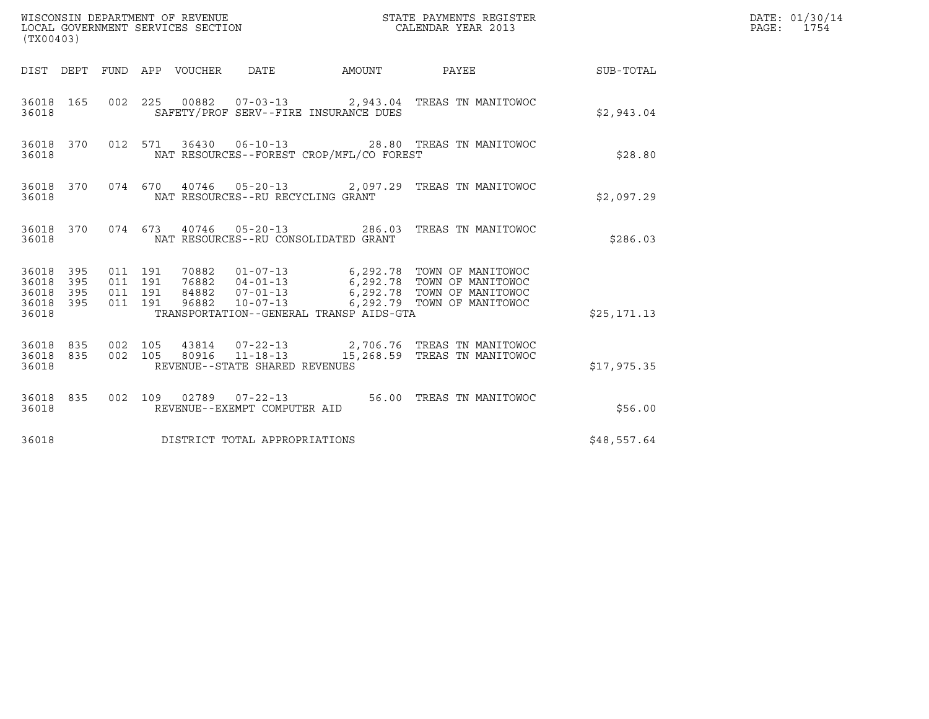| (TX00403)                                         |            |                                          |  |                                 |                                      |                                          |                                                                                                                                                                                                |              | DATE: 01/30/14<br>PAGE: 1754 |
|---------------------------------------------------|------------|------------------------------------------|--|---------------------------------|--------------------------------------|------------------------------------------|------------------------------------------------------------------------------------------------------------------------------------------------------------------------------------------------|--------------|------------------------------|
|                                                   |            |                                          |  | DIST DEPT FUND APP VOUCHER DATE |                                      | AMOUNT                                   | PAYEE                                                                                                                                                                                          | SUB-TOTAL    |                              |
| 36018 165<br>36018                                |            |                                          |  |                                 |                                      | SAFETY/PROF SERV--FIRE INSURANCE DUES    | 002 225 00882 07-03-13 2,943.04 TREAS TN MANITOWOC                                                                                                                                             | \$2,943.04   |                              |
| 36018 370<br>36018                                |            |                                          |  |                                 |                                      | NAT RESOURCES--FOREST CROP/MFL/CO FOREST | 012 571 36430 06-10-13 28.80 TREAS TN MANITOWOC                                                                                                                                                | \$28.80      |                              |
| 36018 370<br>36018                                |            |                                          |  |                                 | NAT RESOURCES--RU RECYCLING GRANT    |                                          | 074 670 40746 05-20-13 2,097.29 TREAS TN MANITOWOC                                                                                                                                             | \$2,097.29   |                              |
| 36018 370<br>36018                                |            |                                          |  |                                 | NAT RESOURCES--RU CONSOLIDATED GRANT |                                          | 074  673  40746  05-20-13  286.03  TREAS TN MANITOWOC                                                                                                                                          | \$286.03     |                              |
| 36018 395<br>36018<br>36018<br>36018 395<br>36018 | 395<br>395 | 011 191<br>011 191<br>011 191<br>011 191 |  |                                 |                                      | TRANSPORTATION--GENERAL TRANSP AIDS-GTA  | 70882  01-07-13   6,292.78  TOWN OF MANITOWOC<br>76882  04-01-13   6,292.78  TOWN OF MANITOWOC<br>84882  07-01-13  6,292.78  TOWN OF MANITOWOC<br>96882  10-07-13  6,292.79  TOWN OF MANITOWOC | \$25, 171.13 |                              |
| 36018 835<br>36018 835<br>36018                   |            | 002 105<br>002 105                       |  |                                 | REVENUE--STATE SHARED REVENUES       |                                          | 43814  07-22-13  2,706.76  TREAS TN MANITOWOC<br>80916  11-18-13  15,268.59  TREAS  TN MANITOWOC                                                                                               | \$17,975.35  |                              |
| 36018 835<br>36018                                |            |                                          |  |                                 | REVENUE--EXEMPT COMPUTER AID         |                                          | 002 109 02789 07-22-13 56.00 TREAS TN MANITOWOC                                                                                                                                                | \$56.00      |                              |
| 36018                                             |            |                                          |  |                                 | DISTRICT TOTAL APPROPRIATIONS        |                                          |                                                                                                                                                                                                | \$48,557.64  |                              |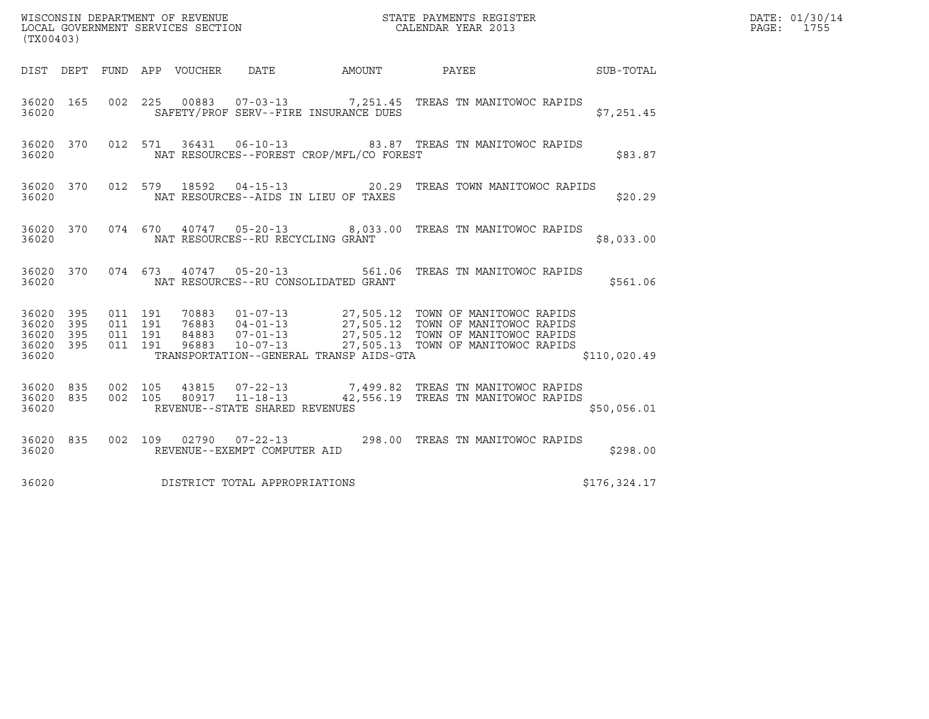| (TX00403)                                     |                   | WISCONSIN DEPARTMENT OF REVENUE<br>LOCAL GOVERNMENT SERVICES SECTION |                                   |                                          | STATE PAYMENTS REGISTER<br>CALENDAR YEAR 2013                                                                                                                                                                                |                        | DATE: 01/30/14<br>PAGE: 1755 |
|-----------------------------------------------|-------------------|----------------------------------------------------------------------|-----------------------------------|------------------------------------------|------------------------------------------------------------------------------------------------------------------------------------------------------------------------------------------------------------------------------|------------------------|------------------------------|
|                                               |                   | DIST DEPT FUND APP VOUCHER DATE                                      |                                   |                                          |                                                                                                                                                                                                                              | AMOUNT PAYEE SUB-TOTAL |                              |
| 36020 165<br>36020                            |                   |                                                                      |                                   | SAFETY/PROF SERV--FIRE INSURANCE DUES    | 002 225 00883 07-03-13 7,251.45 TREAS TN MANITOWOC RAPIDS                                                                                                                                                                    | \$7,251.45             |                              |
| 36020 370<br>36020                            |                   |                                                                      |                                   | NAT RESOURCES--FOREST CROP/MFL/CO FOREST | 012 571 36431 06-10-13 83.87 TREAS TN MANITOWOC RAPIDS                                                                                                                                                                       | \$83.87                |                              |
| 36020 370<br>36020                            |                   | 012 579 18592                                                        |                                   | NAT RESOURCES--AIDS IN LIEU OF TAXES     | 04-15-13 20.29 TREAS TOWN MANITOWOC RAPIDS                                                                                                                                                                                   | \$20.29                |                              |
| 36020 370<br>36020                            |                   |                                                                      | NAT RESOURCES--RU RECYCLING GRANT |                                          | 074 670 40747 05-20-13 8,033.00 TREAS TN MANITOWOC RAPIDS                                                                                                                                                                    | \$8,033.00             |                              |
| 36020 370<br>36020                            |                   |                                                                      |                                   | NAT RESOURCES--RU CONSOLIDATED GRANT     | 074  673  40747  05-20-13  561.06  TREAS TN MANITOWOC RAPIDS                                                                                                                                                                 | \$561.06               |                              |
| 36020 395<br>36020<br>36020<br>36020<br>36020 | 395<br>395<br>395 | 011 191<br>011 191<br>011 191<br>011 191                             |                                   | TRANSPORTATION--GENERAL TRANSP AIDS-GTA  | 70883  01-07-13  27,505.12  TOWN OF MANITOWOC RAPIDS<br>76883  04-01-13  27,505.12  TOWN OF MANITOWOC RAPIDS<br>84883  07-01-13  27,505.12  TOWN OF MANITOWOC RAPIDS<br>96883  10-07-13  27,505.13  TOWN OF MANITOWOC RAPIDS | \$110,020.49           |                              |
| 36020 835<br>36020 835<br>36020               |                   | 002 105<br>002 105<br>REVENUE--STATE SHARED REVENUES                 |                                   |                                          |                                                                                                                                                                                                                              | \$50,056.01            |                              |
| 36020 835<br>36020                            |                   |                                                                      | REVENUE--EXEMPT COMPUTER AID      |                                          | 002 109 02790 07-22-13 298.00 TREAS TN MANITOWOC RAPIDS                                                                                                                                                                      | \$298.00               |                              |
| 36020                                         |                   | DISTRICT TOTAL APPROPRIATIONS                                        |                                   |                                          |                                                                                                                                                                                                                              | \$176,324.17           |                              |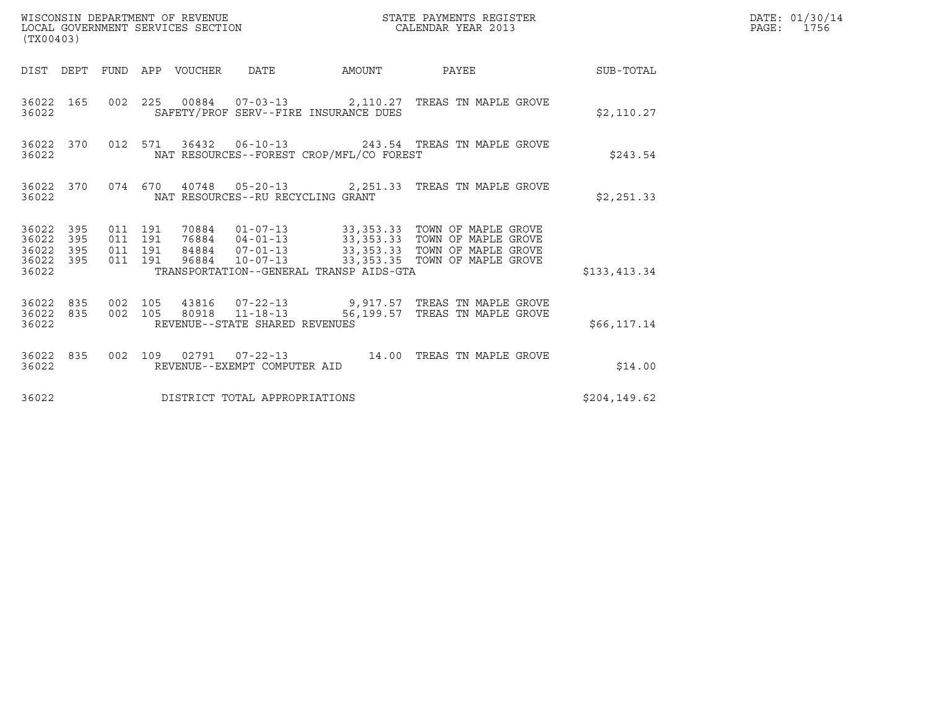| WISCONSIN DEPARTMENT OF REVENUE<br>LOCAL GOVERNMENT SERVICES SECTION<br>(TX00403) |           |                               |         |                                 |                                   |                                          | STATE PAYMENTS REGISTER<br>CALENDAR YEAR 2013                                                                                                                                                                        |               | DATE: 01/30/14<br>PAGE: 1756 |
|-----------------------------------------------------------------------------------|-----------|-------------------------------|---------|---------------------------------|-----------------------------------|------------------------------------------|----------------------------------------------------------------------------------------------------------------------------------------------------------------------------------------------------------------------|---------------|------------------------------|
|                                                                                   |           |                               |         | DIST DEPT FUND APP VOUCHER DATE |                                   |                                          | AMOUNT PAYEE SUB-TOTAL                                                                                                                                                                                               |               |                              |
| 36022                                                                             | 36022 165 |                               |         |                                 |                                   | SAFETY/PROF SERV--FIRE INSURANCE DUES    | 002  225  00884  07-03-13  2,110.27  TREAS TN MAPLE GROVE                                                                                                                                                            | \$2,110.27    |                              |
| 36022                                                                             | 36022 370 |                               |         |                                 |                                   | NAT RESOURCES--FOREST CROP/MFL/CO FOREST | 012 571 36432 06-10-13 243.54 TREAS TN MAPLE GROVE                                                                                                                                                                   | \$243.54      |                              |
| 36022                                                                             |           |                               |         |                                 | NAT RESOURCES--RU RECYCLING GRANT |                                          | 36022 370 074 670 40748 05-20-13 2,251.33 TREAS TN MAPLE GROVE                                                                                                                                                       | \$2,251.33    |                              |
| 36022 395<br>36022 395<br>36022 395<br>36022 395<br>36022                         |           | 011 191<br>011 191<br>011 191 | 011 191 |                                 |                                   | TRANSPORTATION--GENERAL TRANSP AIDS-GTA  | 70884   01-07-13   33,353.33   TOWN OF MAPLE GROVE<br>76884   04-01-13   33,353.33   TOWN OF MAPLE GROVE<br>84884   07-01-13   33,353.33   TOWN OF MAPLE GROVE<br>96884   10-07-13   33,353.35   TOWN OF MAPLE GROVE | \$133,413.34  |                              |
| 36022                                                                             |           |                               |         |                                 | REVENUE--STATE SHARED REVENUES    |                                          | $\begin{array}{cccccc} 36022 & 835 & 002 & 105 & 43816 & 07-22-13 & & 9,917.57 & \text{TREAS TN MAPLE GROVE} \\ 36022 & 835 & 002 & 105 & 80918 & 11-18-13 & & 56,199.57 & \text{TREAS TN MAPLE GROVE} \end{array}$  | \$66, 117.14  |                              |
| 36022                                                                             |           |                               |         |                                 | REVENUE--EXEMPT COMPUTER AID      |                                          | 36022 835 002 109 02791 07-22-13 14.00 TREAS TN MAPLE GROVE                                                                                                                                                          | \$14.00       |                              |
| 36022                                                                             |           |                               |         |                                 | DISTRICT TOTAL APPROPRIATIONS     |                                          |                                                                                                                                                                                                                      | \$204, 149.62 |                              |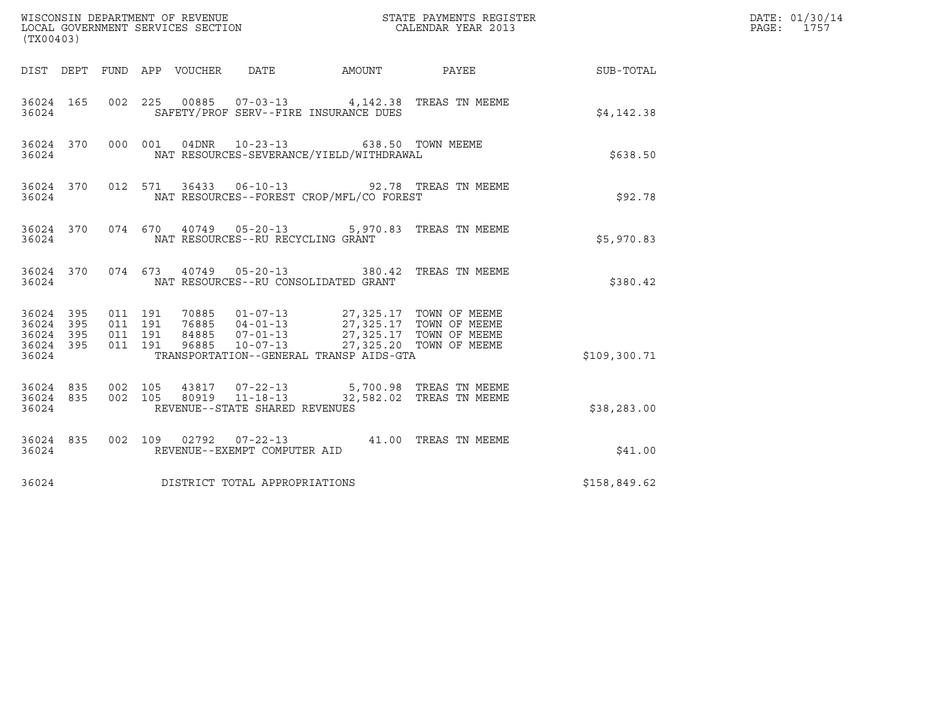| (TX00403)                                             |     |                                          |                                   |                                                                                                                                                                                                                             |                                                            |              | DATE: 01/30/14<br>PAGE: 1757 |
|-------------------------------------------------------|-----|------------------------------------------|-----------------------------------|-----------------------------------------------------------------------------------------------------------------------------------------------------------------------------------------------------------------------------|------------------------------------------------------------|--------------|------------------------------|
|                                                       |     |                                          |                                   |                                                                                                                                                                                                                             | DIST DEPT FUND APP VOUCHER DATE AMOUNT PAYEE THE SUB-TOTAL |              |                              |
| 36024 165<br>36024                                    |     |                                          |                                   | 002 225 00885 07-03-13 4,142.38 TREAS TN MEEME<br>SAFETY/PROF SERV--FIRE INSURANCE DUES                                                                                                                                     |                                                            | \$4,142.38   |                              |
| 36024 370<br>36024                                    |     |                                          | 000 001 04DNR 10-23-13            | NAT RESOURCES-SEVERANCE/YIELD/WITHDRAWAL                                                                                                                                                                                    | 638.50 TOWN MEEME                                          | \$638.50     |                              |
| 36024 370<br>36024                                    |     |                                          |                                   | 012 571 36433 06-10-13 92.78 TREAS TN MEEME<br>NAT RESOURCES--FOREST CROP/MFL/CO FOREST                                                                                                                                     |                                                            | \$92.78      |                              |
| 36024                                                 |     |                                          | NAT RESOURCES--RU RECYCLING GRANT | 36024 370 074 670 40749 05-20-13 5,970.83 TREAS TN MEEME                                                                                                                                                                    |                                                            | \$5,970.83   |                              |
| 36024                                                 |     |                                          |                                   | 36024 370 074 673 40749 05-20-13 380.42 TREAS TN MEEME<br>NAT RESOURCES--RU CONSOLIDATED GRANT                                                                                                                              |                                                            | \$380.42     |                              |
| 36024 395<br>36024 395<br>36024<br>36024 395<br>36024 | 395 | 011 191<br>011 191<br>011 191<br>011 191 |                                   | 70885  01-07-13  27,325.17  TOWN OF MEEME<br>76885  04-01-13  27,325.17  TOWN OF MEEME<br>84885  07-01-13  27,325.17  TOWN OF MEEME<br>96885  10-07-13  27,325.20  TOWN OF MEEME<br>TRANSPORTATION--GENERAL TRANSP AIDS-GTA |                                                            | \$109,300.71 |                              |
| 36024                                                 |     |                                          | REVENUE--STATE SHARED REVENUES    | 36024 835 002 105 43817 07-22-13 5,700.98 TREAS TN MEEME<br>36024 835 002 105 80919 11-18-13 32,582.02 TREAS TN MEEME                                                                                                       |                                                            | \$38, 283.00 |                              |
| 36024 835<br>36024                                    |     |                                          | REVENUE--EXEMPT COMPUTER AID      | 002 109 02792 07-22-13 41.00 TREAS TN MEEME                                                                                                                                                                                 |                                                            | \$41.00      |                              |
| 36024                                                 |     |                                          | DISTRICT TOTAL APPROPRIATIONS     |                                                                                                                                                                                                                             |                                                            | \$158,849.62 |                              |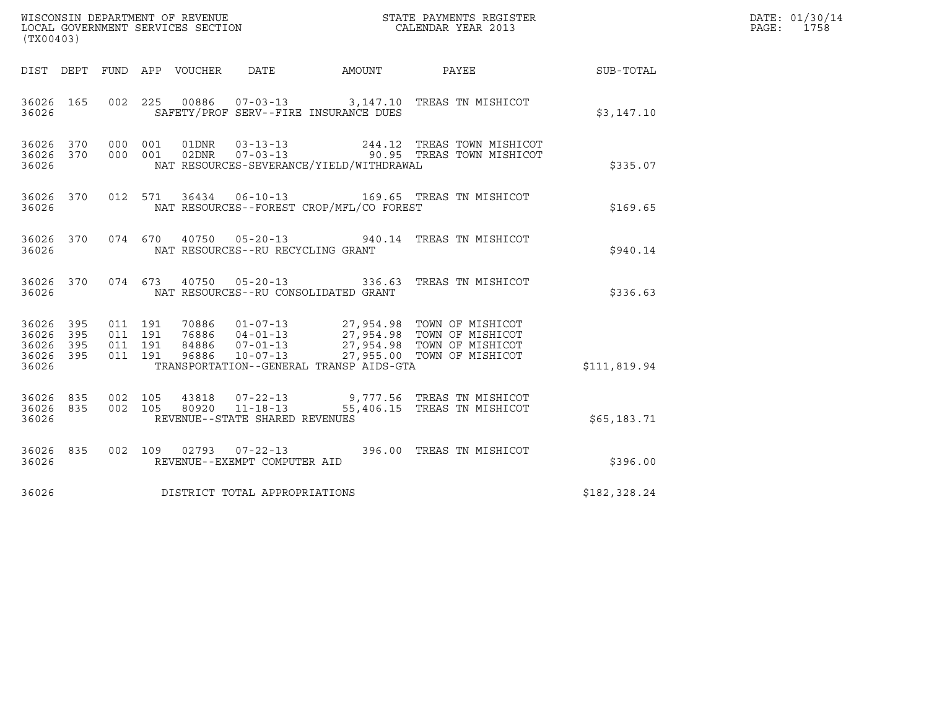| WISCONSIN DEPARTMENT OF REVENUE   | STATE PAYMENTS REGISTER | DATE: 01/30/14 |
|-----------------------------------|-------------------------|----------------|
| LOCAL GOVERNMENT SERVICES SECTION | CALENDAR YEAR 2013      | 1758<br>PAGE:  |

| WISCONSIN DEPARTMENT OF REVENUE<br>LOCAL GOVERNMENT SERVICES SECTION<br>CALENDAR YEAR 2013<br>(TX00403) |  |  |  |  |                                             |  | DATE: 01/30/14<br>PAGE: 1758                                                                                                                                                                                                            |              |  |
|---------------------------------------------------------------------------------------------------------|--|--|--|--|---------------------------------------------|--|-----------------------------------------------------------------------------------------------------------------------------------------------------------------------------------------------------------------------------------------|--------------|--|
|                                                                                                         |  |  |  |  |                                             |  | DIST DEPT FUND APP VOUCHER DATE AMOUNT PAYEE PATE SUB-TOTAL                                                                                                                                                                             |              |  |
|                                                                                                         |  |  |  |  | 36026 SAFETY/PROF SERV--FIRE INSURANCE DUES |  | 36026 165 002 225 00886 07-03-13 3,147.10 TREAS TN MISHICOT                                                                                                                                                                             | \$3,147.10   |  |
| 36026                                                                                                   |  |  |  |  | NAT RESOURCES-SEVERANCE/YIELD/WITHDRAWAL    |  | 36026 370 000 001 01DNR 03-13-13 244.12 TREAS TOWN MISHICOT<br>36026 370 000 001 02DNR 07-03-13 90.95 TREAS TOWN MISHICOT                                                                                                               | \$335.07     |  |
| 36026                                                                                                   |  |  |  |  | NAT RESOURCES--FOREST CROP/MFL/CO FOREST    |  | 36026 370 012 571 36434 06-10-13 169.65 TREAS TN MISHICOT                                                                                                                                                                               | \$169.65     |  |
|                                                                                                         |  |  |  |  | 36026 NAT RESOURCES--RU RECYCLING GRANT     |  | 36026 370 074 670 40750 05-20-13 940.14 TREAS TN MISHICOT                                                                                                                                                                               | \$940.14     |  |
| 36026                                                                                                   |  |  |  |  | NAT RESOURCES--RU CONSOLIDATED GRANT        |  | 36026 370 074 673 40750 05-20-13 336.63 TREAS TN MISHICOT                                                                                                                                                                               | \$336.63     |  |
| 36026                                                                                                   |  |  |  |  | TRANSPORTATION--GENERAL TRANSP AIDS-GTA     |  | 36026 395 011 191 70886 01-07-13 27,954.98 TOWN OF MISHICOT<br>36026 395 011 191 76886 04-01-13 27,954.98 TOWN OF MISHICOT<br>36026 395 011 191 84886 07-01-13 27,954.98 TOWN OF MISHICOT<br>36026 395 011 191 96886 10-07-13 27,955.00 | \$111,819.94 |  |
| 36026                                                                                                   |  |  |  |  | REVENUE--STATE SHARED REVENUES              |  | 36026 835 002 105 43818 07-22-13 9,777.56 TREAS TN MISHICOT<br>36026 835 002 105 80920 11-18-13 55,406.15 TREAS TN MISHICOT                                                                                                             | \$65,183.71  |  |
| 36026                                                                                                   |  |  |  |  | REVENUE--EXEMPT COMPUTER AID                |  | 36026 835 002 109 02793 07-22-13 396.00 TREAS TN MISHICOT                                                                                                                                                                               | \$396.00     |  |
| 36026                                                                                                   |  |  |  |  | DISTRICT TOTAL APPROPRIATIONS               |  |                                                                                                                                                                                                                                         | \$182,328.24 |  |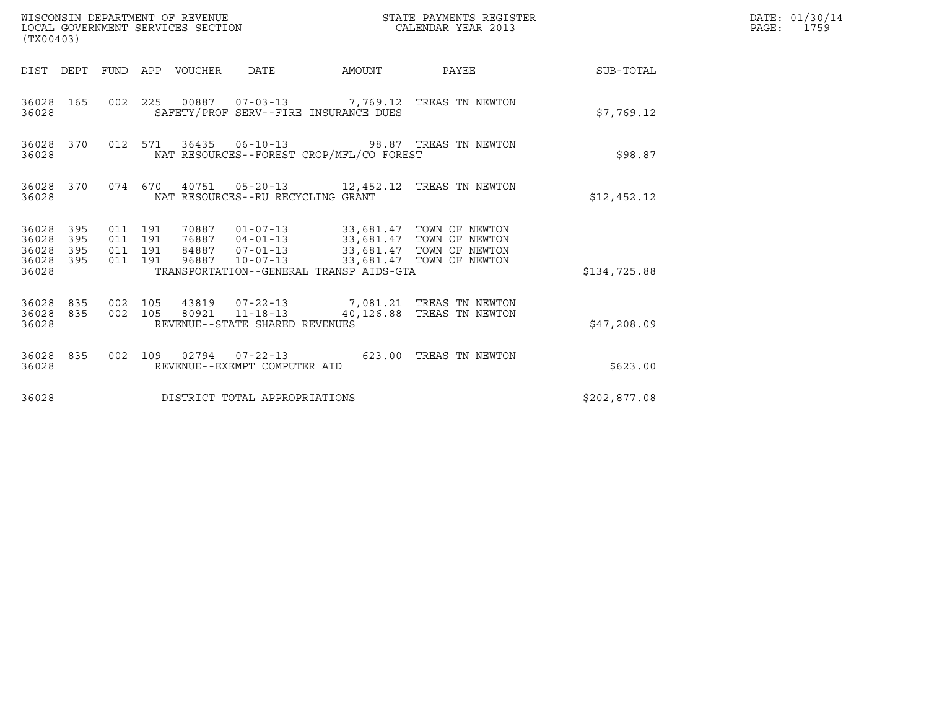| (TX00403)                                                             | WISCONSIN DEPARTMENT OF REVENUE<br>LOCAL GOVERNMENT SERVICES SECTION                                                                                                                                                                                     | STATE PAYMENTS REGISTER<br>CALENDAR YEAR 2013 | DATE: 01/30/14<br>PAGE:<br>1759 |
|-----------------------------------------------------------------------|----------------------------------------------------------------------------------------------------------------------------------------------------------------------------------------------------------------------------------------------------------|-----------------------------------------------|---------------------------------|
|                                                                       | DIST DEPT FUND APP VOUCHER DATE<br>AMOUNT                                                                                                                                                                                                                | PAYEE<br>SUB-TOTAL                            |                                 |
| 36028 165<br>36028                                                    | 002 225 00887 07-03-13 7,769.12 TREAS TN NEWTON<br>SAFETY/PROF SERV--FIRE INSURANCE DUES                                                                                                                                                                 | \$7,769.12                                    |                                 |
| 36028 370<br>36028                                                    | 012 571<br>NAT RESOURCES--FOREST CROP/MFL/CO FOREST                                                                                                                                                                                                      | \$98.87                                       |                                 |
| 36028 370<br>36028                                                    | 074 670 40751 05-20-13 12,452.12 TREAS TN NEWTON<br>NAT RESOURCES--RU RECYCLING GRANT                                                                                                                                                                    | \$12,452.12                                   |                                 |
| 36028<br>395<br>36028<br>395<br>36028<br>395<br>395<br>36028<br>36028 | 011 191<br>70887  01-07-13  33,681.47  TOWN OF NEWTON<br>76887  04-01-13  33,681.47  TOWN OF NEWTON<br>011 191<br>84887  07-01-13  33,681.47  TOWN OF NEWTON<br>011 191<br>011 191<br>$10 - 07 - 13$<br>96887<br>TRANSPORTATION--GENERAL TRANSP AIDS-GTA | 33,681.47 TOWN OF NEWTON<br>\$134,725.88      |                                 |
| 36028<br>835<br>36028<br>835<br>36028                                 | 43819  07-22-13  7,081.21  TREAS TN NEWTON<br>002 105<br>80921 11-18-13<br>002 105<br>REVENUE--STATE SHARED REVENUES                                                                                                                                     | 40,126.88 TREAS TN NEWTON<br>\$47,208.09      |                                 |
| 36028<br>835<br>36028                                                 | 002 109 02794 07-22-13<br>REVENUE--EXEMPT COMPUTER AID                                                                                                                                                                                                   | 623.00 TREAS TN NEWTON<br>\$623.00            |                                 |
| 36028                                                                 | DISTRICT TOTAL APPROPRIATIONS                                                                                                                                                                                                                            | \$202,877.08                                  |                                 |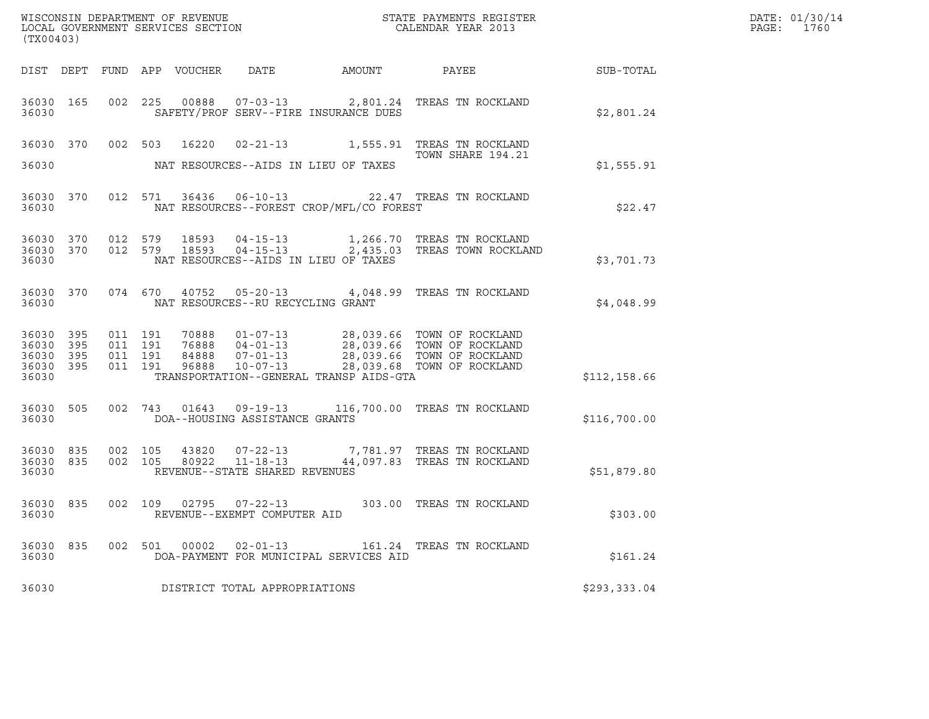| ${\tt WISCONSIN} \begin{tabular}{l} DEPARTMENT OF REVIEW \\ LOCAL GOVERIMENT S ERVICES SECTION \\ \end{tabular}$<br>(TX00403) |                   |                               |         |                                  |                                                        |                                          |                                                                                                                   |              | DATE: 01/30/14<br>$\mathtt{PAGE:}$<br>1760 |
|-------------------------------------------------------------------------------------------------------------------------------|-------------------|-------------------------------|---------|----------------------------------|--------------------------------------------------------|------------------------------------------|-------------------------------------------------------------------------------------------------------------------|--------------|--------------------------------------------|
|                                                                                                                               |                   |                               |         | DIST DEPT FUND APP VOUCHER       | DATE                                                   | AMOUNT PAYEE                             |                                                                                                                   | SUB-TOTAL    |                                            |
| 36030 165<br>36030                                                                                                            |                   |                               |         |                                  |                                                        | SAFETY/PROF SERV--FIRE INSURANCE DUES    | 002 225 00888 07-03-13 2,801.24 TREAS TN ROCKLAND                                                                 | \$2,801.24   |                                            |
|                                                                                                                               |                   |                               |         | 36030 370 002 503 16220          |                                                        |                                          | 02-21-13 1,555.91 TREAS TN ROCKLAND                                                                               |              |                                            |
| 36030                                                                                                                         |                   |                               |         |                                  |                                                        | NAT RESOURCES--AIDS IN LIEU OF TAXES     | TOWN SHARE 194.21                                                                                                 | \$1,555.91   |                                            |
| 36030 370<br>36030                                                                                                            |                   |                               |         |                                  |                                                        | NAT RESOURCES--FOREST CROP/MFL/CO FOREST | 012 571 36436 06-10-13 22.47 TREAS TN ROCKLAND                                                                    | \$22.47      |                                            |
| 36030 370<br>36030 370<br>36030                                                                                               |                   |                               | 012 579 | 18593                            |                                                        | NAT RESOURCES--AIDS IN LIEU OF TAXES     | 04-15-13 1,266.70 TREAS TN ROCKLAND<br>012 579 18593 04-15-13 2,435.03 TREAS TOWN ROCKLAND                        | \$3,701.73   |                                            |
| 36030 370<br>36030                                                                                                            |                   |                               |         |                                  | NAT RESOURCES--RU RECYCLING GRANT                      |                                          | 074 670 40752 05-20-13 4,048.99 TREAS TN ROCKLAND                                                                 | \$4,048.99   |                                            |
| 36030 395<br>36030<br>36030<br>36030<br>36030                                                                                 | 395<br>395<br>395 | 011 191<br>011 191<br>011 191 | 011 191 | 70888<br>76888<br>84888<br>96888 |                                                        | TRANSPORTATION--GENERAL TRANSP AIDS-GTA  | 01-07-13 28,039.66 TOWN OF ROCKLAND<br>04-01-13<br>04-01-13<br>07-01-13<br>10-07-13<br>28,039.66 TOWN OF ROCKLAND | \$112,158.66 |                                            |
| 36030 505<br>36030                                                                                                            |                   |                               |         |                                  | DOA--HOUSING ASSISTANCE GRANTS                         |                                          | 002 743 01643 09-19-13 116,700.00 TREAS TN ROCKLAND                                                               | \$116,700.00 |                                            |
| 36030 835<br>36030 835<br>36030                                                                                               |                   | 002 105                       | 002 105 | 43820<br>80922                   | REVENUE--STATE SHARED REVENUES                         |                                          | 07-22-13 7,781.97 TREAS TN ROCKLAND<br>11-18-13 44,097.83 TREAS TN ROCKLAND                                       | \$51,879.80  |                                            |
| 36030 835<br>36030                                                                                                            |                   |                               |         |                                  | 002 109 02795 07-22-13<br>REVENUE--EXEMPT COMPUTER AID |                                          | 303.00 TREAS TN ROCKLAND                                                                                          | \$303.00     |                                            |
| 36030 835<br>36030                                                                                                            |                   |                               | 002 501 |                                  | 00002  02-01-13                                        | DOA-PAYMENT FOR MUNICIPAL SERVICES AID   | 161.24 TREAS TN ROCKLAND                                                                                          | \$161.24     |                                            |
| 36030                                                                                                                         |                   |                               |         |                                  | DISTRICT TOTAL APPROPRIATIONS                          |                                          |                                                                                                                   | \$293,333.04 |                                            |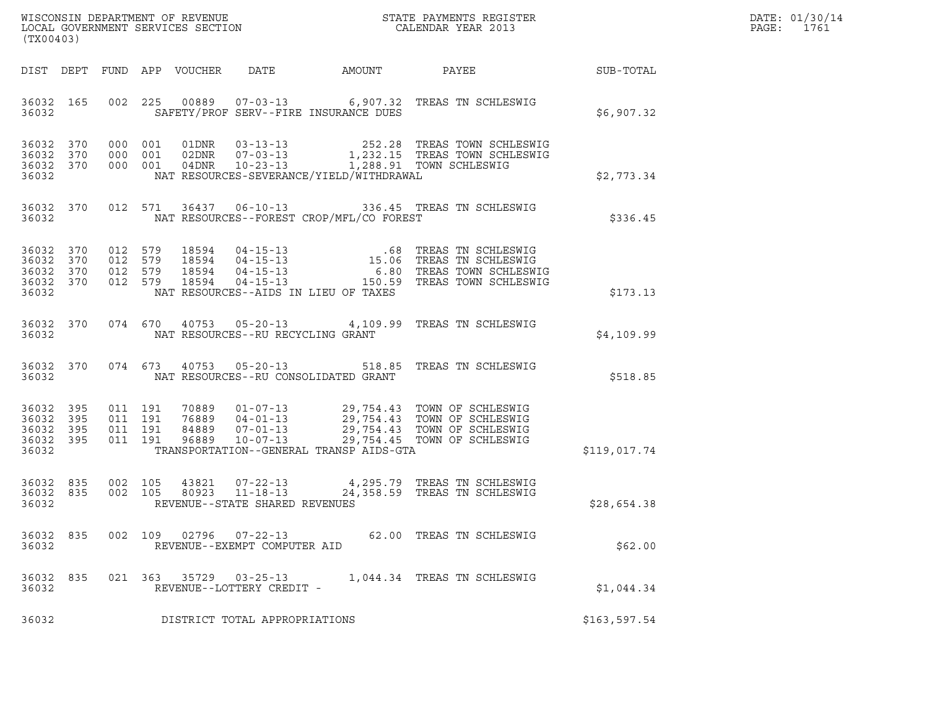| WISCONSIN DEPARTMENT OF REVENUE   | STATE PAYMENTS REGISTER | DATE: 01/30/14 |
|-----------------------------------|-------------------------|----------------|
| LOCAL GOVERNMENT SERVICES SECTION | CALENDAR YEAR 2013      | PAGE:<br>1761  |

| (TX00403)                                             |            |                          |                              |                         |                                                     |                                          | WISCONSIN DEPARTMENT OF REVENUE<br>LOCAL GOVERNMENT SERVICES SECTION FOR THE PAYMENTS REGISTER<br>(TYA04403)                                                                                     |              |
|-------------------------------------------------------|------------|--------------------------|------------------------------|-------------------------|-----------------------------------------------------|------------------------------------------|--------------------------------------------------------------------------------------------------------------------------------------------------------------------------------------------------|--------------|
| DIST                                                  | DEPT       |                          |                              |                         |                                                     |                                          | FUND APP VOUCHER DATE AMOUNT PAYEE                                                                                                                                                               | SUB-TOTAL    |
| 36032                                                 | 36032 165  | 002                      |                              |                         |                                                     | SAFETY/PROF SERV--FIRE INSURANCE DUES    | 225  00889  07-03-13   6,907.32  TREAS TN SCHLESWIG                                                                                                                                              | \$6,907.32   |
| 36032<br>36032<br>36032 370<br>36032                  | 370<br>370 | 000<br>000<br>000        | 001<br>001<br>001            |                         |                                                     | NAT RESOURCES-SEVERANCE/YIELD/WITHDRAWAL |                                                                                                                                                                                                  | \$2,773.34   |
| 36032                                                 | 36032 370  |                          |                              |                         |                                                     | NAT RESOURCES--FOREST CROP/MFL/CO FOREST | 012 571 36437 06-10-13 336.45 TREAS TN SCHLESWIG                                                                                                                                                 | \$336.45     |
| 36032<br>36032 370<br>36032 370<br>36032 370<br>36032 | 370        | 012<br>012<br>012        | 579<br>579<br>579<br>012 579 |                         |                                                     | NAT RESOURCES--AIDS IN LIEU OF TAXES     |                                                                                                                                                                                                  | \$173.13     |
| 36032<br>36032                                        | 370        |                          |                              |                         | NAT RESOURCES--RU RECYCLING GRANT                   |                                          | 074 670 40753 05-20-13 4,109.99 TREAS TN SCHLESWIG                                                                                                                                               | \$4,109.99   |
| 36032                                                 | 36032 370  |                          | 074 673                      |                         |                                                     | NAT RESOURCES--RU CONSOLIDATED GRANT     | 40753  05-20-13  518.85  TREAS TN SCHLESWIG                                                                                                                                                      | \$518.85     |
| 36032<br>36032<br>36032 395<br>36032 395<br>36032     | 395<br>395 | 011<br>011<br>011<br>011 | 191<br>191<br>191<br>191     |                         |                                                     | TRANSPORTATION--GENERAL TRANSP AIDS-GTA  | 70889  01-07-13  29,754.43  TOWN OF SCHLESWIG<br>76889  04-01-13  29,754.43  TOWN OF SCHLESWIG<br>84889  07-01-13  29,754.43  TOWN OF SCHLESWIG<br>96889  10-07-13  29,754.45  TOWN OF SCHLESWIG | \$119,017.74 |
| 36032<br>36032<br>36032                               | 835<br>835 | 002                      | 002 105<br>105               |                         | REVENUE--STATE SHARED REVENUES                      |                                          | 43821   07-22-13   4,295.79   TREAS TN SCHLESWIG<br>80923   11-18-13   24,358.59   TREAS TN SCHLESWIG                                                                                            | \$28,654.38  |
| 36032                                                 |            |                          |                              | 36032 835 002 109 02796 | REVENUE--EXEMPT COMPUTER AID                        |                                          | 07-22-13 62.00 TREAS TN SCHLESWIG                                                                                                                                                                | \$62.00      |
| 36032 835<br>36032                                    |            |                          |                              |                         | 021 363 35729 03-25-13<br>REVENUE--LOTTERY CREDIT - |                                          | 1,044.34 TREAS TN SCHLESWIG                                                                                                                                                                      | \$1,044.34   |
| 36032                                                 |            |                          |                              |                         | DISTRICT TOTAL APPROPRIATIONS                       |                                          |                                                                                                                                                                                                  | \$163,597.54 |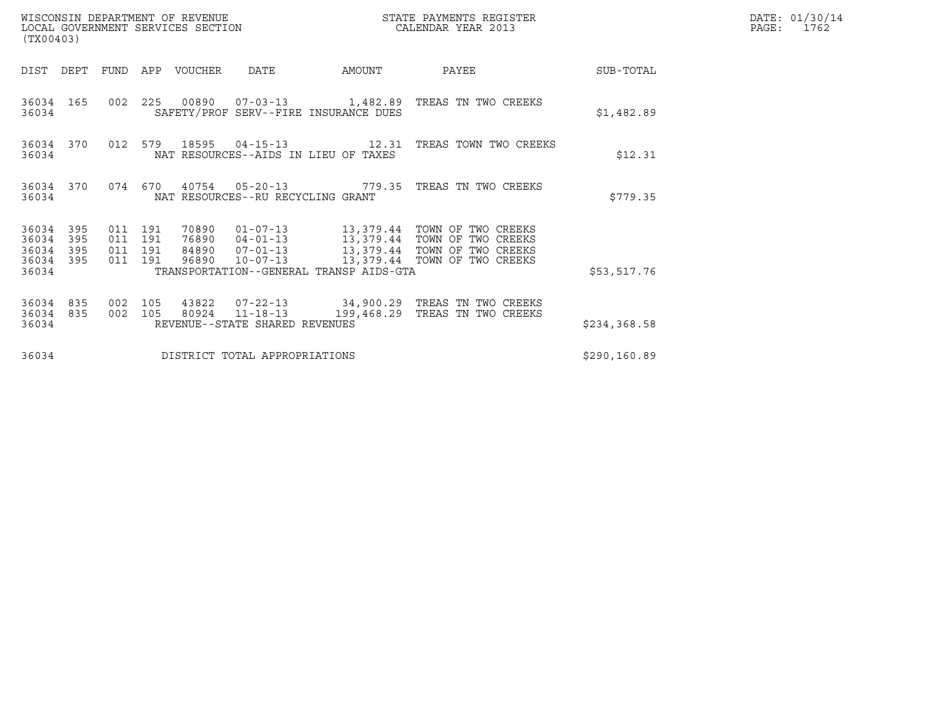| (TX00403)                                 |                          |                                          |         | WISCONSIN DEPARTMENT OF REVENUE<br>LOCAL GOVERNMENT SERVICES SECTION |                                                     |                                         | STATE PAYMENTS REGISTER<br>CALENDAR YEAR 2013                |               | DATE: 01/30/14<br>PAGE:<br>1762 |
|-------------------------------------------|--------------------------|------------------------------------------|---------|----------------------------------------------------------------------|-----------------------------------------------------|-----------------------------------------|--------------------------------------------------------------|---------------|---------------------------------|
| DIST                                      | DEPT                     | FUND                                     | APP     | VOUCHER                                                              | <b>DATE</b>                                         | AMOUNT                                  | PAYEE                                                        | SUB-TOTAL     |                                 |
| 36034                                     | 36034 165                |                                          |         |                                                                      |                                                     | SAFETY/PROF SERV--FIRE INSURANCE DUES   | 002  225  00890  07-03-13   1,482.89  TREAS   TN TWO CREEKS  | \$1,482.89    |                                 |
| 36034                                     | 36034 370                | 012 579                                  |         | 18595                                                                |                                                     | NAT RESOURCES--AIDS IN LIEU OF TAXES    |                                                              | \$12.31       |                                 |
| 36034                                     | 36034 370                |                                          | 074 670 |                                                                      | 40754 05-20-13<br>NAT RESOURCES--RU RECYCLING GRANT |                                         | 779.35 TREAS TN TWO CREEKS                                   | \$779.35      |                                 |
| 36034<br>36034<br>36034<br>36034<br>36034 | 395<br>395<br>395<br>395 | 011 191<br>011 191<br>011 191<br>011 191 |         | 70890<br>76890<br>84890<br>96890                                     | $07 - 01 - 13$<br>$10 - 07 - 13$                    | TRANSPORTATION--GENERAL TRANSP AIDS-GTA | 13,379.44 TOWN OF TWO CREEKS<br>13,379.44 TOWN OF TWO CREEKS | \$53,517.76   |                                 |
| 36034<br>36034<br>36034                   | 835<br>835               | 002<br>002 105                           | 105     | 43822<br>80924                                                       | REVENUE--STATE SHARED REVENUES                      |                                         |                                                              | \$234,368.58  |                                 |
| 36034                                     |                          |                                          |         |                                                                      | DISTRICT TOTAL APPROPRIATIONS                       |                                         |                                                              | \$290, 160.89 |                                 |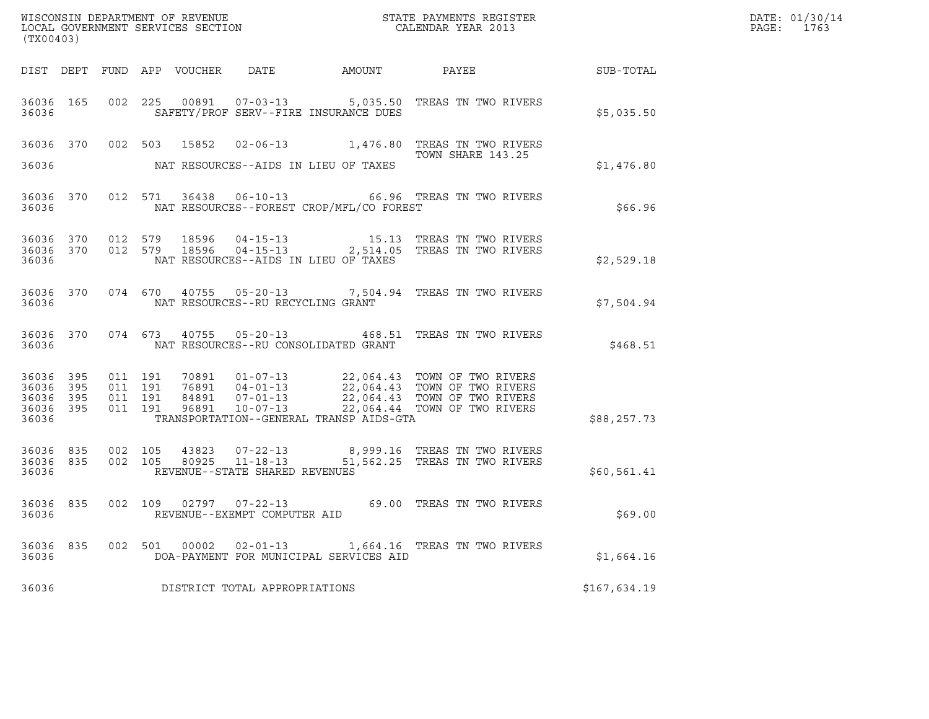| (TX00403)                                                 |  |                               |         |       |                                         |                                                                                                                                                                                                                                                 |  |                                                                                                                                                                                                                     | DATE: 01/30/14<br>PAGE:<br>1763 |  |
|-----------------------------------------------------------|--|-------------------------------|---------|-------|-----------------------------------------|-------------------------------------------------------------------------------------------------------------------------------------------------------------------------------------------------------------------------------------------------|--|---------------------------------------------------------------------------------------------------------------------------------------------------------------------------------------------------------------------|---------------------------------|--|
|                                                           |  |                               |         |       |                                         |                                                                                                                                                                                                                                                 |  |                                                                                                                                                                                                                     |                                 |  |
| 36036                                                     |  |                               |         |       |                                         | SAFETY/PROF SERV--FIRE INSURANCE DUES                                                                                                                                                                                                           |  | 36036 165 002 225 00891 07-03-13 5,035.50 TREAS TN TWO RIVERS                                                                                                                                                       | \$5,035.50                      |  |
| 36036                                                     |  |                               |         |       |                                         | NAT RESOURCES--AIDS IN LIEU OF TAXES                                                                                                                                                                                                            |  | 36036 370 002 503 15852 02-06-13 1,476.80 TREAS TN TWO RIVERS<br>TOWN SHARE 143.25                                                                                                                                  | \$1,476.80                      |  |
| 36036                                                     |  |                               |         |       |                                         | NAT RESOURCES--FOREST CROP/MFL/CO FOREST                                                                                                                                                                                                        |  | 36036 370 012 571 36438 06-10-13 66.96 TREAS TN TWO RIVERS                                                                                                                                                          | \$66.96                         |  |
| 36036                                                     |  |                               |         |       |                                         | NAT RESOURCES--AIDS IN LIEU OF TAXES                                                                                                                                                                                                            |  | $\begin{array}{cccccc} 36036 & 370 & 012 & 579 & 18596 & 04-15-13 & & & & 15.13 & \text{TREAS TN TWO RIVERS} \\ 36036 & 370 & 012 & 579 & 18596 & 04-15-13 & & & 2,514.05 & \text{TREAS TN TWO RIVERS} \end{array}$ | \$2,529.18                      |  |
|                                                           |  |                               |         |       | 36036 NAT RESOURCES--RU RECYCLING GRANT |                                                                                                                                                                                                                                                 |  | 36036 370 074 670 40755 05-20-13 7,504.94 TREAS TN TWO RIVERS                                                                                                                                                       | \$7,504.94                      |  |
|                                                           |  |                               |         |       |                                         | 36036 MAT RESOURCES--RU CONSOLIDATED GRANT                                                                                                                                                                                                      |  | 36036 370 074 673 40755 05-20-13 468.51 TREAS TN TWO RIVERS                                                                                                                                                         | \$468.51                        |  |
| 36036 395<br>36036 395<br>36036 395<br>36036 395<br>36036 |  | 011 191<br>011 191<br>011 191 | 011 191 |       |                                         | 70891  01-07-13  22,064.43  TOWN OF TWO RIVERS<br>76891  04-01-13  22,064.43  TOWN OF TWO RIVERS<br>84891  07-01-13  22,064.43  TOWN OF TWO RIVERS<br>96891  10-07-13  22,064.44  TOWN OF TWO RIVERS<br>TRANSPORTATION--GENERAL TRANSP AIDS-GTA |  |                                                                                                                                                                                                                     | \$88, 257.73                    |  |
| 36036                                                     |  |                               |         |       | REVENUE--STATE SHARED REVENUES          |                                                                                                                                                                                                                                                 |  | 36036 835 002 105 43823 07-22-13 8,999.16 TREAS TN TWO RIVERS<br>36036 835 002 105 80925 11-18-13 51,562.25 TREAS TN TWO RIVERS                                                                                     | \$60,561.41                     |  |
| 36036                                                     |  |                               |         |       | REVENUE--EXEMPT COMPUTER AID            |                                                                                                                                                                                                                                                 |  | 36036 835 002 109 02797 07-22-13 69.00 TREAS TN TWO RIVERS                                                                                                                                                          | \$69.00                         |  |
| 36036 835<br>36036                                        |  | 002 501                       |         | 00002 |                                         | DOA-PAYMENT FOR MUNICIPAL SERVICES AID                                                                                                                                                                                                          |  | 02-01-13 1,664.16 TREAS TN TWO RIVERS                                                                                                                                                                               | \$1,664.16                      |  |
| 36036                                                     |  |                               |         |       | DISTRICT TOTAL APPROPRIATIONS           |                                                                                                                                                                                                                                                 |  |                                                                                                                                                                                                                     | \$167,634.19                    |  |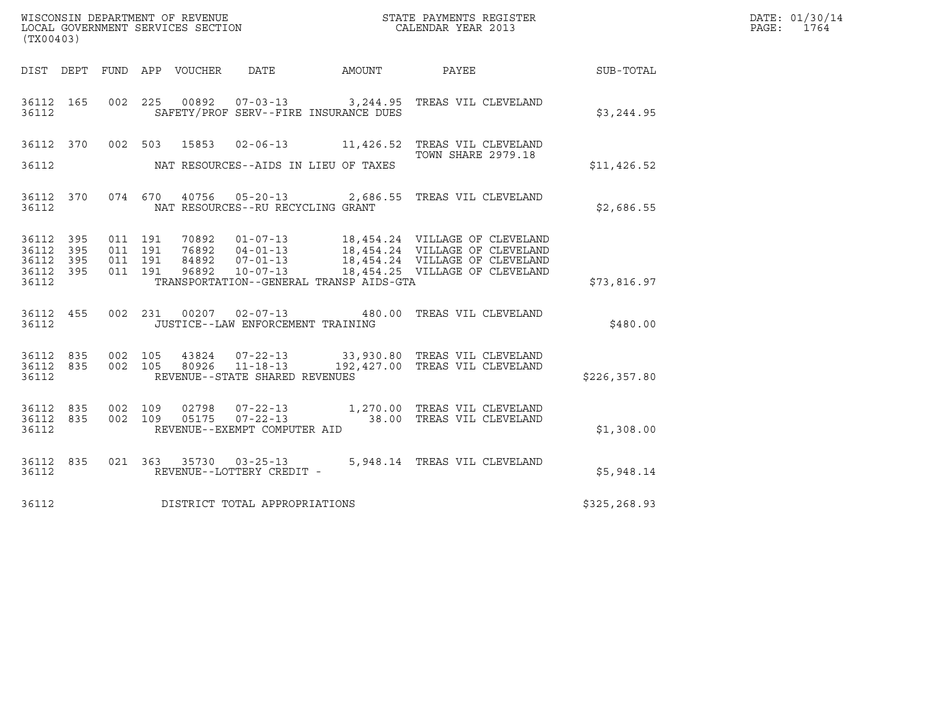| (TX00403)                       |           |                   |                    |                |                                      |                                         | ${\tt WISCOONSIM\ DEPARTMENT\ OF\ REVENUE}\qquad \qquad {\tt STATE\ PAYMENTS\ REGISTER\ LOCAL\ GOVERNMENT\ SERVICES\ SECTION\qquad \qquad {\tt CALENDAR\ YEAR\ 2013}$                                                    |              | DATE: 01/30/14<br>PAGE: 1764 |
|---------------------------------|-----------|-------------------|--------------------|----------------|--------------------------------------|-----------------------------------------|--------------------------------------------------------------------------------------------------------------------------------------------------------------------------------------------------------------------------|--------------|------------------------------|
|                                 |           |                   |                    |                |                                      |                                         |                                                                                                                                                                                                                          |              |                              |
| 36112 165<br>36112              |           |                   |                    |                |                                      | SAFETY/PROF SERV--FIRE INSURANCE DUES   | 002 225 00892 07-03-13 3,244.95 TREAS VIL CLEVELAND                                                                                                                                                                      | \$3,244.95   |                              |
|                                 |           |                   |                    |                |                                      |                                         | 36112 370 002 503 15853 02-06-13 11,426.52 TREAS VIL CLEVELAND<br><b>TOWN SHARE 2979.18</b>                                                                                                                              |              |                              |
| 36112                           |           |                   |                    |                | NAT RESOURCES--AIDS IN LIEU OF TAXES |                                         |                                                                                                                                                                                                                          | \$11,426.52  |                              |
| 36112                           |           |                   |                    |                | NAT RESOURCES--RU RECYCLING GRANT    |                                         | 36112 370 074 670 40756 05-20-13 2,686.55 TREAS VIL CLEVELAND                                                                                                                                                            | \$2,686.55   |                              |
| 36112 395<br>36112              | 395       |                   | 011 191<br>011 191 |                |                                      |                                         | 70892   01-07-13   18,454.24   VILLAGE OF CLEVELAND<br>76892   04-01-13   18,454.24   VILLAGE OF CLEVELAND<br>84892   07-01-13   18,454.24   VILLAGE OF CLEVELAND<br>96892   10-07-13   18,454.25   VILLAGE OF CLEVELAND |              |                              |
| 36112 395<br>36112 395<br>36112 |           | 011 191           | 011 191            |                |                                      | TRANSPORTATION--GENERAL TRANSP AIDS-GTA |                                                                                                                                                                                                                          | \$73,816.97  |                              |
| 36112                           |           |                   |                    |                | JUSTICE--LAW ENFORCEMENT TRAINING    |                                         | 36112 455 002 231 00207 02-07-13 480.00 TREAS VIL CLEVELAND                                                                                                                                                              | \$480.00     |                              |
| 36112 835<br>36112              |           | 36112 835 002 105 |                    |                | REVENUE--STATE SHARED REVENUES       |                                         | 002 105 43824 07-22-13 33,930.80 TREAS VIL CLEVELAND<br>002 105 80926 11-18-13 192,427.00 TREAS VIL CLEVELAND                                                                                                            | \$226,357.80 |                              |
| 36112 835<br>36112 835<br>36112 |           | 002 109           | 002 109            | 02798<br>05175 | REVENUE--EXEMPT COMPUTER AID         |                                         | 07-22-13 1,270.00 TREAS VIL CLEVELAND<br>07-22-13 38.00 TREAS VIL CLEVELAND                                                                                                                                              | \$1,308.00   |                              |
| 36112                           | 36112 835 |                   |                    |                | REVENUE--LOTTERY CREDIT -            |                                         | 021  363  35730  03-25-13  5,948.14  TREAS VIL CLEVELAND                                                                                                                                                                 | \$5,948.14   |                              |
| 36112                           |           |                   |                    |                | DISTRICT TOTAL APPROPRIATIONS        |                                         |                                                                                                                                                                                                                          | \$325,268.93 |                              |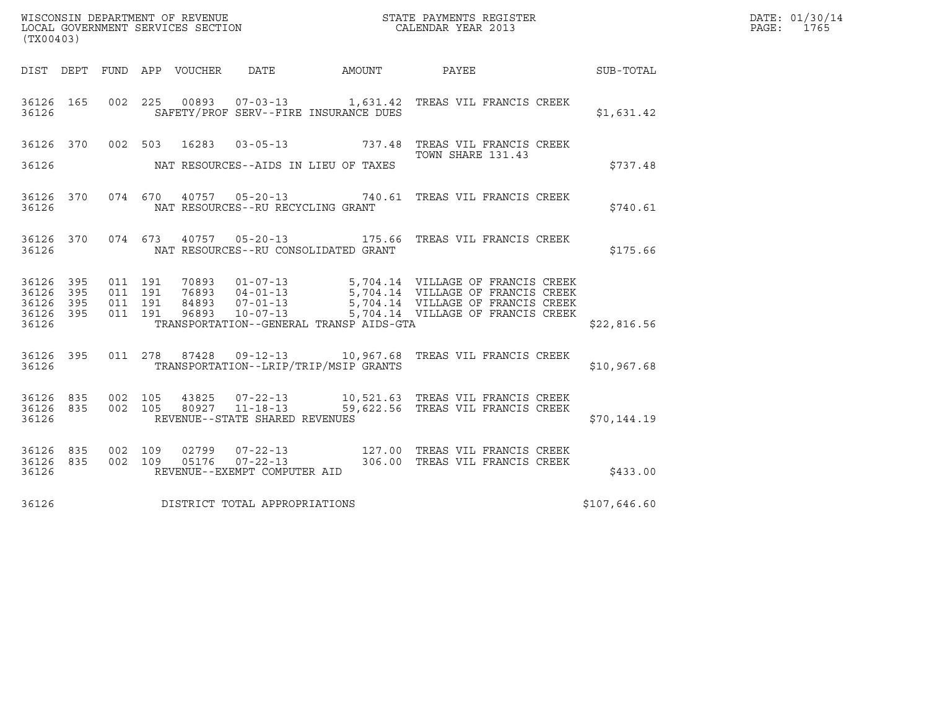| DATE: | 01/30/14 |
|-------|----------|
| PAGE: | 1765     |

| (TX00403)                                        |                               |         |                                   |                                             |                                                                                                                          |              | DATE: 01/30/14<br>PAGE: 1765 |
|--------------------------------------------------|-------------------------------|---------|-----------------------------------|---------------------------------------------|--------------------------------------------------------------------------------------------------------------------------|--------------|------------------------------|
|                                                  |                               |         |                                   |                                             | DIST DEPT FUND APP VOUCHER DATE AMOUNT PAYEE SUB-TOTAL                                                                   |              |                              |
| 36126 165<br>36126                               |                               |         |                                   | SAFETY/PROF SERV--FIRE INSURANCE DUES       | 002 225 00893 07-03-13 1,631.42 TREAS VIL FRANCIS CREEK                                                                  | \$1,631.42   |                              |
| 36126                                            |                               |         |                                   | NAT RESOURCES--AIDS IN LIEU OF TAXES        | 36126 370 002 503 16283 03-05-13 737.48 TREAS VIL FRANCIS CREEK<br>TOWN SHARE 131.43                                     | \$737.48     |                              |
| 36126                                            |                               |         | NAT RESOURCES--RU RECYCLING GRANT |                                             | 36126 370 074 670 40757 05-20-13 740.61 TREAS VIL FRANCIS CREEK                                                          | \$740.61     |                              |
|                                                  |                               |         |                                   |                                             | 36126 370 074 673 40757 05-20-13 175.66 TREAS VIL FRANCIS CREEK                                                          | \$175.66     |                              |
| 36126 395<br>36126 395<br>36126 395<br>36126 395 | 011 191<br>011 191<br>011 191 | 011 191 |                                   |                                             |                                                                                                                          |              |                              |
| 36126                                            |                               |         |                                   | TRANSPORTATION--GENERAL TRANSP AIDS-GTA     |                                                                                                                          | \$22,816.56  |                              |
|                                                  |                               |         |                                   | 36126 TRANSPORTATION--LRIP/TRIP/MSIP GRANTS | 36126 395 011 278 87428 09-12-13 10,967.68 TREAS VIL FRANCIS CREEK                                                       | \$10,967.68  |                              |
| 36126 835<br>36126                               | 36126 835 002 105<br>002 105  |         | REVENUE--STATE SHARED REVENUES    |                                             | 43825   07-22-13   10,521.63   TREAS   VIL FRANCIS   CREEK<br>80927   11-18-13   59,622.56   TREAS   VIL FRANCIS   CREEK | \$70.144.19  |                              |
| 36126 835<br>36126 835<br>36126                  |                               |         | REVENUE--EXEMPT COMPUTER AID      |                                             | 002 109 02799 07-22-13 127.00 TREAS VIL FRANCIS CREEK<br>002 109 05176 07-22-13 306.00 TREAS VIL FRANCIS CREEK           | \$433.00     |                              |
| 36126                                            |                               |         | DISTRICT TOTAL APPROPRIATIONS     |                                             |                                                                                                                          | \$107,646.60 |                              |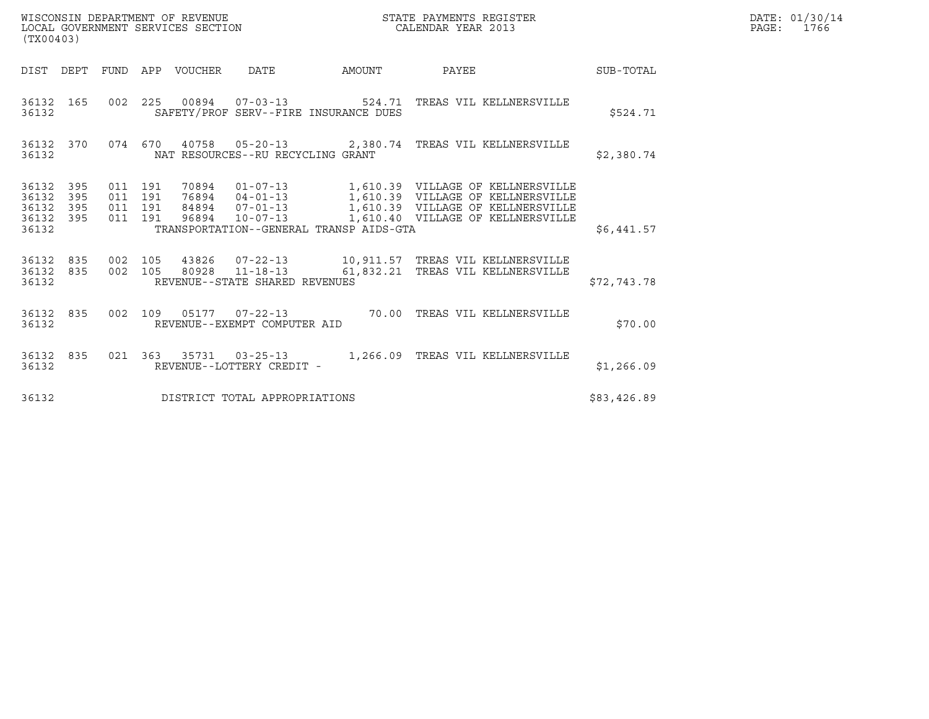| WISCONSIN DEPARTMENT OF REVENUE<br>LOCAL GOVERNMENT SERVICES SECTION<br>(TX00403) | STATE PAYMENTS REGISTER<br>CALENDAR YEAR 2013 | DATE: 01/30/14<br>PAGE:<br>1766 |
|-----------------------------------------------------------------------------------|-----------------------------------------------|---------------------------------|

| (TX00403)                                                             |                          |                                                                     |        |                                                                                                                   |             |
|-----------------------------------------------------------------------|--------------------------|---------------------------------------------------------------------|--------|-------------------------------------------------------------------------------------------------------------------|-------------|
| DEPT<br>DIST                                                          | <b>FUND</b>              | APP VOUCHER DATE                                                    | AMOUNT | PAYEE                                                                                                             | SUB-TOTAL   |
| 36132<br>165<br>36132                                                 | 002<br>225               | SAFETY/PROF SERV--FIRE INSURANCE DUES                               |        | 00894  07-03-13  524.71 TREAS VIL KELLNERSVILLE                                                                   | \$524.71    |
| 36132<br>370<br>36132                                                 | 074                      | 670<br>NAT RESOURCES--RU RECYCLING GRANT                            |        | 40758  05-20-13  2,380.74  TREAS VIL KELLNERSVILLE                                                                | \$2,380.74  |
| 395<br>36132<br>395<br>36132<br>36132<br>395<br>36132<br>395<br>36132 | 011<br>011<br>011<br>011 | 191<br>191<br>191<br>191<br>TRANSPORTATION--GENERAL TRANSP AIDS-GTA |        |                                                                                                                   | \$6,441.57  |
| 36132<br>835<br>36132<br>835<br>36132                                 | 002<br>002               | 105<br>REVENUE--STATE SHARED REVENUES                               |        | 105  43826  07-22-13   10,911.57  TREAS VIL KELLNERSVILLE<br>80928  11-18-13   61,832.21  TREAS VIL KELLNERSVILLE | \$72,743.78 |
| 835<br>36132<br>36132                                                 | 002                      | 109<br>REVENUE--EXEMPT COMPUTER AID                                 |        | 05177  07-22-13  70.00 TREAS VIL KELLNERSVILLE                                                                    | \$70.00     |
| 36132<br>835<br>36132                                                 | 021                      | 363 35731 03-25-13<br>REVENUE--LOTTERY CREDIT -                     |        | 1,266.09 TREAS VIL KELLNERSVILLE                                                                                  | \$1,266.09  |
| 36132                                                                 |                          | DISTRICT TOTAL APPROPRIATIONS                                       |        |                                                                                                                   | \$83,426.89 |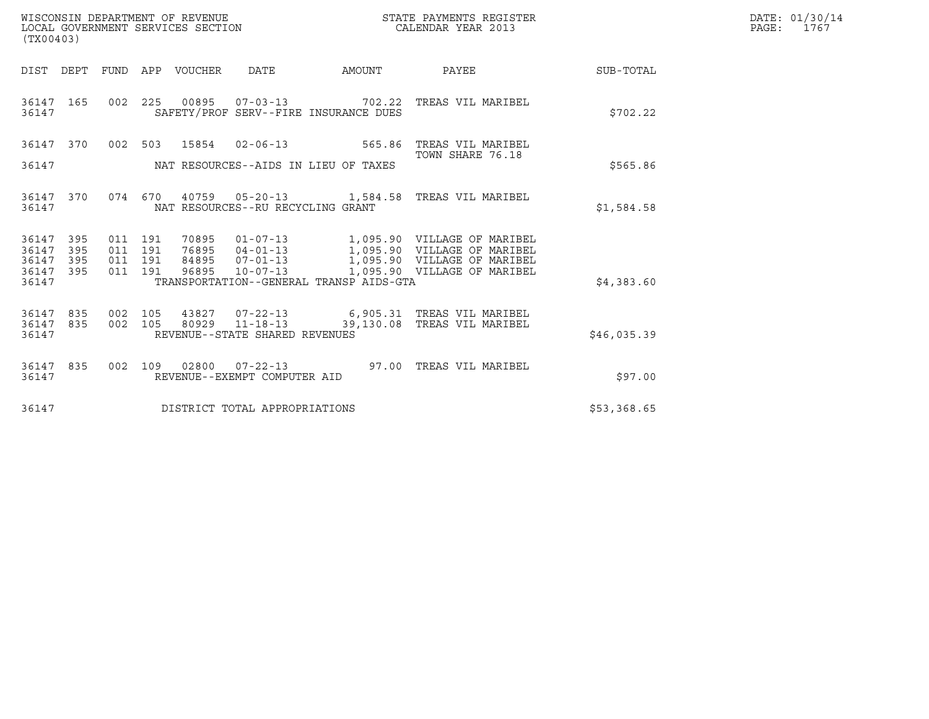| (TX00403)                       |            |                           |         |                                 | WISCONSIN DEPARTMENT OF REVENUE<br>LOCAL GOVERNMENT SERVICES SECTION |                                         | STATE PAYMENTS REGISTER<br>CALENDAR YEAR 2013                                                                                                   |                 | DATE: 01/30/14<br>PAGE: 1767 |
|---------------------------------|------------|---------------------------|---------|---------------------------------|----------------------------------------------------------------------|-----------------------------------------|-------------------------------------------------------------------------------------------------------------------------------------------------|-----------------|------------------------------|
|                                 |            |                           |         | DIST DEPT FUND APP VOUCHER DATE |                                                                      | AMOUNT                                  |                                                                                                                                                 | PAYEE SUB-TOTAL |                              |
| 36147 165<br>36147              |            | 002 225                   |         |                                 |                                                                      | SAFETY/PROF SERV--FIRE INSURANCE DUES   | 00895  07-03-13  702.22  TREAS VIL MARIBEL                                                                                                      | \$702.22        |                              |
|                                 |            |                           |         |                                 |                                                                      |                                         | 36147 370 002 503 15854 02-06-13 565.86 TREAS VIL MARIBEL                                                                                       |                 |                              |
| 36147                           |            |                           |         |                                 |                                                                      | NAT RESOURCES--AIDS IN LIEU OF TAXES    | TOWN SHARE 76.18                                                                                                                                | \$565.86        |                              |
| 36147 370<br>36147              |            |                           |         |                                 | NAT RESOURCES--RU RECYCLING GRANT                                    |                                         | 074 670 40759 05-20-13 1,584.58 TREAS VIL MARIBEL                                                                                               | \$1,584.58      |                              |
| 36147 395<br>36147<br>36147     | 395<br>395 | 011 191<br>011 191<br>011 | 191     |                                 |                                                                      |                                         | 70895  01-07-13  1,095.90  VILLAGE OF MARIBEL<br>76895  04-01-13  1,095.90  VILLAGE OF MARIBEL<br>84895  07-01-13  1,095.90  VILLAGE OF MARIBEL |                 |                              |
| 36147 395<br>36147              |            | 011 191                   |         | 96895                           | $10 - 07 - 13$                                                       | TRANSPORTATION--GENERAL TRANSP AIDS-GTA | 1,095.90 VILLAGE OF MARIBEL                                                                                                                     | \$4,383.60      |                              |
| 36147 835<br>36147 835<br>36147 |            | 002 105                   | 002 105 |                                 | REVENUE--STATE SHARED REVENUES                                       |                                         | 43827  07-22-13   6,905.31   TREAS VIL MARIBEL<br>80929  11-18-13  39,130.08  TREAS VIL MARIBEL                                                 | \$46,035.39     |                              |
| 36147 835<br>36147              |            |                           |         |                                 | REVENUE--EXEMPT COMPUTER AID                                         |                                         | 002 109 02800 07-22-13 97.00 TREAS VIL MARIBEL                                                                                                  | \$97.00         |                              |
| 36147                           |            |                           |         |                                 | DISTRICT TOTAL APPROPRIATIONS                                        |                                         |                                                                                                                                                 | \$53,368.65     |                              |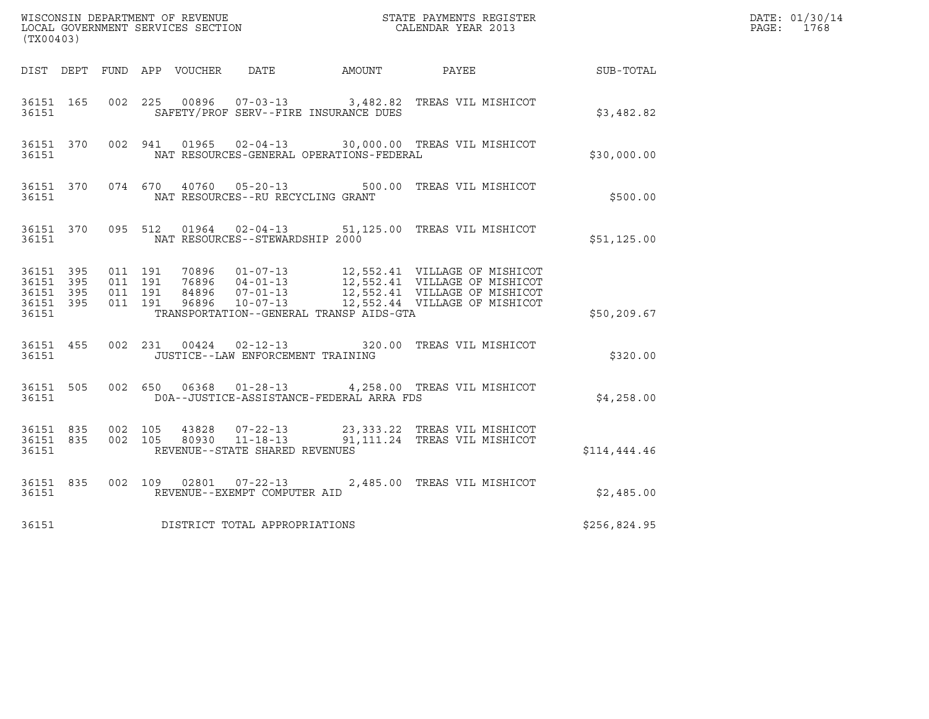| (TX00403)                                                 |                                          |  |                                   |                                          | $\tt WISCONSIM DEPARTMENT OF REVENUE$ $\tt WISCONSIMENT$ SERVICES SECTION $\tt CALENDAR YEAR$ 2013                                                                                                        |              | DATE: 01/30/14<br>PAGE: 1768 |
|-----------------------------------------------------------|------------------------------------------|--|-----------------------------------|------------------------------------------|-----------------------------------------------------------------------------------------------------------------------------------------------------------------------------------------------------------|--------------|------------------------------|
|                                                           |                                          |  |                                   |                                          | DIST DEPT FUND APP VOUCHER DATE AMOUNT PAYEE THE SUB-TOTAL                                                                                                                                                |              |                              |
| 36151 165<br>36151                                        |                                          |  |                                   | SAFETY/PROF SERV--FIRE INSURANCE DUES    | 002 225 00896 07-03-13 3,482.82 TREAS VIL MISHICOT                                                                                                                                                        | \$3,482.82   |                              |
| 36151                                                     |                                          |  |                                   | NAT RESOURCES-GENERAL OPERATIONS-FEDERAL | 36151 370 002 941 01965 02-04-13 30,000.00 TREAS VIL MISHICOT                                                                                                                                             | \$30,000.00  |                              |
| 36151                                                     |                                          |  | NAT RESOURCES--RU RECYCLING GRANT |                                          | 36151 370 074 670 40760 05-20-13 500.00 TREAS VIL MISHICOT                                                                                                                                                | \$500.00     |                              |
| 36151                                                     |                                          |  | NAT RESOURCES--STEWARDSHIP 2000   |                                          | 36151 370 095 512 01964 02-04-13 51,125.00 TREAS VIL MISHICOT                                                                                                                                             | \$51,125.00  |                              |
| 36151 395<br>36151 395<br>36151 395<br>36151 395<br>36151 | 011 191<br>011 191<br>011 191<br>011 191 |  |                                   | TRANSPORTATION--GENERAL TRANSP AIDS-GTA  | 70896  01-07-13  12,552.41  VILLAGE OF MISHICOT<br>76896  04-01-13  12,552.41  VILLAGE OF MISHICOT<br>84896  07-01-13  12,552.41  VILLAGE OF MISHICOT<br>96896  10-07-113  12,552.44  VILLAGE OF MISHICOT | \$50,209.67  |                              |
| 36151 455<br>36151                                        |                                          |  | JUSTICE--LAW ENFORCEMENT TRAINING |                                          | 002 231 00424 02-12-13 320.00 TREAS VIL MISHICOT                                                                                                                                                          | \$320.00     |                              |
| 36151 505<br>36151                                        |                                          |  |                                   | DOA--JUSTICE-ASSISTANCE-FEDERAL ARRA FDS | 002 650 06368 01-28-13 4,258.00 TREAS VIL MISHICOT                                                                                                                                                        | \$4,258.00   |                              |
| 36151 835<br>36151                                        | 36151 835 002 105<br>002 105             |  | REVENUE--STATE SHARED REVENUES    |                                          | 43828  07-22-13  23,333.22  TREAS  VIL MISHICOT<br>80930  11-18-13  91,111.24  TREAS  VIL MISHICOT                                                                                                        | \$114,444.46 |                              |
| 36151 835<br>36151                                        |                                          |  | REVENUE--EXEMPT COMPUTER AID      |                                          | 002 109 02801 07-22-13 2,485.00 TREAS VIL MISHICOT                                                                                                                                                        | \$2,485.00   |                              |
| 36151                                                     |                                          |  | DISTRICT TOTAL APPROPRIATIONS     |                                          |                                                                                                                                                                                                           | \$256,824.95 |                              |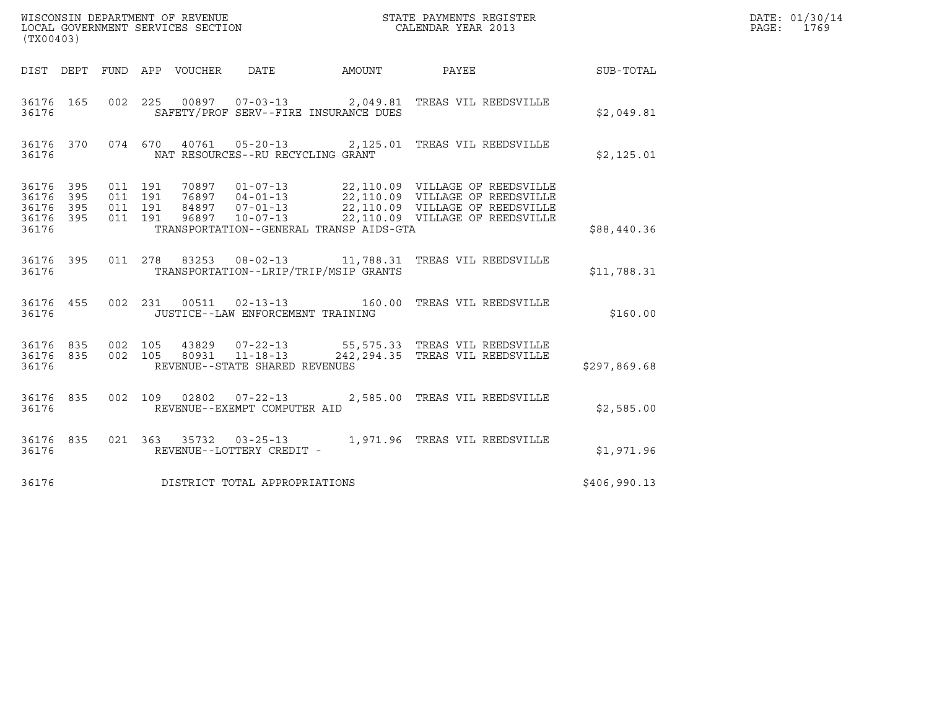| (TX00403)                                     |                   |                    | WISCONSIN DEPARTMENT OF REVENUE<br>LOCAL GOVERNMENT SERVICES SECTION<br>STATE PAYMENTS REGISTER<br>CALENDAR YEAR 2013                                                                                                                                                             |              | DATE: 01/30/14<br>PAGE: 1769 |
|-----------------------------------------------|-------------------|--------------------|-----------------------------------------------------------------------------------------------------------------------------------------------------------------------------------------------------------------------------------------------------------------------------------|--------------|------------------------------|
|                                               |                   |                    | AMOUNT PAYEE SUB-TOTAL<br>DIST DEPT FUND APP VOUCHER DATE                                                                                                                                                                                                                         |              |                              |
| 36176 165<br>36176                            |                   |                    | 002 225 00897 07-03-13 2,049.81 TREAS VIL REEDSVILLE<br>SAFETY/PROF SERV--FIRE INSURANCE DUES                                                                                                                                                                                     | \$2,049.81   |                              |
| 36176                                         |                   |                    | 36176 370 074 670 40761 05-20-13 2,125.01 TREAS VIL REEDSVILLE<br>NAT RESOURCES--RU RECYCLING GRANT                                                                                                                                                                               | \$2,125.01   |                              |
| 36176 395<br>36176<br>36176<br>36176<br>36176 | 395<br>395<br>395 | 011 191<br>011 191 | 70897  01-07-13  22,110.09  VILLAGE OF REEDSVILLE<br>76897  04-01-13  22,110.09  VILLAGE OF REEDSVILLE<br>84897  07-01-13  22,110.09  VILLAGE OF REEDSVILLE<br>96897  10-07-13  22,110.09  VILLAGE OF REEDSVILLE<br>011 191<br>011 191<br>TRANSPORTATION--GENERAL TRANSP AIDS-GTA | \$88,440.36  |                              |
| 36176 395<br>36176                            |                   |                    | 011  278  83253  08-02-13  11,788.31  TREAS VIL REEDSVILLE<br>TRANSPORTATION--LRIP/TRIP/MSIP GRANTS                                                                                                                                                                               | \$11,788.31  |                              |
| 36176 455<br>36176                            |                   |                    | 002 231 00511 02-13-13 160.00 TREAS VIL REEDSVILLE<br>JUSTICE--LAW ENFORCEMENT TRAINING                                                                                                                                                                                           | \$160.00     |                              |
| 36176 835<br>36176                            |                   | 36176 835 002 105  | 002 105 43829 07-22-13 55,575.33 TREAS VIL REEDSVILLE<br>002 105 80931 11-18-13 242,294.35 TREAS VIL REEDSVILLE<br>REVENUE--STATE SHARED REVENUES                                                                                                                                 | \$297,869.68 |                              |
| 36176 835<br>36176                            |                   |                    | 002 109 02802 07-22-13 2,585.00 TREAS VIL REEDSVILLE<br>REVENUE--EXEMPT COMPUTER AID                                                                                                                                                                                              | \$2,585.00   |                              |
| 36176 835<br>36176                            |                   |                    | 021 363 35732 03-25-13 1,971.96 TREAS VIL REEDSVILLE<br>REVENUE--LOTTERY CREDIT -                                                                                                                                                                                                 | \$1,971.96   |                              |
| 36176                                         |                   |                    | DISTRICT TOTAL APPROPRIATIONS                                                                                                                                                                                                                                                     | \$406,990.13 |                              |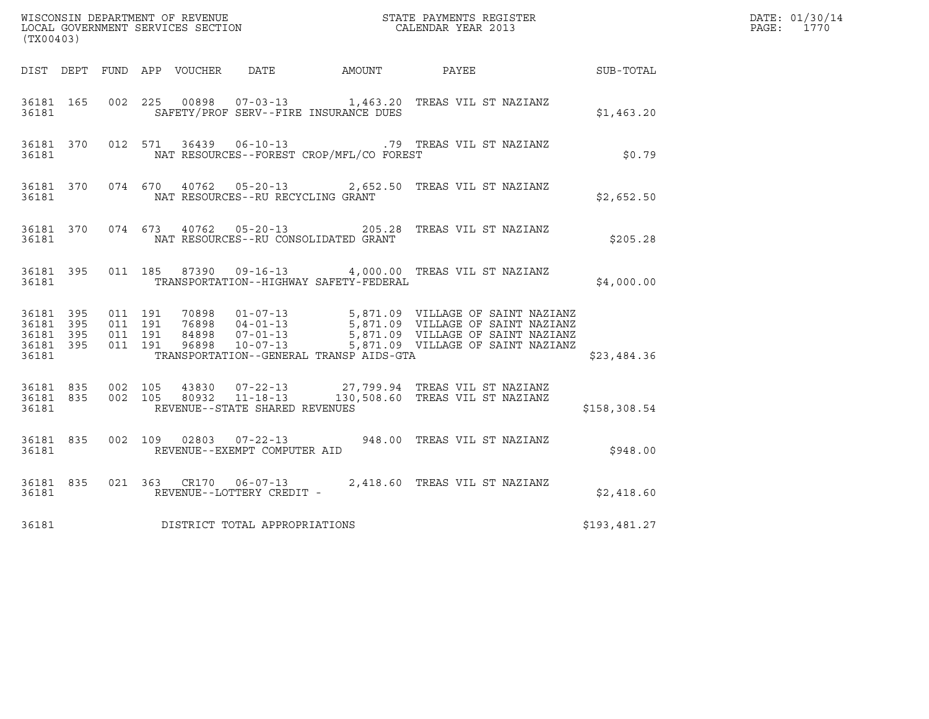| (TX00403)          |                   |  |                                      |                                                | %WISCONSIN DEPARTMENT OF REVENUE $$\tt STATE$ PAYMENTS REGISTER LOCAL GOVERNMENT SERVICES SECTION $$\tt CALENDAR$ YEAR 2013                                                                                                             |              | DATE: 01/30/14<br>PAGE: 1770 |
|--------------------|-------------------|--|--------------------------------------|------------------------------------------------|-----------------------------------------------------------------------------------------------------------------------------------------------------------------------------------------------------------------------------------------|--------------|------------------------------|
|                    |                   |  |                                      |                                                | DIST DEPT FUND APP VOUCHER DATE AMOUNT PAYEE PAYER SUB-TOTAL                                                                                                                                                                            |              |                              |
| 36181              |                   |  |                                      | SAFETY/PROF SERV--FIRE INSURANCE DUES          | 36181 165 002 225 00898 07-03-13 1,463.20 TREAS VIL ST NAZIANZ                                                                                                                                                                          | \$1,463.20   |                              |
|                    |                   |  |                                      | 36181 NAT RESOURCES--FOREST CROP/MFL/CO FOREST | 36181 370 012 571 36439 06-10-13 .79 TREAS VIL ST NAZIANZ                                                                                                                                                                               | \$0.79       |                              |
| 36181              |                   |  | NAT RESOURCES--RU RECYCLING GRANT    |                                                | 36181 370 074 670 40762 05-20-13 2,652.50 TREAS VIL ST NAZIANZ                                                                                                                                                                          | \$2,652.50   |                              |
| 36181              |                   |  |                                      | NAT RESOURCES--RU CONSOLIDATED GRANT           | 36181 370 074 673 40762 05-20-13 205.28 TREAS VIL ST NAZIANZ                                                                                                                                                                            | \$205.28     |                              |
|                    | 36181 360         |  |                                      | TRANSPORTATION--HIGHWAY SAFETY-FEDERAL         | 36181 395 011 185 87390 09-16-13 4,000.00 TREAS VIL ST NAZIANZ                                                                                                                                                                          | \$4,000.00   |                              |
| 36181              |                   |  |                                      | TRANSPORTATION--GENERAL TRANSP AIDS-GTA        | 36181 395 011 191 70898 01-07-13 5,871.09 VILLAGE OF SAINT NAZIANZ<br>36181 395 011 191 76898 04-01-13 5,871.09 VILLAGE OF SAINT NAZIANZ<br>36181 395 011 191 84898 07-01-13 5,871.09 VILLAGE OF SAINT NAZIANZ<br>36181 395 011 191 968 | \$23,484.36  |                              |
|                    | 36181 835 002 105 |  | 36181 REVENUE--STATE SHARED REVENUES |                                                | 43830  07-22-13  27,799.94  TREAS VIL ST NAZIANZ<br>36181 835 002 105 80932 11-18-13 130,508.60 TREAS VIL ST NAZIANZ                                                                                                                    | \$158,308.54 |                              |
| 36181 835<br>36181 |                   |  | REVENUE--EXEMPT COMPUTER AID         |                                                | 002 109 02803 07-22-13 948.00 TREAS VIL ST NAZIANZ                                                                                                                                                                                      | \$948.00     |                              |
| 36181              |                   |  | REVENUE--LOTTERY CREDIT -            |                                                | 36181 835 021 363 CR170 06-07-13 2,418.60 TREAS VIL ST NAZIANZ                                                                                                                                                                          | \$2,418.60   |                              |
| 36181              |                   |  | DISTRICT TOTAL APPROPRIATIONS        |                                                |                                                                                                                                                                                                                                         | \$193,481.27 |                              |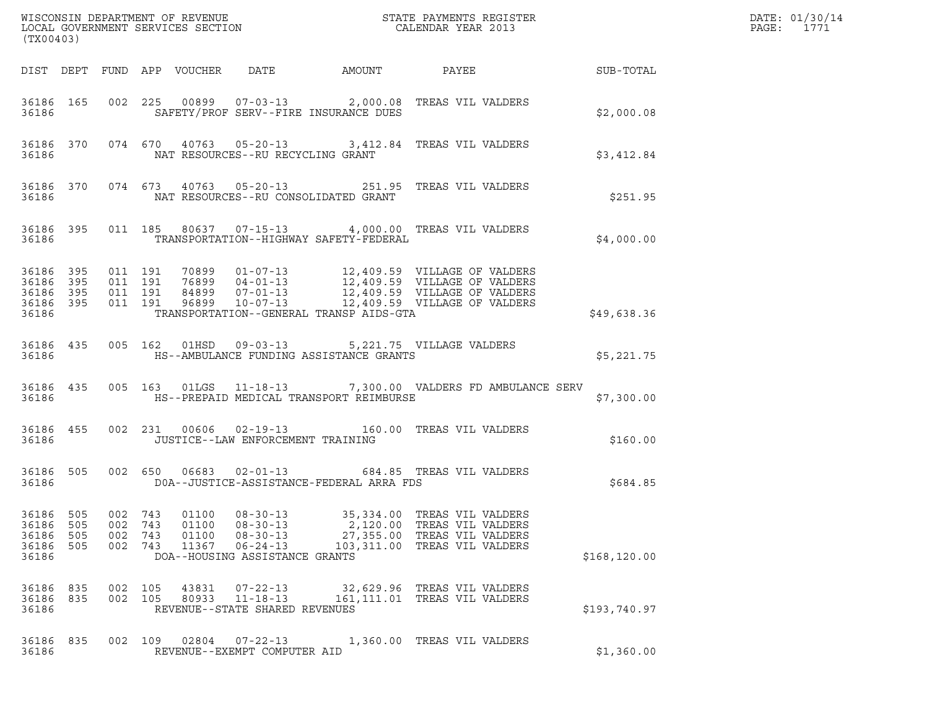| (TX00403)                                                 |                          |                          |                          |                                  |                                                                                                        |                                          |                                                                                                                                                                                                                          |                 | DATE: 01/30/14<br>PAGE:<br>1771 |
|-----------------------------------------------------------|--------------------------|--------------------------|--------------------------|----------------------------------|--------------------------------------------------------------------------------------------------------|------------------------------------------|--------------------------------------------------------------------------------------------------------------------------------------------------------------------------------------------------------------------------|-----------------|---------------------------------|
|                                                           |                          |                          |                          | DIST DEPT FUND APP VOUCHER DATE  |                                                                                                        | AMOUNT                                   |                                                                                                                                                                                                                          | PAYEE SUB-TOTAL |                                 |
| 36186                                                     |                          |                          |                          |                                  |                                                                                                        | SAFETY/PROF SERV--FIRE INSURANCE DUES    | 36186 165 002 225 00899 07-03-13 2,000.08 TREAS VIL VALDERS                                                                                                                                                              | \$2,000.08      |                                 |
| 36186                                                     |                          |                          |                          |                                  | NAT RESOURCES--RU RECYCLING GRANT                                                                      |                                          | 36186 370 074 670 40763 05-20-13 3,412.84 TREAS VIL VALDERS                                                                                                                                                              | \$3,412.84      |                                 |
| 36186                                                     |                          |                          |                          |                                  |                                                                                                        | NAT RESOURCES--RU CONSOLIDATED GRANT     | 36186 370 074 673 40763 05-20-13 251.95 TREAS VIL VALDERS                                                                                                                                                                | \$251.95        |                                 |
| 36186                                                     |                          |                          |                          |                                  |                                                                                                        | TRANSPORTATION--HIGHWAY SAFETY-FEDERAL   | 36186 395 011 185 80637 07-15-13 4,000.00 TREAS VIL VALDERS                                                                                                                                                              | \$4,000.00      |                                 |
| 36186 395<br>36186 395<br>36186 395<br>36186 395<br>36186 |                          |                          |                          |                                  |                                                                                                        | TRANSPORTATION--GENERAL TRANSP AIDS-GTA  | 011 191 70899 01-07-13 12,409.59 VILLAGE OF VALDERS<br>011 191 76899 04-01-13 12,409.59 VILLAGE OF VALDERS<br>011 191 84899 07-01-13 12,409.59 VILLAGE OF VALDERS<br>011 191 96899 10-07-13 12,409.59 VILLAGE OF VALDERS | \$49,638.36     |                                 |
| 36186 435<br>36186                                        |                          |                          |                          |                                  |                                                                                                        | HS--AMBULANCE FUNDING ASSISTANCE GRANTS  | 005 162 01HSD 09-03-13 5,221.75 VILLAGE VALDERS                                                                                                                                                                          | \$5,221.75      |                                 |
| 36186 435<br>36186                                        |                          |                          |                          |                                  |                                                                                                        | HS--PREPAID MEDICAL TRANSPORT REIMBURSE  | 005 163 01LGS 11-18-13 7,300.00 VALDERS FD AMBULANCE SERV                                                                                                                                                                | \$7,300.00      |                                 |
| 36186 455<br>36186                                        |                          |                          |                          |                                  | JUSTICE--LAW ENFORCEMENT TRAINING                                                                      |                                          | 002 231 00606 02-19-13 160.00 TREAS VIL VALDERS                                                                                                                                                                          | \$160.00        |                                 |
| 36186 505<br>36186                                        |                          |                          |                          |                                  |                                                                                                        | DOA--JUSTICE-ASSISTANCE-FEDERAL ARRA FDS | 002 650 06683 02-01-13 684.85 TREAS VIL VALDERS                                                                                                                                                                          | \$684.85        |                                 |
| 36186<br>36186<br>36186<br>36186<br>36186                 | 505<br>505<br>505<br>505 | 002<br>002<br>002<br>002 | 743<br>743<br>743<br>743 | 01100<br>01100<br>01100<br>11367 | $08 - 30 - 13$<br>$08 - 30 - 13$<br>$08 - 30 - 13$<br>$06 - 24 - 13$<br>DOA--HOUSING ASSISTANCE GRANTS | 35,334.00<br>27,355.00                   | TREAS VIL VALDERS<br>2,120.00 TREAS VIL VALDERS<br>TREAS VIL VALDERS<br>103,311.00 TREAS VIL VALDERS                                                                                                                     | \$168, 120.00   |                                 |
| 36186<br>36186<br>36186                                   | 835<br>835               | 002                      | 105<br>002 105           | 43831<br>80933                   | $07 - 22 - 13$<br>$11 - 18 - 13$<br>REVENUE--STATE SHARED REVENUES                                     |                                          | 32,629.96 TREAS VIL VALDERS<br>161, 111.01 TREAS VIL VALDERS                                                                                                                                                             | \$193,740.97    |                                 |
| 36186<br>36186                                            | 835                      |                          | 002 109                  | 02804                            | $07 - 22 - 13$<br>REVENUE--EXEMPT COMPUTER AID                                                         |                                          | 1,360.00 TREAS VIL VALDERS                                                                                                                                                                                               | \$1,360.00      |                                 |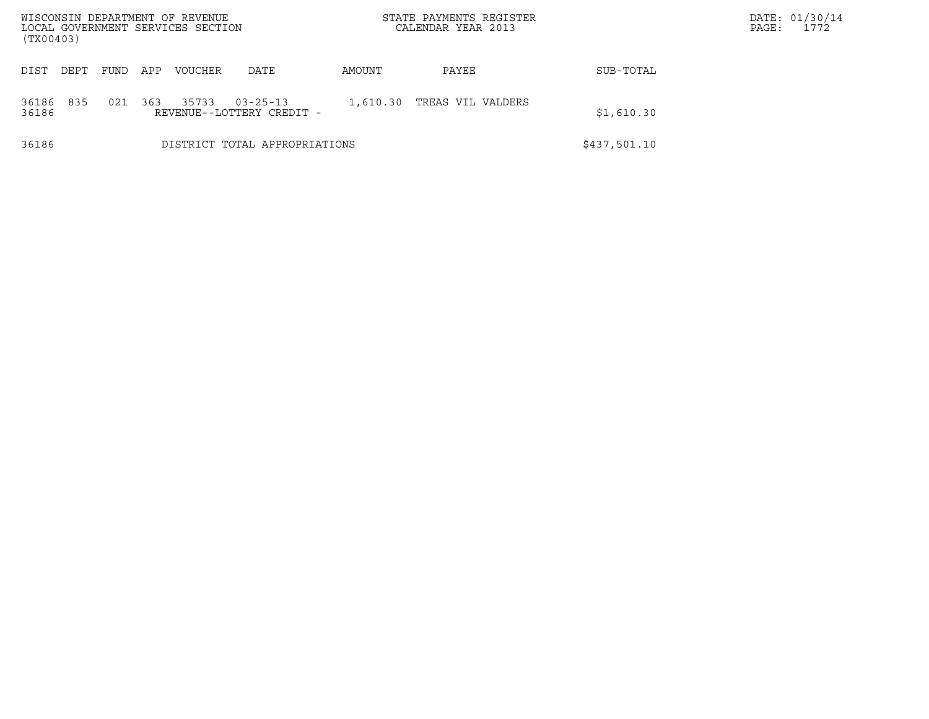| (TX00403)      |      |      |     | WISCONSIN DEPARTMENT OF REVENUE<br>LOCAL GOVERNMENT SERVICES SECTION |                                             |          | STATE PAYMENTS REGISTER<br>CALENDAR YEAR 2013 |              | DATE: 01/30/14<br>1772<br>PAGE: |
|----------------|------|------|-----|----------------------------------------------------------------------|---------------------------------------------|----------|-----------------------------------------------|--------------|---------------------------------|
| DIST           | DEPT | FUND | APP | <b>VOUCHER</b>                                                       | DATE                                        | AMOUNT   | PAYEE                                         | SUB-TOTAL    |                                 |
| 36186<br>36186 | 835  | 021  | 363 | 35733                                                                | $03 - 25 - 13$<br>REVENUE--LOTTERY CREDIT - | 1,610.30 | TREAS VIL VALDERS                             | \$1,610.30   |                                 |
| 36186          |      |      |     |                                                                      | DISTRICT TOTAL APPROPRIATIONS               |          |                                               | \$437,501.10 |                                 |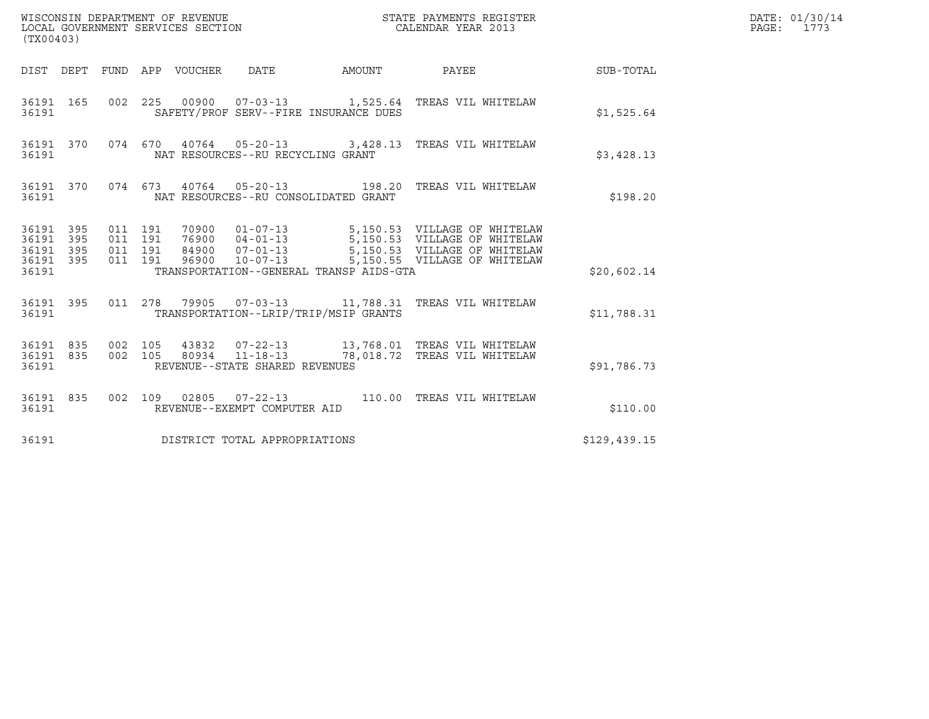| (TX00403)                                             |           |                    |                    |                                 |                                         |        |                                                               |              | DATE: 01/30/14<br>PAGE: 1773 |
|-------------------------------------------------------|-----------|--------------------|--------------------|---------------------------------|-----------------------------------------|--------|---------------------------------------------------------------|--------------|------------------------------|
|                                                       |           |                    |                    | DIST DEPT FUND APP VOUCHER DATE |                                         | AMOUNT | PAYEE                                                         | SUB-TOTAL    |                              |
| 36191                                                 |           |                    |                    |                                 | SAFETY/PROF SERV--FIRE INSURANCE DUES   |        | 36191 165 002 225 00900 07-03-13 1,525.64 TREAS VIL WHITELAW  | \$1,525.64   |                              |
| 36191                                                 |           |                    |                    |                                 | NAT RESOURCES--RU RECYCLING GRANT       |        | 36191 370 074 670 40764 05-20-13 3,428.13 TREAS VIL WHITELAW  | \$3,428.13   |                              |
| 36191                                                 |           |                    |                    |                                 | NAT RESOURCES--RU CONSOLIDATED GRANT    |        | 36191 370 074 673 40764 05-20-13 198.20 TREAS VIL WHITELAW    | \$198.20     |                              |
| 36191 395<br>36191 395<br>36191<br>36191 395<br>36191 | 395       | 011 191<br>011 191 | 011 191<br>011 191 |                                 | TRANSPORTATION--GENERAL TRANSP AIDS-GTA |        |                                                               | \$20,602.14  |                              |
| 36191                                                 |           |                    |                    |                                 | TRANSPORTATION--LRIP/TRIP/MSIP GRANTS   |        | 36191 395 011 278 79905 07-03-13 11,788.31 TREAS VIL WHITELAW | \$11,788.31  |                              |
| 36191 835<br>36191                                    | 36191 835 | 002 105            | 002 105            |                                 | REVENUE--STATE SHARED REVENUES          |        |                                                               | \$91,786.73  |                              |
| 36191 835<br>36191                                    |           |                    |                    |                                 | REVENUE--EXEMPT COMPUTER AID            |        | 002 109 02805 07-22-13 110.00 TREAS VIL WHITELAW              | \$110.00     |                              |
| 36191                                                 |           |                    |                    |                                 | DISTRICT TOTAL APPROPRIATIONS           |        |                                                               | \$129,439.15 |                              |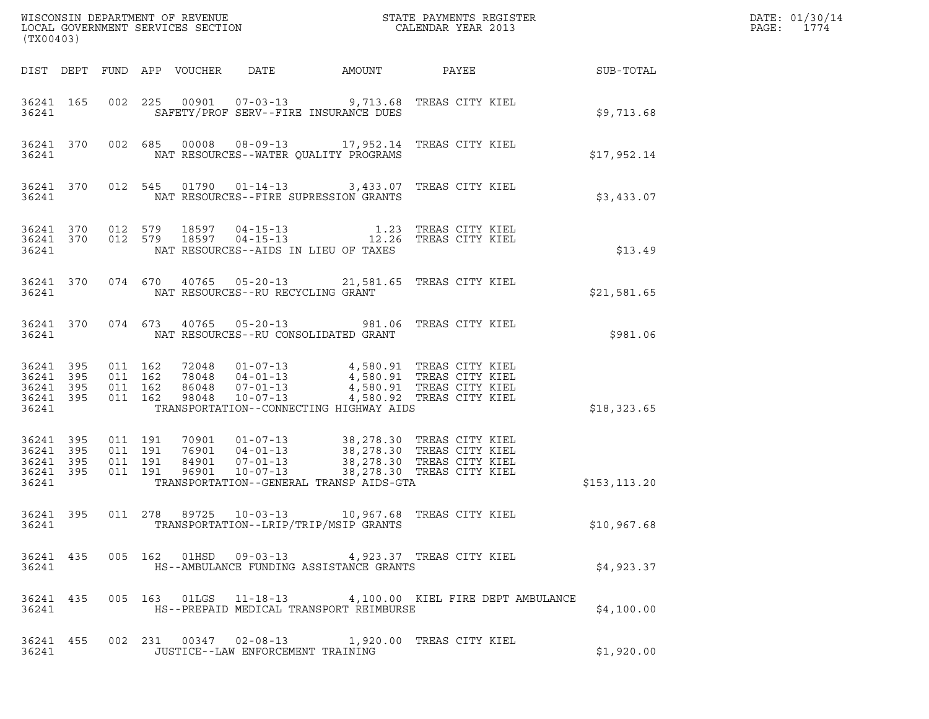| (TX00403)                                                 |           |                               |         |  |  |                                                                                                                                                                                                                                 |  |               | DATE: 01/30/14<br>PAGE:<br>1774 |
|-----------------------------------------------------------|-----------|-------------------------------|---------|--|--|---------------------------------------------------------------------------------------------------------------------------------------------------------------------------------------------------------------------------------|--|---------------|---------------------------------|
|                                                           |           |                               |         |  |  |                                                                                                                                                                                                                                 |  |               |                                 |
| 36241                                                     | 36241 165 |                               |         |  |  | 002 225 00901 07-03-13 9,713.68 TREAS CITY KIEL<br>SAFETY/PROF SERV--FIRE INSURANCE DUES                                                                                                                                        |  | \$9,713.68    |                                 |
|                                                           | 36241     |                               |         |  |  | 36241 370 002 685 00008 08-09-13 17,952.14 TREAS CITY KIEL<br>NAT RESOURCES--WATER QUALITY PROGRAMS                                                                                                                             |  | \$17,952.14   |                                 |
| 36241                                                     |           |                               |         |  |  | 36241 370 012 545 01790 01-14-13 3,433.07 TREAS CITY KIEL<br>NAT RESOURCES--FIRE SUPRESSION GRANTS                                                                                                                              |  | \$3,433.07    |                                 |
|                                                           | 36241     |                               |         |  |  | 36241 370 012 579 18597 04-15-13 1.23 TREAS CITY KIEL 36241 370 012 579 18597 04-15-13 12.26 TREAS CITY KIEL<br>NAT RESOURCES--AIDS IN LIEU OF TAXES                                                                            |  | \$13.49       |                                 |
|                                                           |           |                               |         |  |  | 36241 370 074 670 40765 05-20-13 21,581.65 TREAS CITY KIEL<br>36241 NAT RESOURCES--RU RECYCLING GRANT                                                                                                                           |  | \$21,581.65   |                                 |
|                                                           |           |                               |         |  |  | 36241 370 074 673 40765 05-20-13 981.06 TREAS CITY KIEL<br>36241 NAT RESOURCES--RU CONSOLIDATED GRANT                                                                                                                           |  | \$981.06      |                                 |
| 36241 395<br>36241 395<br>36241 395<br>36241 395<br>36241 |           | 011 162<br>011 162<br>011 162 | 011 162 |  |  | 72048  01-07-13  4,580.91 TREAS CITY KIEL<br>78048  04-01-13  4,580.91 TREAS CITY KIEL<br>86048  07-01-13  4,580.91 TREAS CITY KIEL<br>98048  10-07-13  4,580.92 TREAS CITY KIEL<br>TRANSPORTATION--CONNECTING HIGHWAY AIDS     |  | \$18,323.65   |                                 |
| 36241 395<br>36241<br>36241 395<br>36241 395<br>36241     | 395       | 011 191<br>011 191<br>011 191 | 011 191 |  |  | 70901  01-07-13  38,278.30 TREAS CITY KIEL<br>76901  04-01-13  38,278.30 TREAS CITY KIEL<br>84901  07-01-13  38,278.30 TREAS CITY KIEL<br>96901  10-07-13  38,278.30 TREAS CITY KIEL<br>TRANSPORTATION--GENERAL TRANSP AIDS-GTA |  | \$153, 113.20 |                                 |
| 36241                                                     | 36241 395 |                               |         |  |  | 011  278  89725  10-03-13  10,967.68  TREAS CITY KIEL<br>TRANSPORTATION--LRIP/TRIP/MSIP GRANTS                                                                                                                                  |  | \$10,967.68   |                                 |
| 36241                                                     | 36241 435 |                               |         |  |  | 005 162 01HSD 09-03-13 4,923.37 TREAS CITY KIEL<br>HS--AMBULANCE FUNDING ASSISTANCE GRANTS                                                                                                                                      |  | \$4,923.37    |                                 |
| 36241                                                     | 36241 435 |                               |         |  |  | 005 163 01LGS 11-18-13 4,100.00 KIEL FIRE DEPT AMBULANCE<br>HS--PREPAID MEDICAL TRANSPORT REIMBURSE                                                                                                                             |  | \$4,100.00    |                                 |
| 36241 455<br>36241                                        |           |                               |         |  |  | 002  231  00347  02-08-13  1,920.00 TREAS CITY KIEL<br>JUSTICE--LAW ENFORCEMENT TRAINING                                                                                                                                        |  | \$1,920.00    |                                 |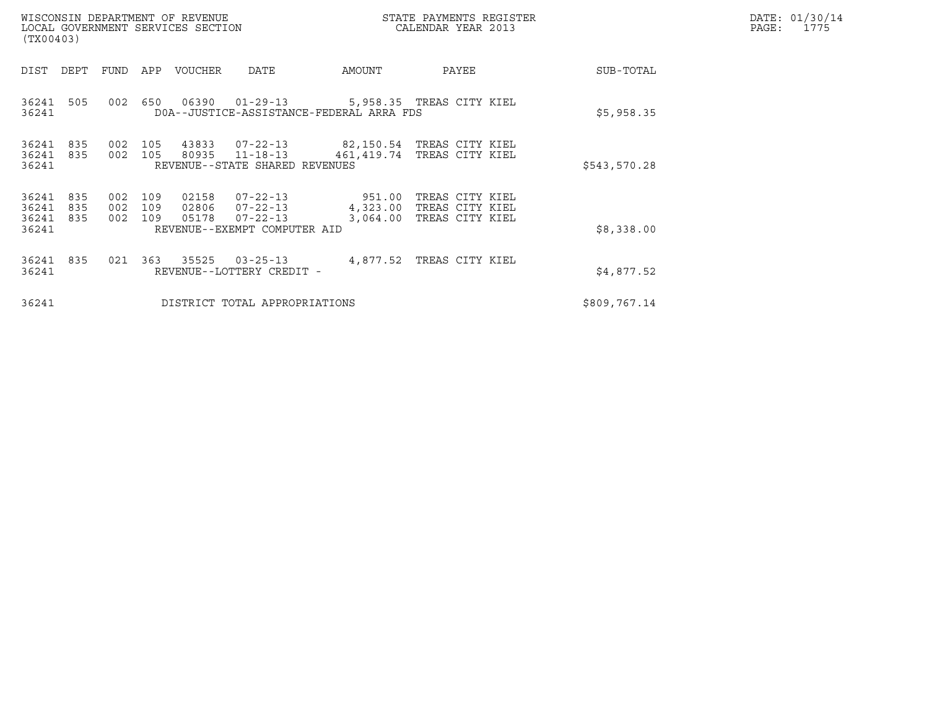| (TX00403)                        |                   |                       |            | WISCONSIN DEPARTMENT OF REVENUE<br>LOCAL GOVERNMENT SERVICES SECTION |                                                                              |                                                                                        | STATE PAYMENTS REGISTER<br>CALENDAR YEAR 2013                  |              | DATE: 01/30/14<br>PAGE:<br>1775 |
|----------------------------------|-------------------|-----------------------|------------|----------------------------------------------------------------------|------------------------------------------------------------------------------|----------------------------------------------------------------------------------------|----------------------------------------------------------------|--------------|---------------------------------|
| DIST                             | DEPT              | FUND                  | APP        | VOUCHER                                                              | DATE                                                                         | AMOUNT                                                                                 | PAYEE                                                          | SUB-TOTAL    |                                 |
| 36241<br>36241                   | 505               | 002                   | 650        |                                                                      |                                                                              | 06390  01-29-13  5,958.35  TREAS CITY KIEL<br>DOA--JUSTICE-ASSISTANCE-FEDERAL ARRA FDS |                                                                | \$5,958.35   |                                 |
| 36241<br>36241<br>36241          | 835<br>835        | 002<br>002            | 105<br>105 | 80935                                                                | 43833 07-22-13<br>11-18-13<br>REVENUE--STATE SHARED REVENUES                 | 82,150.54 TREAS CITY KIEL<br>461,419.74                                                | TREAS CITY KIEL                                                | \$543,570.28 |                                 |
| 36241<br>36241<br>36241<br>36241 | 835<br>835<br>835 | 002<br>002 109<br>002 | 109<br>109 | 02158<br>02806<br>05178                                              | 07-22-13<br>$07 - 22 - 13$<br>$07 - 22 - 13$<br>REVENUE--EXEMPT COMPUTER AID | 951.00<br>3,064.00                                                                     | TREAS CITY KIEL<br>4,323.00 TREAS CITY KIEL<br>TREAS CITY KIEL | \$8,338.00   |                                 |
| 36241<br>36241                   | 835               | 021                   | 363        | 35525                                                                | $03 - 25 - 13$<br>REVENUE--LOTTERY CREDIT -                                  |                                                                                        | 4,877.52 TREAS CITY KIEL                                       | \$4,877.52   |                                 |
| 36241                            |                   |                       |            |                                                                      | DISTRICT TOTAL APPROPRIATIONS                                                |                                                                                        |                                                                | \$809,767.14 |                                 |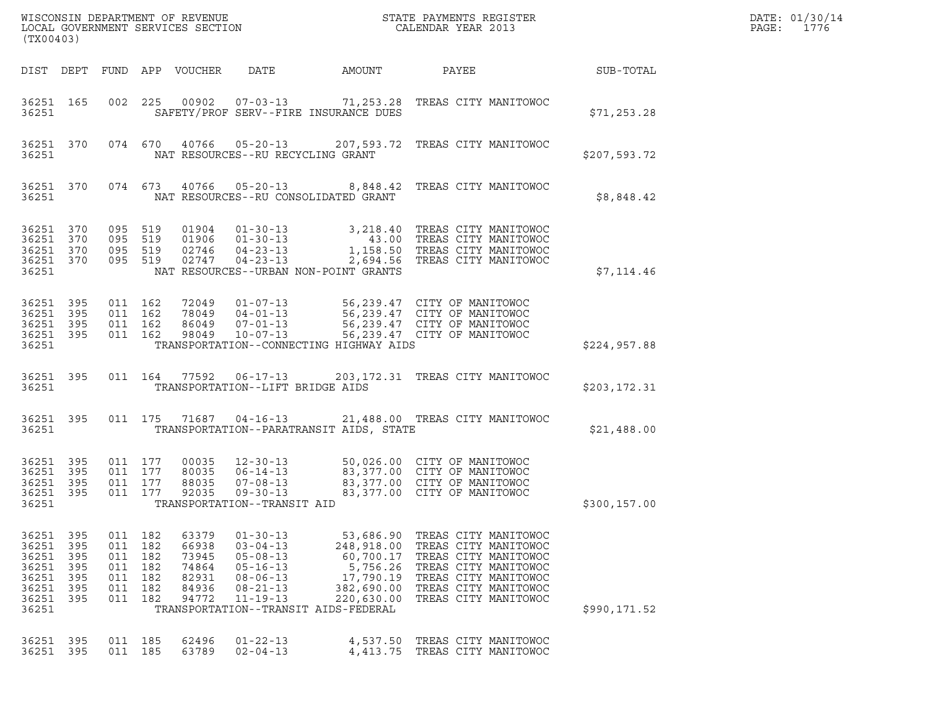| (TX00403)                                                            |                                                 |                    |                                                                           | WISCONSIN DEPARTMENT OF REVENUE<br>LOCAL GOVERNMENT SERVICES SECTION |                                                                                                                            |                                                                | STATE PAYMENTS REGISTER<br>CALENDAR YEAR 2013                                                                                                                                                                            |               | DATE: 01/30/14<br>PAGE: 1776 |
|----------------------------------------------------------------------|-------------------------------------------------|--------------------|---------------------------------------------------------------------------|----------------------------------------------------------------------|----------------------------------------------------------------------------------------------------------------------------|----------------------------------------------------------------|--------------------------------------------------------------------------------------------------------------------------------------------------------------------------------------------------------------------------|---------------|------------------------------|
|                                                                      |                                                 |                    |                                                                           | DIST DEPT FUND APP VOUCHER                                           | DATE                                                                                                                       | AMOUNT                                                         | PAYEE                                                                                                                                                                                                                    | SUB-TOTAL     |                              |
| 36251 165<br>36251                                                   |                                                 |                    |                                                                           |                                                                      |                                                                                                                            | SAFETY/PROF SERV--FIRE INSURANCE DUES                          | 002 225 00902 07-03-13 71,253.28 TREAS CITY MANITOWOC                                                                                                                                                                    | \$71, 253.28  |                              |
| 36251 370<br>36251                                                   |                                                 |                    |                                                                           |                                                                      | 074 670 40766 05-20-13                                                                                                     | NAT RESOURCES--RU RECYCLING GRANT                              | 207,593.72 TREAS CITY MANITOWOC                                                                                                                                                                                          | \$207,593.72  |                              |
| 36251 370<br>36251                                                   |                                                 |                    |                                                                           |                                                                      |                                                                                                                            | NAT RESOURCES--RU CONSOLIDATED GRANT                           | 074 673 40766 05-20-13 8,848.42 TREAS CITY MANITOWOC                                                                                                                                                                     | \$8,848.42    |                              |
| 36251 370<br>36251<br>36251<br>36251<br>36251                        | 370<br>370<br>370                               | 095 519<br>095 519 | 095 519<br>095 519                                                        | 01906<br>02746<br>02747                                              | $01 - 30 - 13$<br>$04 - 23 - 13$<br>$04 - 23 - 13$                                                                         | NAT RESOURCES--URBAN NON-POINT GRANTS                          | 01904  01-30-13  3,218.40  TREAS CITY MANITOWOC<br>43.00 TREAS CITY MANITOWOC<br>1,158.50 TREAS CITY MANITOWOC<br>2,694.56 TREAS CITY MANITOWOC                                                                          | \$7,114.46    |                              |
| 36251 395<br>36251<br>36251<br>36251<br>36251                        | 395<br>- 395<br>395                             |                    | 011 162<br>011 162<br>011 162                                             | 72049<br>78049<br>86049<br>011 162 98049                             | $07 - 01 - 13$<br>$10 - 07 - 13$                                                                                           | TRANSPORTATION--CONNECTING HIGHWAY AIDS                        | 01-07-13 56,239.47 CITY OF MANITOWOC<br>04-01-13 56,239.47 CITY OF MANITOWOC<br>56,239.47 CITY OF MANITOWOC<br>56,239.47 CITY OF MANITOWOC                                                                               | \$224,957.88  |                              |
| 36251 395<br>36251                                                   |                                                 |                    |                                                                           |                                                                      | 011 164 77592 06-17-13<br>TRANSPORTATION--LIFT BRIDGE AIDS                                                                 |                                                                | 203, 172.31 TREAS CITY MANITOWOC                                                                                                                                                                                         | \$203,172.31  |                              |
| 36251 395<br>36251                                                   |                                                 |                    |                                                                           |                                                                      | 011 175 71687 04-16-13                                                                                                     | TRANSPORTATION--PARATRANSIT AIDS, STATE                        | 21,488.00 TREAS CITY MANITOWOC                                                                                                                                                                                           | \$21,488.00   |                              |
| 36251 395<br>36251<br>36251<br>36251<br>36251                        | - 395<br>395<br>395                             |                    | 011 177<br>011 177<br>011 177                                             | 00035<br>80035<br>88035<br>011 177 92035                             | $12 - 30 - 13$<br>$12 - 30 - 13$<br>06 - 14 - 13<br>$07 - 08 - 13$<br>$09 - 30 - 13$<br>TRANSPORTATION--TRANSIT AID        |                                                                | 50,026.00 CITY OF MANITOWOC<br>83,377.00 CITY OF MANITOWOC<br>83,377.00 CITY OF MANITOWOC<br>83,377.00 CITY OF MANITOWOC                                                                                                 | \$300, 157.00 |                              |
| 36251<br>36251<br>36251<br>36251<br>36251<br>36251<br>36251<br>36251 | - 395<br>395<br>395<br>395<br>395<br>395<br>395 |                    | 011 182<br>011 182<br>011 182<br>011 182<br>011 182<br>011 182<br>011 182 | 63379<br>66938<br>73945<br>74864<br>82931<br>84936<br>94772          | $01 - 30 - 13$<br>$03 - 04 - 13$<br>$05 - 08 - 13$<br>$05 - 16 - 13$<br>$08 - 06 - 13$<br>$08 - 21 - 13$<br>$11 - 19 - 13$ | 60,700.17<br>17,790.19<br>TRANSPORTATION--TRANSIT AIDS-FEDERAL | 53,686.90 TREAS CITY MANITOWOC<br>248,918.00 TREAS CITY MANITOWOC<br>TREAS CITY MANITOWOC<br>5,756.26 TREAS CITY MANITOWOC<br>TREAS CITY MANITOWOC<br>382,690.00 TREAS CITY MANITOWOC<br>220,630.00 TREAS CITY MANITOWOC | \$990,171.52  |                              |
| 36251<br>36251 395                                                   | 395                                             |                    | 011 185<br>011 185                                                        | 62496<br>63789                                                       | $01 - 22 - 13$<br>$02 - 04 - 13$                                                                                           |                                                                | 4,537.50 TREAS CITY MANITOWOC<br>4,413.75 TREAS CITY MANITOWOC                                                                                                                                                           |               |                              |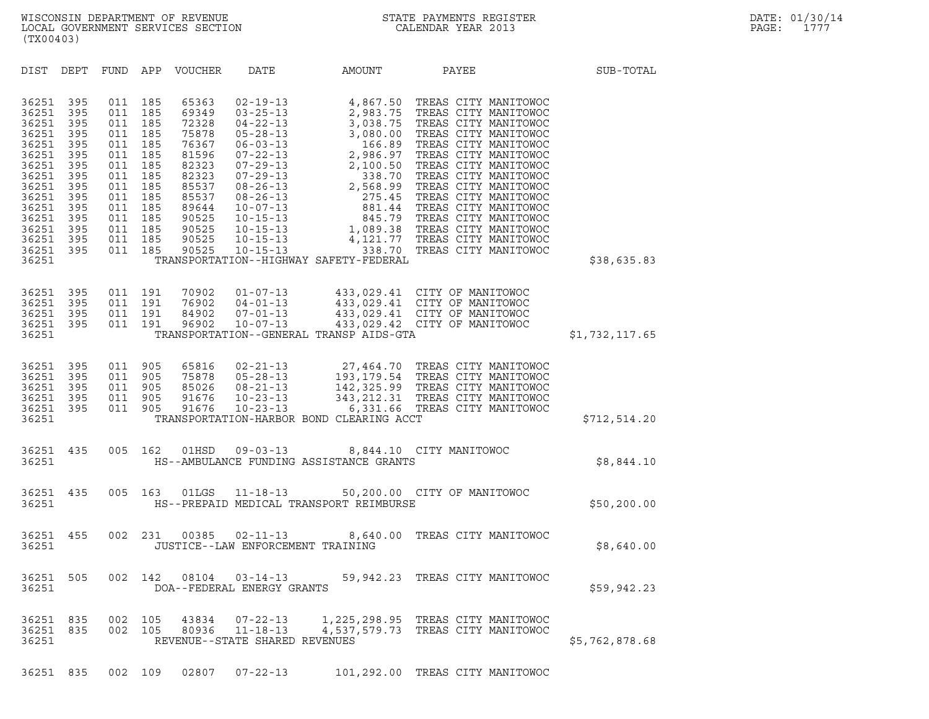| (TX00403)                                                                                                                                    |                                                                                                       |                                                                                                       |                                                                                                       |                                                                                                                                     |                                                                                                                                                                                                                                                                            |                                                                                                                                                                                                                      |                                                                                                                                                                                                                                                                                                                                                                                               |                |
|----------------------------------------------------------------------------------------------------------------------------------------------|-------------------------------------------------------------------------------------------------------|-------------------------------------------------------------------------------------------------------|-------------------------------------------------------------------------------------------------------|-------------------------------------------------------------------------------------------------------------------------------------|----------------------------------------------------------------------------------------------------------------------------------------------------------------------------------------------------------------------------------------------------------------------------|----------------------------------------------------------------------------------------------------------------------------------------------------------------------------------------------------------------------|-----------------------------------------------------------------------------------------------------------------------------------------------------------------------------------------------------------------------------------------------------------------------------------------------------------------------------------------------------------------------------------------------|----------------|
| DIST                                                                                                                                         | DEPT                                                                                                  | <b>FUND</b>                                                                                           | APP                                                                                                   | VOUCHER                                                                                                                             | DATE                                                                                                                                                                                                                                                                       | AMOUNT                                                                                                                                                                                                               | PAYEE                                                                                                                                                                                                                                                                                                                                                                                         | SUB-TOTAL      |
| 36251<br>36251<br>36251<br>36251<br>36251<br>36251<br>36251<br>36251<br>36251<br>36251<br>36251<br>36251<br>36251<br>36251<br>36251<br>36251 | 395<br>395<br>395<br>395<br>395<br>395<br>395<br>395<br>395<br>395<br>395<br>395<br>395<br>395<br>395 | 011<br>011<br>011<br>011<br>011<br>011<br>011<br>011<br>011<br>011<br>011<br>011<br>011<br>011<br>011 | 185<br>185<br>185<br>185<br>185<br>185<br>185<br>185<br>185<br>185<br>185<br>185<br>185<br>185<br>185 | 65363<br>69349<br>72328<br>75878<br>76367<br>81596<br>82323<br>82323<br>85537<br>85537<br>89644<br>90525<br>90525<br>90525<br>90525 | $02 - 19 - 13$<br>$03 - 25 - 13$<br>$04 - 22 - 13$<br>$05 - 28 - 13$<br>$06 - 03 - 13$<br>$07 - 22 - 13$<br>$07 - 29 - 13$<br>$07 - 29 - 13$<br>$08 - 26 - 13$<br>$08 - 26 - 13$<br>$10 - 07 - 13$<br>$10 - 15 - 13$<br>$10 - 15 - 13$<br>$10 - 15 - 13$<br>$10 - 15 - 13$ | 4,867.50<br>2,983.75<br>3,038.75<br>0.58.7<br>3,080.00<br>166.89<br>13<br>2,986.97<br>2,100.50<br>3<br>2,568.99<br>275.45<br><sup>275.45</sup><br>$\overline{a}$<br>338.70<br>TRANSPORTATION--HIGHWAY SAFETY-FEDERAL | TREAS CITY MANITOWOC<br>TREAS CITY MANITOWOC<br>TREAS CITY MANITOWOC<br>TREAS CITY MANITOWOC<br>TREAS CITY MANITOWOC<br>TREAS CITY MANITOWOC<br>TREAS CITY MANITOWOC<br>TREAS CITY MANITOWOC<br>TREAS CITY MANITOWOC<br>TREAS CITY MANITOWOC<br>TREAS CITY MANITOWOC<br>845.79 TREAS CITY MANITOWOC<br>1,089.38 TREAS CITY MANITOWOC<br>4,121.77 TREAS CITY MANITOWOC<br>TREAS CITY MANITOWOC | \$38,635.83    |
| 36251<br>36251<br>36251<br>36251<br>36251                                                                                                    | 395<br>395<br>395<br>395                                                                              | 011<br>011<br>011<br>011                                                                              | 191<br>191<br>191<br>191                                                                              | 70902<br>76902<br>84902<br>96902                                                                                                    | $01 - 07 - 13$<br>$04 - 01 - 13$<br>$07 - 01 - 13$<br>$10 - 07 - 13$                                                                                                                                                                                                       | TRANSPORTATION--GENERAL TRANSP AIDS-GTA                                                                                                                                                                              | 433,029.41 CITY OF MANITOWOC<br>433,029.41 CITY OF MANITOWOC<br>433,029.41 CITY OF MANITOWOC<br>433,029.42 CITY OF MANITOWOC                                                                                                                                                                                                                                                                  | \$1,732,117.65 |
| 36251<br>36251<br>36251<br>36251<br>36251<br>36251                                                                                           | 395<br>395<br>395<br>395<br>395                                                                       | 011<br>011<br>011<br>011<br>011                                                                       | 905<br>905<br>905<br>905<br>905                                                                       | 65816<br>75878<br>85026<br>91676<br>91676                                                                                           | $02 - 21 - 13$<br>$05 - 28 - 13$<br>$08 - 21 - 13$<br>$10 - 23 - 13$<br>$10 - 23 - 13$                                                                                                                                                                                     | 6,331.66<br>TRANSPORTATION-HARBOR BOND CLEARING ACCT                                                                                                                                                                 | 27,464.70 TREAS CITY MANITOWOC<br>193,179.54 TREAS CITY MANITOWOC<br>142,325.99 TREAS CITY MANITOWOC<br>343, 212.31 TREAS CITY MANITOWOC<br>TREAS CITY MANITOWOC                                                                                                                                                                                                                              | \$712,514.20   |
| 36251<br>36251                                                                                                                               | 435                                                                                                   | 005                                                                                                   | 162                                                                                                   | 01HSD                                                                                                                               | $09 - 03 - 13$                                                                                                                                                                                                                                                             | HS--AMBULANCE FUNDING ASSISTANCE GRANTS                                                                                                                                                                              | 8,844.10 CITY MANITOWOC                                                                                                                                                                                                                                                                                                                                                                       | \$8,844.10     |
| 36251<br>36251                                                                                                                               | 435                                                                                                   | 005                                                                                                   | 163                                                                                                   | 01LGS                                                                                                                               | $11 - 18 - 13$                                                                                                                                                                                                                                                             | HS--PREPAID MEDICAL TRANSPORT REIMBURSE                                                                                                                                                                              | 50,200.00 CITY OF MANITOWOC                                                                                                                                                                                                                                                                                                                                                                   | \$50, 200.00   |
| 36251<br>36251                                                                                                                               | 455                                                                                                   | 002                                                                                                   | 231                                                                                                   | 00385                                                                                                                               | $02 - 11 - 13$<br>JUSTICE--LAW ENFORCEMENT TRAINING                                                                                                                                                                                                                        | 8,640.00                                                                                                                                                                                                             | TREAS CITY MANITOWOC                                                                                                                                                                                                                                                                                                                                                                          | \$8,640.00     |
| 36251<br>36251                                                                                                                               | 505                                                                                                   | 002                                                                                                   | 142                                                                                                   | 08104                                                                                                                               | $03 - 14 - 13$<br>DOA--FEDERAL ENERGY GRANTS                                                                                                                                                                                                                               |                                                                                                                                                                                                                      | 59,942.23 TREAS CITY MANITOWOC                                                                                                                                                                                                                                                                                                                                                                | \$59,942.23    |
| 36251<br>36251<br>36251                                                                                                                      | 835<br>835                                                                                            | 002<br>002                                                                                            | 105<br>105                                                                                            | 43834<br>80936                                                                                                                      | $07 - 22 - 13$<br>$11 - 18 - 13$<br>REVENUE--STATE SHARED REVENUES                                                                                                                                                                                                         | 4,537,579.73                                                                                                                                                                                                         | 1,225,298.95 TREAS CITY MANITOWOC<br>TREAS CITY MANITOWOC                                                                                                                                                                                                                                                                                                                                     | \$5,762,878.68 |

36251 835 002 109 02807 07-22-13 101,292.00 TREAS CITY MANITOWOC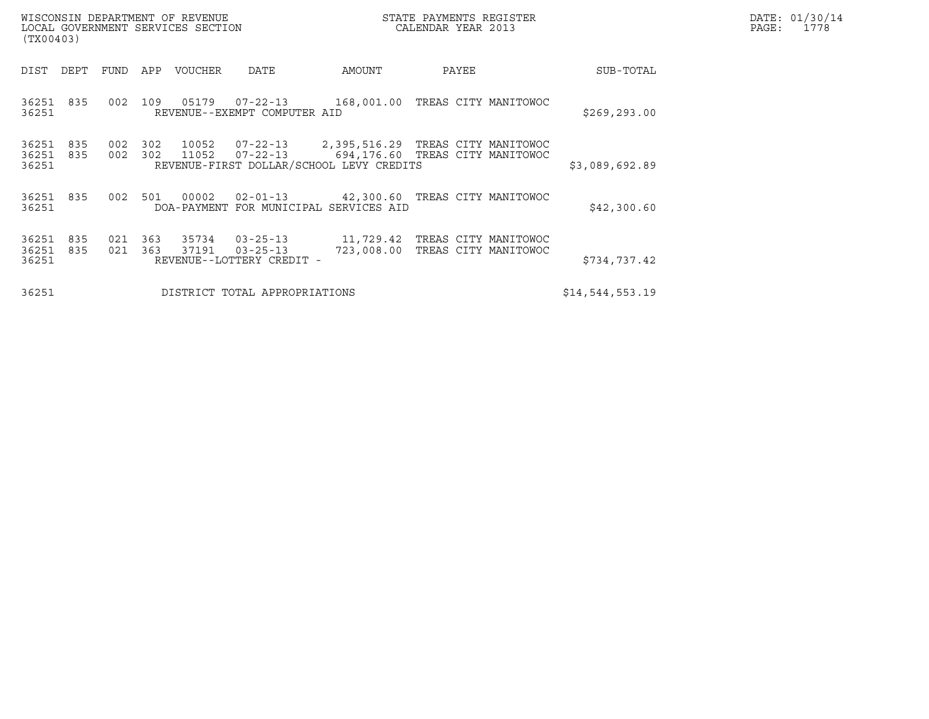| (TX00403)               |            |             |            | WISCONSIN DEPARTMENT OF REVENUE<br>LOCAL GOVERNMENT SERVICES SECTION |                                                               |                                              | STATE PAYMENTS REGISTER<br>CALENDAR YEAR 2013 |                 | DATE: 01/30/14<br>PAGE:<br>1778 |
|-------------------------|------------|-------------|------------|----------------------------------------------------------------------|---------------------------------------------------------------|----------------------------------------------|-----------------------------------------------|-----------------|---------------------------------|
| DIST                    | DEPT       | <b>FUND</b> | APP        | VOUCHER                                                              | <b>DATE</b>                                                   | AMOUNT                                       | PAYEE                                         | SUB-TOTAL       |                                 |
| 36251 835<br>36251      |            | 002         | 109        | 05179                                                                | 07-22-13<br>REVENUE--EXEMPT COMPUTER AID                      | 168,001.00 TREAS CITY MANITOWOC              |                                               | \$269, 293.00   |                                 |
| 36251<br>36251<br>36251 | 835<br>835 | 002<br>002  | 302<br>302 | 10052<br>11052                                                       | $07 - 22 - 13$<br>REVENUE-FIRST DOLLAR/SCHOOL LEVY CREDITS    | 694,176.60 TREAS CITY MANITOWOC              |                                               | \$3,089,692.89  |                                 |
| 36251 835<br>36251      |            | 002         | 501        | 00002                                                                | $02 - 01 - 13$<br>DOA-PAYMENT FOR MUNICIPAL SERVICES AID      | 42,300.60 TREAS CITY MANITOWOC               |                                               | \$42,300.60     |                                 |
| 36251<br>36251<br>36251 | 835<br>835 | 021<br>021  | 363<br>363 | 35734<br>37191                                                       | $03 - 25 - 13$<br>$03 - 25 - 13$<br>REVENUE--LOTTERY CREDIT - | 11,729.42 TREAS CITY MANITOWOC<br>723,008.00 | TREAS CITY MANITOWOC                          | \$734,737.42    |                                 |
| 36251                   |            |             |            |                                                                      | DISTRICT TOTAL APPROPRIATIONS                                 |                                              |                                               | \$14,544,553.19 |                                 |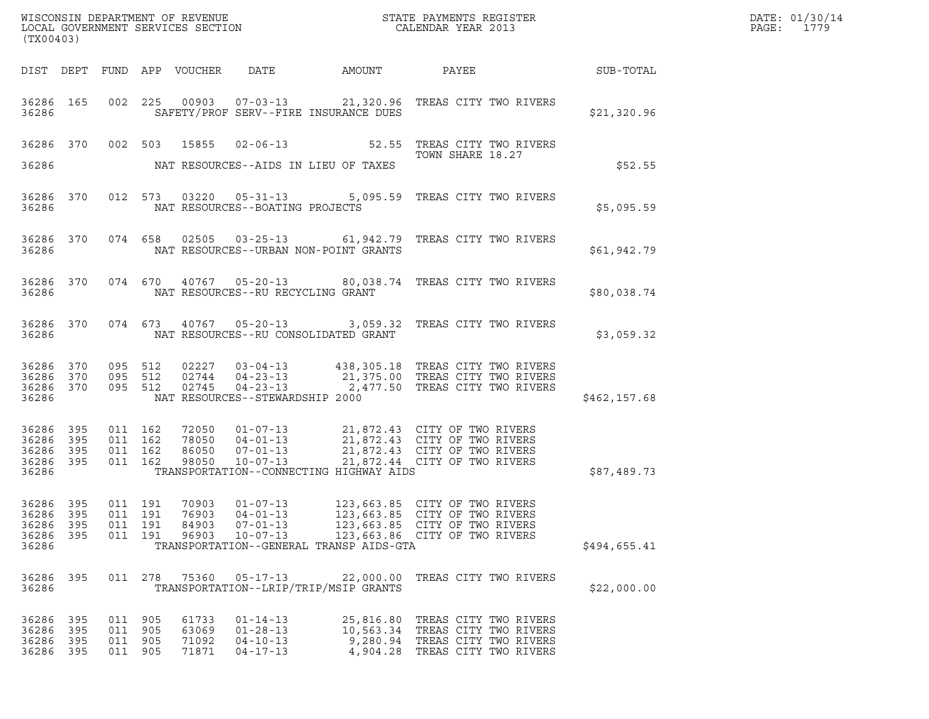| (TX00403)                                    |                                                     |  |                                          |                                  |                                                                                        |                                                    |                                                                                                                                                                                                      |              | DATE: 01/30/14<br>PAGE:<br>1779 |
|----------------------------------------------|-----------------------------------------------------|--|------------------------------------------|----------------------------------|----------------------------------------------------------------------------------------|----------------------------------------------------|------------------------------------------------------------------------------------------------------------------------------------------------------------------------------------------------------|--------------|---------------------------------|
|                                              |                                                     |  |                                          |                                  |                                                                                        |                                                    |                                                                                                                                                                                                      |              |                                 |
| 36286                                        |                                                     |  |                                          |                                  |                                                                                        | SAFETY/PROF SERV--FIRE INSURANCE DUES              | 36286 165 002 225 00903 07-03-13 21,320.96 TREAS CITY TWO RIVERS                                                                                                                                     | \$21,320.96  |                                 |
| 36286                                        |                                                     |  |                                          |                                  |                                                                                        | NAT RESOURCES--AIDS IN LIEU OF TAXES               | 36286 370 002 503 15855 02-06-13 52.55 TREAS CITY TWO RIVERS<br>TOWN SHARE 18.27                                                                                                                     | \$52.55      |                                 |
| 36286                                        |                                                     |  |                                          |                                  | NAT RESOURCES--BOATING PROJECTS                                                        |                                                    | 36286 370 012 573 03220 05-31-13 5,095.59 TREAS CITY TWO RIVERS                                                                                                                                      | \$5,095.59   |                                 |
| 36286                                        |                                                     |  |                                          |                                  |                                                                                        | NAT RESOURCES--URBAN NON-POINT GRANTS              | 36286 370 074 658 02505 03-25-13 61,942.79 TREAS CITY TWO RIVERS                                                                                                                                     | \$61,942.79  |                                 |
|                                              |                                                     |  |                                          |                                  |                                                                                        |                                                    | 36286 370 074 670 40767 05-20-13 80,038.74 TREAS CITY TWO RIVERS                                                                                                                                     | \$80,038.74  |                                 |
|                                              |                                                     |  |                                          |                                  |                                                                                        |                                                    | 36286 370 074 673 40767 05-20-13 3,059.32 TREAS CITY TWO RIVERS                                                                                                                                      | \$3,059.32   |                                 |
| 36286                                        | 36286 370 095 512<br>36286 370 095 512<br>36286 370 |  | 095 512                                  |                                  | NAT RESOURCES--STEWARDSHIP 2000                                                        |                                                    |                                                                                                                                                                                                      | \$462,157.68 |                                 |
| 36286 395<br>36286 395<br>36286 395<br>36286 | 36286 395                                           |  | 011 162<br>011 162<br>011 162<br>011 162 |                                  |                                                                                        | TRANSPORTATION--CONNECTING HIGHWAY AIDS            | 72050  01-07-13  21,872.43  CITY OF TWO RIVERS<br>78050  04-01-13  21,872.43  CITY OF TWO RIVERS<br>86050  07-01-13  21,872.43  CITY OF TWO RIVERS<br>98050  10-07-13  21,872.44  CITY OF TWO RIVERS | \$87,489.73  |                                 |
| 36286<br>36286<br>36286 395<br>36286         | 395<br>- 395                                        |  | 011 191<br>011 191<br>011 191            | 76903<br>84903<br>96903          | 36286 395 011 191 70903 01-07-13<br>$04 - 01 - 13$<br>$07 - 01 - 13$<br>$10 - 07 - 13$ | TRANSPORTATION--GENERAL TRANSP AIDS-GTA            | 123,663.85 CITY OF TWO RIVERS<br>123,663.85 CITY OF TWO RIVERS<br>123,663.85 CITY OF TWO RIVERS<br>123,663.86 CITY OF TWO RIVERS                                                                     | \$494,655.41 |                                 |
| 36286 395<br>36286                           |                                                     |  | 011 278                                  | 75360                            | $05 - 17 - 13$                                                                         | 22,000.00<br>TRANSPORTATION--LRIP/TRIP/MSIP GRANTS | TREAS CITY TWO RIVERS                                                                                                                                                                                | \$22,000.00  |                                 |
| 36286 395<br>36286 395<br>36286<br>36286 395 | 395                                                 |  | 011 905<br>011 905<br>011 905<br>011 905 | 61733<br>63069<br>71092<br>71871 | $01 - 14 - 13$<br>$01 - 28 - 13$<br>$04 - 10 - 13$<br>$04 - 17 - 13$                   |                                                    | 25,816.80 TREAS CITY TWO RIVERS<br>10,563.34 TREAS CITY TWO RIVERS<br>9,280.94 TREAS CITY TWO RIVERS<br>4,904.28 TREAS CITY TWO RIVERS                                                               |              |                                 |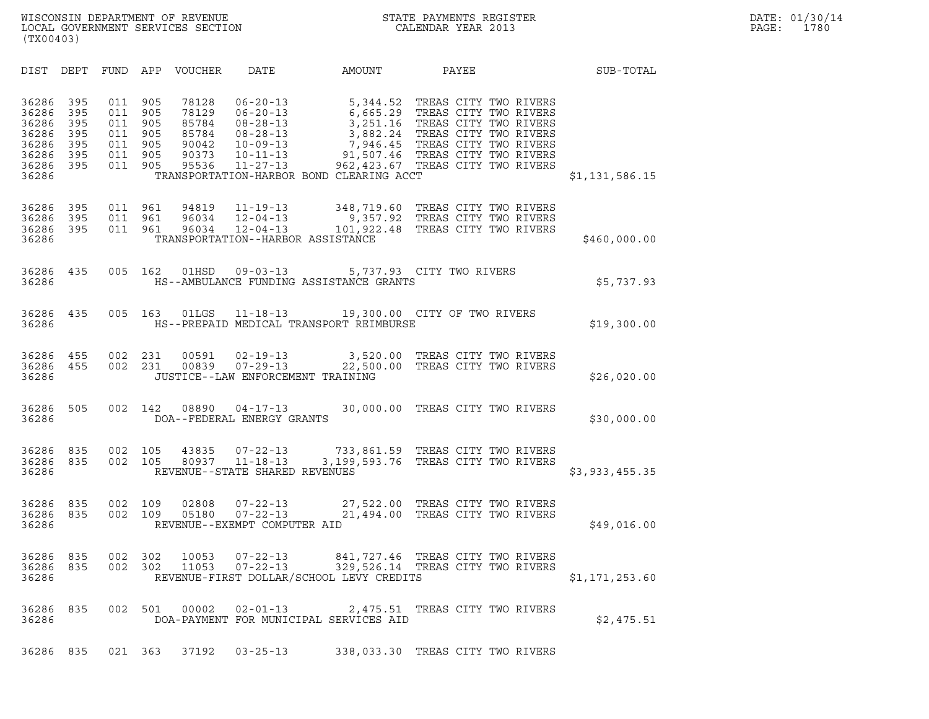| DIST                                                                 | DEPT                                          | FUND                                          | APP                                           | <b>VOUCHER</b>                                              | DATE                                                                                                                       | AMOUNT                                                                                                                          | PAYEE                                                                                                                                                                       | SUB-TOTAL      |
|----------------------------------------------------------------------|-----------------------------------------------|-----------------------------------------------|-----------------------------------------------|-------------------------------------------------------------|----------------------------------------------------------------------------------------------------------------------------|---------------------------------------------------------------------------------------------------------------------------------|-----------------------------------------------------------------------------------------------------------------------------------------------------------------------------|----------------|
| 36286<br>36286<br>36286<br>36286<br>36286<br>36286<br>36286<br>36286 | 395<br>395<br>395<br>395<br>395<br>395<br>395 | 011<br>011<br>011<br>011<br>011<br>011<br>011 | 905<br>905<br>905<br>905<br>905<br>905<br>905 | 78128<br>78129<br>85784<br>85784<br>90042<br>90373<br>95536 | $06 - 20 - 13$<br>$06 - 20 - 13$<br>$08 - 28 - 13$<br>$08 - 28 - 13$<br>$10 - 09 - 13$<br>$10 - 11 - 13$<br>$11 - 27 - 13$ | 5,344.52<br>6,665.29<br>3,251.16<br>3,882.24<br>7,946.45<br>91,507.46<br>962,423.67<br>TRANSPORTATION-HARBOR BOND CLEARING ACCT | TREAS CITY TWO RIVERS<br>TREAS CITY TWO RIVERS<br>TREAS CITY TWO RIVERS<br>TREAS CITY TWO RIVERS<br>TREAS CITY TWO RIVERS<br>TREAS CITY TWO RIVERS<br>TREAS CITY TWO RIVERS | \$1,131,586.15 |
| 36286<br>36286<br>36286<br>36286                                     | 395<br>395<br>395                             | 011<br>011<br>011                             | 961<br>961<br>961                             | 94819<br>96034<br>96034                                     | $11 - 19 - 13$<br>$12 - 04 - 13$<br>$12 - 04 - 13$<br>TRANSPORTATION--HARBOR ASSISTANCE                                    | 348,719.60<br>9,357.92<br>101,922.48                                                                                            | TREAS CITY TWO RIVERS<br>TREAS CITY TWO RIVERS<br>TREAS CITY TWO RIVERS                                                                                                     | \$460,000.00   |
| 36286<br>36286                                                       | 435                                           | 005                                           | 162                                           | 01HSD                                                       | $09 - 03 - 13$                                                                                                             | HS--AMBULANCE FUNDING ASSISTANCE GRANTS                                                                                         | 5,737.93 CITY TWO RIVERS                                                                                                                                                    | \$5,737.93     |
| 36286<br>36286                                                       | 435                                           | 005                                           | 163                                           | 01LGS                                                       | 11-18-13                                                                                                                   | HS--PREPAID MEDICAL TRANSPORT REIMBURSE                                                                                         | 19,300.00 CITY OF TWO RIVERS                                                                                                                                                | \$19,300.00    |
| 36286<br>36286<br>36286                                              | 455<br>455                                    | 002<br>002                                    | 231<br>231                                    | 00591<br>00839                                              | $02 - 19 - 13$<br>$07 - 29 - 13$<br>JUSTICE--LAW ENFORCEMENT TRAINING                                                      | 3,520.00<br>22,500.00                                                                                                           | TREAS CITY TWO RIVERS<br>TREAS CITY TWO RIVERS                                                                                                                              | \$26,020.00    |
| 36286<br>36286                                                       | 505                                           | 002                                           | 142                                           | 08890                                                       | $04 - 17 - 13$<br>DOA--FEDERAL ENERGY GRANTS                                                                               |                                                                                                                                 | 30,000.00 TREAS CITY TWO RIVERS                                                                                                                                             | \$30,000.00    |
| 36286<br>36286<br>36286                                              | 835<br>835                                    | 002<br>002                                    | 105<br>105                                    | 43835<br>80937                                              | $07 - 22 - 13$<br>$11 - 18 - 13$<br>REVENUE--STATE SHARED REVENUES                                                         |                                                                                                                                 | 733,861.59 TREAS CITY TWO RIVERS<br>3,199,593.76 TREAS CITY TWO RIVERS                                                                                                      | \$3,933,455.35 |
| 36286<br>36286<br>36286                                              | 835<br>835                                    | 002<br>002                                    | 109<br>109                                    | 02808<br>05180                                              | $07 - 22 - 13$<br>$07 - 22 - 13$<br>REVENUE--EXEMPT COMPUTER AID                                                           | 21,494.00                                                                                                                       | 27,522.00 TREAS CITY TWO RIVERS<br>TREAS CITY TWO RIVERS                                                                                                                    | \$49,016.00    |
| 36286<br>36286<br>36286                                              | 835<br>835                                    | 002<br>002                                    | 302<br>302                                    | 10053<br>11053                                              | $07 - 22 - 13$<br>$07 - 22 - 13$                                                                                           | 841,727.46<br>329,526.14<br>REVENUE-FIRST DOLLAR/SCHOOL LEVY CREDITS                                                            | TREAS CITY TWO RIVERS<br>TREAS CITY TWO RIVERS                                                                                                                              | \$1,171,253.60 |
| 36286<br>36286                                                       | 835                                           | 002                                           | 501                                           | 00002                                                       | $02 - 01 - 13$                                                                                                             | 2,475.51<br>DOA-PAYMENT FOR MUNICIPAL SERVICES AID                                                                              | TREAS CITY TWO RIVERS                                                                                                                                                       | \$2,475.51     |
| 36286                                                                | 835                                           | 021                                           | 363                                           | 37192                                                       | $03 - 25 - 13$                                                                                                             |                                                                                                                                 | 338,033.30 TREAS CITY TWO RIVERS                                                                                                                                            |                |